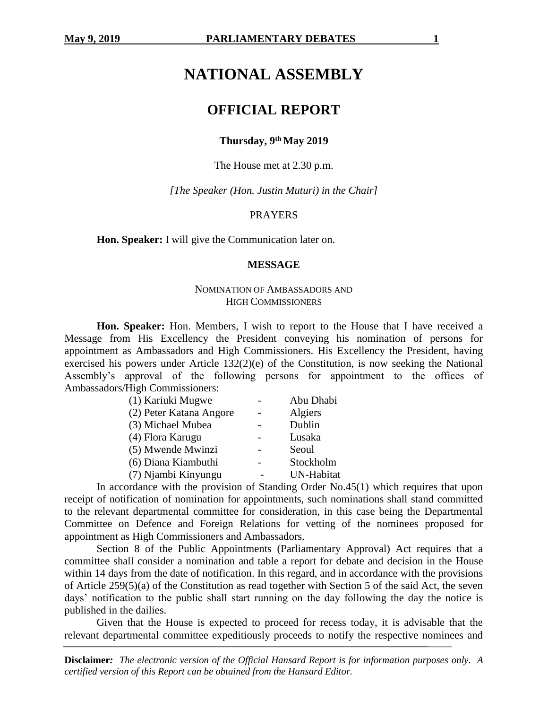# **NATIONAL ASSEMBLY**

# **OFFICIAL REPORT**

## **Thursday, 9th May 2019**

The House met at 2.30 p.m.

*[The Speaker (Hon. Justin Muturi) in the Chair]*

#### PRAYERS

**Hon. Speaker:** I will give the Communication later on.

#### **MESSAGE**

#### NOMINATION OF AMBASSADORS AND HIGH COMMISSIONERS

**Hon. Speaker:** Hon. Members, I wish to report to the House that I have received a Message from His Excellency the President conveying his nomination of persons for appointment as Ambassadors and High Commissioners. His Excellency the President, having exercised his powers under Article 132(2)(e) of the Constitution, is now seeking the National Assembly's approval of the following persons for appointment to the offices of Ambassadors/High Commissioners:

| (1) Kariuki Mugwe       | Abu Dhabi  |
|-------------------------|------------|
| (2) Peter Katana Angore | Algiers    |
| (3) Michael Mubea       | Dublin     |
| (4) Flora Karugu        | Lusaka     |
| (5) Mwende Mwinzi       | Seoul      |
| (6) Diana Kiambuthi     | Stockholm  |
| (7) Njambi Kinyungu     | UN-Habitat |

In accordance with the provision of Standing Order No.45(1) which requires that upon receipt of notification of nomination for appointments, such nominations shall stand committed to the relevant departmental committee for consideration, in this case being the Departmental Committee on Defence and Foreign Relations for vetting of the nominees proposed for appointment as High Commissioners and Ambassadors.

Section 8 of the Public Appointments (Parliamentary Approval) Act requires that a committee shall consider a nomination and table a report for debate and decision in the House within 14 days from the date of notification. In this regard, and in accordance with the provisions of Article 259(5)(a) of the Constitution as read together with Section 5 of the said Act, the seven days' notification to the public shall start running on the day following the day the notice is published in the dailies.

Given that the House is expected to proceed for recess today, it is advisable that the relevant departmental committee expeditiously proceeds to notify the respective nominees and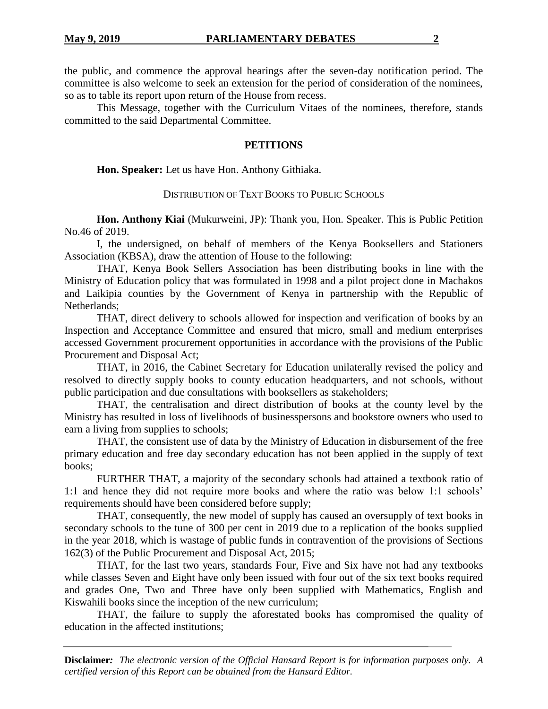the public, and commence the approval hearings after the seven-day notification period. The committee is also welcome to seek an extension for the period of consideration of the nominees, so as to table its report upon return of the House from recess.

This Message, together with the Curriculum Vitaes of the nominees, therefore, stands committed to the said Departmental Committee.

#### **PETITIONS**

**Hon. Speaker:** Let us have Hon. Anthony Githiaka.

### DISTRIBUTION OF TEXT BOOKS TO PUBLIC SCHOOLS

**Hon. Anthony Kiai** (Mukurweini, JP): Thank you, Hon. Speaker. This is Public Petition No.46 of 2019.

I, the undersigned, on behalf of members of the Kenya Booksellers and Stationers Association (KBSA), draw the attention of House to the following:

THAT, Kenya Book Sellers Association has been distributing books in line with the Ministry of Education policy that was formulated in 1998 and a pilot project done in Machakos and Laikipia counties by the Government of Kenya in partnership with the Republic of Netherlands;

THAT, direct delivery to schools allowed for inspection and verification of books by an Inspection and Acceptance Committee and ensured that micro, small and medium enterprises accessed Government procurement opportunities in accordance with the provisions of the Public Procurement and Disposal Act;

THAT, in 2016, the Cabinet Secretary for Education unilaterally revised the policy and resolved to directly supply books to county education headquarters, and not schools, without public participation and due consultations with booksellers as stakeholders;

THAT, the centralisation and direct distribution of books at the county level by the Ministry has resulted in loss of livelihoods of businesspersons and bookstore owners who used to earn a living from supplies to schools;

THAT, the consistent use of data by the Ministry of Education in disbursement of the free primary education and free day secondary education has not been applied in the supply of text books;

FURTHER THAT, a majority of the secondary schools had attained a textbook ratio of 1:1 and hence they did not require more books and where the ratio was below 1:1 schools' requirements should have been considered before supply;

THAT, consequently, the new model of supply has caused an oversupply of text books in secondary schools to the tune of 300 per cent in 2019 due to a replication of the books supplied in the year 2018, which is wastage of public funds in contravention of the provisions of Sections 162(3) of the Public Procurement and Disposal Act, 2015;

THAT, for the last two years, standards Four, Five and Six have not had any textbooks while classes Seven and Eight have only been issued with four out of the six text books required and grades One, Two and Three have only been supplied with Mathematics, English and Kiswahili books since the inception of the new curriculum;

THAT, the failure to supply the aforestated books has compromised the quality of education in the affected institutions;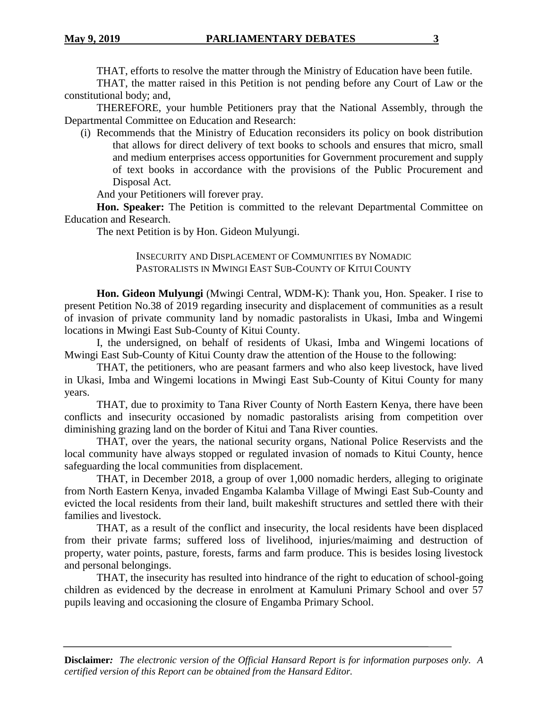THAT, efforts to resolve the matter through the Ministry of Education have been futile.

THAT, the matter raised in this Petition is not pending before any Court of Law or the constitutional body; and,

THEREFORE, your humble Petitioners pray that the National Assembly, through the Departmental Committee on Education and Research:

(i) Recommends that the Ministry of Education reconsiders its policy on book distribution that allows for direct delivery of text books to schools and ensures that micro, small and medium enterprises access opportunities for Government procurement and supply of text books in accordance with the provisions of the Public Procurement and Disposal Act.

And your Petitioners will forever pray.

**Hon. Speaker:** The Petition is committed to the relevant Departmental Committee on Education and Research.

The next Petition is by Hon. Gideon Mulyungi.

INSECURITY AND DISPLACEMENT OF COMMUNITIES BY NOMADIC PASTORALISTS IN MWINGI EAST SUB-COUNTY OF KITUI COUNTY

**Hon. Gideon Mulyungi** (Mwingi Central, WDM-K): Thank you, Hon. Speaker. I rise to present Petition No.38 of 2019 regarding insecurity and displacement of communities as a result of invasion of private community land by nomadic pastoralists in Ukasi, Imba and Wingemi locations in Mwingi East Sub-County of Kitui County.

I, the undersigned, on behalf of residents of Ukasi, Imba and Wingemi locations of Mwingi East Sub-County of Kitui County draw the attention of the House to the following:

THAT, the petitioners, who are peasant farmers and who also keep livestock, have lived in Ukasi, Imba and Wingemi locations in Mwingi East Sub-County of Kitui County for many years.

THAT, due to proximity to Tana River County of North Eastern Kenya, there have been conflicts and insecurity occasioned by nomadic pastoralists arising from competition over diminishing grazing land on the border of Kitui and Tana River counties.

THAT, over the years, the national security organs, National Police Reservists and the local community have always stopped or regulated invasion of nomads to Kitui County, hence safeguarding the local communities from displacement.

THAT, in December 2018, a group of over 1,000 nomadic herders, alleging to originate from North Eastern Kenya, invaded Engamba Kalamba Village of Mwingi East Sub-County and evicted the local residents from their land, built makeshift structures and settled there with their families and livestock.

THAT, as a result of the conflict and insecurity, the local residents have been displaced from their private farms; suffered loss of livelihood, injuries/maiming and destruction of property, water points, pasture, forests, farms and farm produce. This is besides losing livestock and personal belongings.

THAT, the insecurity has resulted into hindrance of the right to education of school-going children as evidenced by the decrease in enrolment at Kamuluni Primary School and over 57 pupils leaving and occasioning the closure of Engamba Primary School.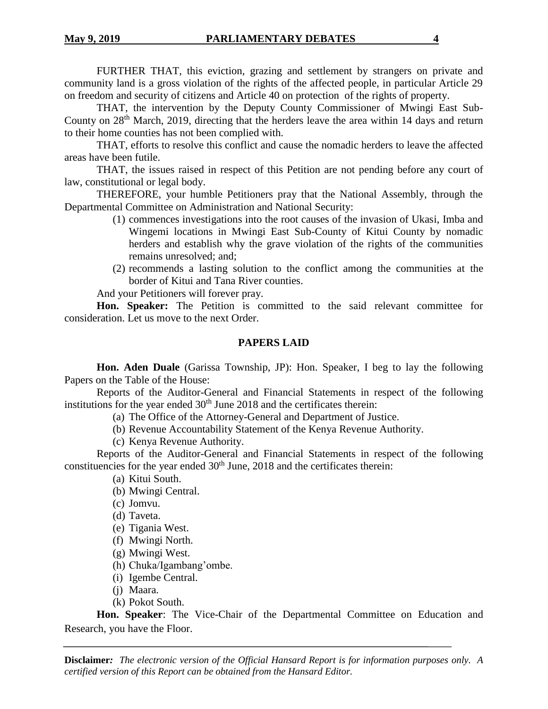FURTHER THAT, this eviction, grazing and settlement by strangers on private and community land is a gross violation of the rights of the affected people, in particular Article 29 on freedom and security of citizens and Article 40 on protection of the rights of property.

THAT, the intervention by the Deputy County Commissioner of Mwingi East Sub-County on  $28<sup>th</sup>$  March, 2019, directing that the herders leave the area within 14 days and return to their home counties has not been complied with.

THAT, efforts to resolve this conflict and cause the nomadic herders to leave the affected areas have been futile.

THAT, the issues raised in respect of this Petition are not pending before any court of law, constitutional or legal body.

THEREFORE, your humble Petitioners pray that the National Assembly, through the Departmental Committee on Administration and National Security:

- (1) commences investigations into the root causes of the invasion of Ukasi, Imba and Wingemi locations in Mwingi East Sub-County of Kitui County by nomadic herders and establish why the grave violation of the rights of the communities remains unresolved; and;
- (2) recommends a lasting solution to the conflict among the communities at the border of Kitui and Tana River counties.

And your Petitioners will forever pray.

**Hon. Speaker:** The Petition is committed to the said relevant committee for consideration. Let us move to the next Order.

### **PAPERS LAID**

**Hon. Aden Duale** (Garissa Township, JP): Hon. Speaker, I beg to lay the following Papers on the Table of the House:

Reports of the Auditor-General and Financial Statements in respect of the following institutions for the year ended  $30<sup>th</sup>$  June 2018 and the certificates therein:

- (a) The Office of the Attorney-General and Department of Justice.
- (b) Revenue Accountability Statement of the Kenya Revenue Authority.
- (c) Kenya Revenue Authority.

Reports of the Auditor-General and Financial Statements in respect of the following constituencies for the year ended  $30<sup>th</sup>$  June, 2018 and the certificates therein:

- (a) Kitui South.
- (b) Mwingi Central.
- (c) Jomvu.
- (d) Taveta.
- (e) Tigania West.
- (f) Mwingi North.
- (g) Mwingi West.
- (h) Chuka/Igambang'ombe.
- (i) Igembe Central.
- (j) Maara.
- (k) Pokot South.

**Hon. Speaker**: The Vice-Chair of the Departmental Committee on Education and Research, you have the Floor.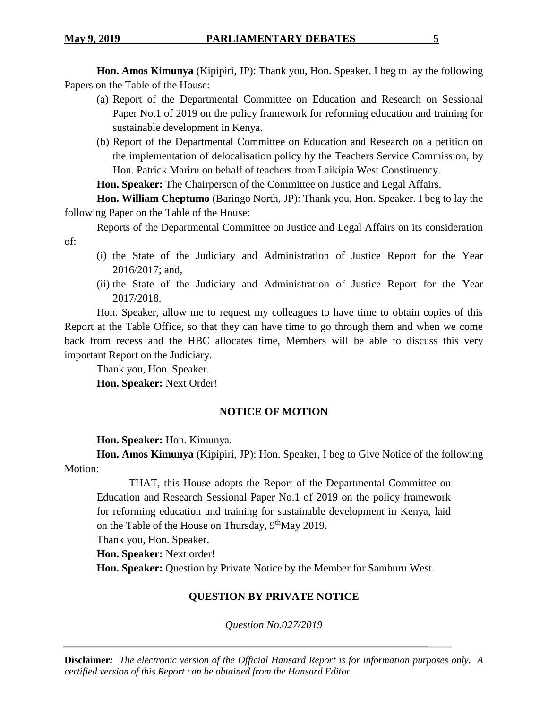**Hon. Amos Kimunya** (Kipipiri, JP): Thank you, Hon. Speaker. I beg to lay the following Papers on the Table of the House:

- (a) Report of the Departmental Committee on Education and Research on Sessional Paper No.1 of 2019 on the policy framework for reforming education and training for sustainable development in Kenya.
- (b) Report of the Departmental Committee on Education and Research on a petition on the implementation of delocalisation policy by the Teachers Service Commission, by Hon. Patrick Mariru on behalf of teachers from Laikipia West Constituency.

**Hon. Speaker:** The Chairperson of the Committee on Justice and Legal Affairs.

**Hon. William Cheptumo** (Baringo North, JP): Thank you, Hon. Speaker. I beg to lay the following Paper on the Table of the House:

Reports of the Departmental Committee on Justice and Legal Affairs on its consideration of:

- (i) the State of the Judiciary and Administration of Justice Report for the Year 2016/2017; and,
- (ii) the State of the Judiciary and Administration of Justice Report for the Year 2017/2018.

Hon. Speaker, allow me to request my colleagues to have time to obtain copies of this Report at the Table Office, so that they can have time to go through them and when we come back from recess and the HBC allocates time, Members will be able to discuss this very important Report on the Judiciary.

Thank you, Hon. Speaker.

**Hon. Speaker:** Next Order!

# **NOTICE OF MOTION**

**Hon. Speaker:** Hon. Kimunya.

**Hon. Amos Kimunya** (Kipipiri, JP): Hon. Speaker, I beg to Give Notice of the following Motion:

THAT, this House adopts the Report of the Departmental Committee on Education and Research Sessional Paper No.1 of 2019 on the policy framework for reforming education and training for sustainable development in Kenya, laid on the Table of the House on Thursday, 9<sup>th</sup>May 2019.

Thank you, Hon. Speaker.

**Hon. Speaker:** Next order!

**Hon. Speaker:** Question by Private Notice by the Member for Samburu West.

# **QUESTION BY PRIVATE NOTICE**

*Question No.027/2019*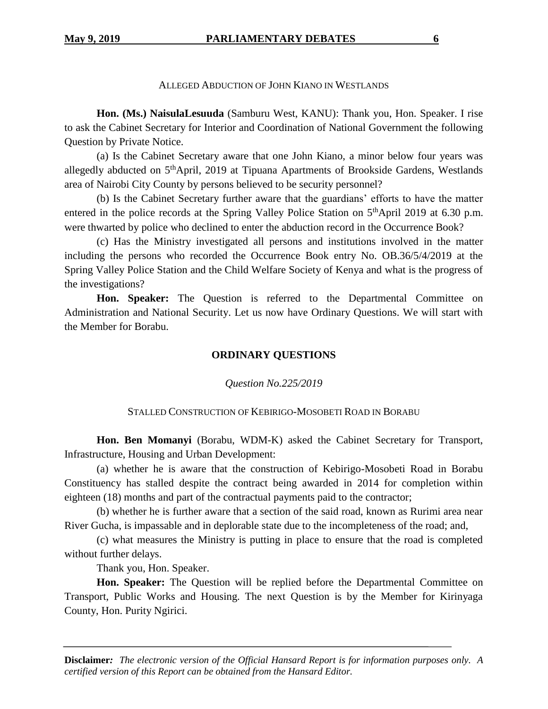#### ALLEGED ABDUCTION OF JOHN KIANO IN WESTLANDS

**Hon. (Ms.) NaisulaLesuuda** (Samburu West, KANU): Thank you, Hon. Speaker. I rise to ask the Cabinet Secretary for Interior and Coordination of National Government the following Question by Private Notice.

(a) Is the Cabinet Secretary aware that one John Kiano, a minor below four years was allegedly abducted on 5<sup>th</sup>April, 2019 at Tipuana Apartments of Brookside Gardens, Westlands area of Nairobi City County by persons believed to be security personnel?

(b) Is the Cabinet Secretary further aware that the guardians' efforts to have the matter entered in the police records at the Spring Valley Police Station on  $5<sup>th</sup>$ April 2019 at 6.30 p.m. were thwarted by police who declined to enter the abduction record in the Occurrence Book?

(c) Has the Ministry investigated all persons and institutions involved in the matter including the persons who recorded the Occurrence Book entry No. OB.36/5/4/2019 at the Spring Valley Police Station and the Child Welfare Society of Kenya and what is the progress of the investigations?

**Hon. Speaker:** The Question is referred to the Departmental Committee on Administration and National Security. Let us now have Ordinary Questions. We will start with the Member for Borabu.

# **ORDINARY QUESTIONS**

#### *Question No.225/2019*

#### STALLED CONSTRUCTION OF KEBIRIGO-MOSOBETI ROAD IN BORABU

**Hon. Ben Momanyi** (Borabu, WDM-K) asked the Cabinet Secretary for Transport, Infrastructure, Housing and Urban Development:

(a) whether he is aware that the construction of Kebirigo-Mosobeti Road in Borabu Constituency has stalled despite the contract being awarded in 2014 for completion within eighteen (18) months and part of the contractual payments paid to the contractor;

(b) whether he is further aware that a section of the said road, known as Rurimi area near River Gucha, is impassable and in deplorable state due to the incompleteness of the road; and,

(c) what measures the Ministry is putting in place to ensure that the road is completed without further delays.

Thank you, Hon. Speaker.

**Hon. Speaker:** The Question will be replied before the Departmental Committee on Transport, Public Works and Housing. The next Question is by the Member for Kirinyaga County, Hon. Purity Ngirici.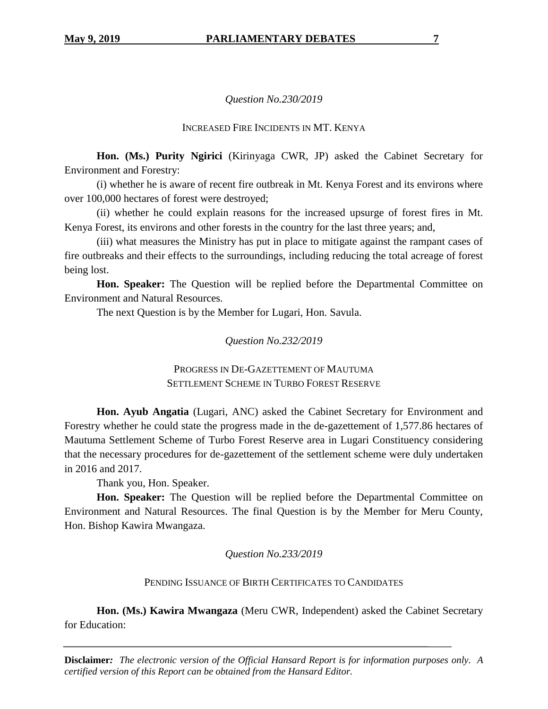# *Question No.230/2019*

# INCREASED FIRE INCIDENTS IN MT. KENYA

**Hon. (Ms.) Purity Ngirici** (Kirinyaga CWR, JP) asked the Cabinet Secretary for Environment and Forestry:

(i) whether he is aware of recent fire outbreak in Mt. Kenya Forest and its environs where over 100,000 hectares of forest were destroyed;

(ii) whether he could explain reasons for the increased upsurge of forest fires in Mt. Kenya Forest, its environs and other forests in the country for the last three years; and,

(iii) what measures the Ministry has put in place to mitigate against the rampant cases of fire outbreaks and their effects to the surroundings, including reducing the total acreage of forest being lost.

**Hon. Speaker:** The Question will be replied before the Departmental Committee on Environment and Natural Resources.

The next Question is by the Member for Lugari, Hon. Savula.

*Question No.232/2019*

PROGRESS IN DE-GAZETTEMENT OF MAUTUMA SETTLEMENT SCHEME IN TURBO FOREST RESERVE

**Hon. Ayub Angatia** (Lugari, ANC) asked the Cabinet Secretary for Environment and Forestry whether he could state the progress made in the de-gazettement of 1,577.86 hectares of Mautuma Settlement Scheme of Turbo Forest Reserve area in Lugari Constituency considering that the necessary procedures for de-gazettement of the settlement scheme were duly undertaken in 2016 and 2017.

Thank you, Hon. Speaker.

**Hon. Speaker:** The Question will be replied before the Departmental Committee on Environment and Natural Resources. The final Question is by the Member for Meru County, Hon. Bishop Kawira Mwangaza.

*Question No.233/2019*

PENDING ISSUANCE OF BIRTH CERTIFICATES TO CANDIDATES

**Hon. (Ms.) Kawira Mwangaza** (Meru CWR, Independent) asked the Cabinet Secretary for Education: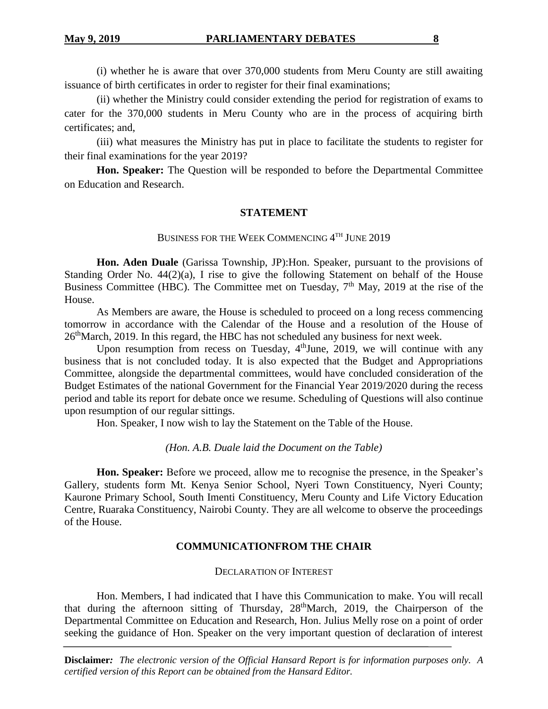(i) whether he is aware that over 370,000 students from Meru County are still awaiting issuance of birth certificates in order to register for their final examinations;

(ii) whether the Ministry could consider extending the period for registration of exams to cater for the 370,000 students in Meru County who are in the process of acquiring birth certificates; and,

(iii) what measures the Ministry has put in place to facilitate the students to register for their final examinations for the year 2019?

**Hon. Speaker:** The Question will be responded to before the Departmental Committee on Education and Research.

# **STATEMENT**

# BUSINESS FOR THE WEEK COMMENCING  $4^{\text{TH}}$  JUNE 2019

**Hon. Aden Duale** (Garissa Township, JP):Hon. Speaker, pursuant to the provisions of Standing Order No. 44(2)(a), I rise to give the following Statement on behalf of the House Business Committee (HBC). The Committee met on Tuesday,  $7<sup>th</sup>$  May, 2019 at the rise of the House.

As Members are aware, the House is scheduled to proceed on a long recess commencing tomorrow in accordance with the Calendar of the House and a resolution of the House of 26thMarch, 2019. In this regard, the HBC has not scheduled any business for next week.

Upon resumption from recess on Tuesday, 4<sup>th</sup>June, 2019, we will continue with any business that is not concluded today. It is also expected that the Budget and Appropriations Committee, alongside the departmental committees, would have concluded consideration of the Budget Estimates of the national Government for the Financial Year 2019/2020 during the recess period and table its report for debate once we resume. Scheduling of Questions will also continue upon resumption of our regular sittings.

Hon. Speaker, I now wish to lay the Statement on the Table of the House.

# *(Hon. A.B. Duale laid the Document on the Table)*

**Hon. Speaker:** Before we proceed, allow me to recognise the presence, in the Speaker's Gallery, students form Mt. Kenya Senior School, Nyeri Town Constituency, Nyeri County; Kaurone Primary School, South Imenti Constituency, Meru County and Life Victory Education Centre, Ruaraka Constituency, Nairobi County. They are all welcome to observe the proceedings of the House.

# **COMMUNICATIONFROM THE CHAIR**

DECLARATION OF INTEREST

Hon. Members, I had indicated that I have this Communication to make. You will recall that during the afternoon sitting of Thursday, 28thMarch, 2019, the Chairperson of the Departmental Committee on Education and Research, Hon. Julius Melly rose on a point of order seeking the guidance of Hon. Speaker on the very important question of declaration of interest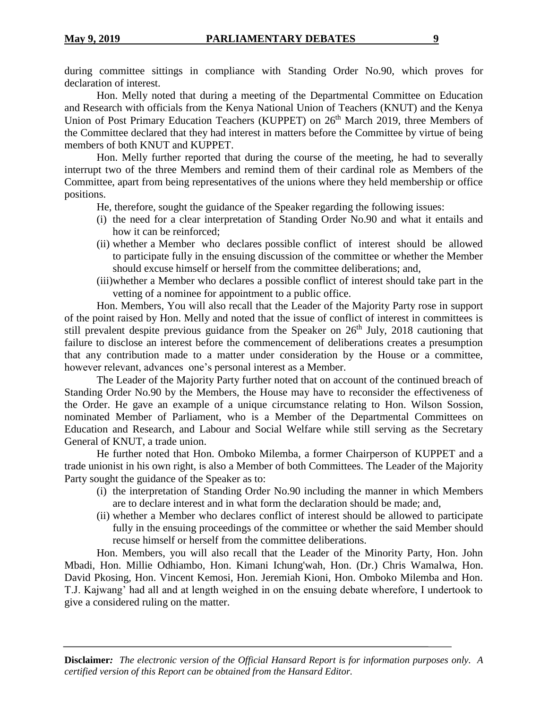during committee sittings in compliance with Standing Order No.90, which proves for declaration of interest.

Hon. Melly noted that during a meeting of the Departmental Committee on Education and Research with officials from the Kenya National Union of Teachers (KNUT) and the Kenya Union of Post Primary Education Teachers (KUPPET) on 26<sup>th</sup> March 2019, three Members of the Committee declared that they had interest in matters before the Committee by virtue of being members of both KNUT and KUPPET.

Hon. Melly further reported that during the course of the meeting, he had to severally interrupt two of the three Members and remind them of their cardinal role as Members of the Committee, apart from being representatives of the unions where they held membership or office positions.

He, therefore, sought the guidance of the Speaker regarding the following issues:

- (i) the need for a clear interpretation of Standing Order No.90 and what it entails and how it can be reinforced;
- (ii) whether a Member who declares possible conflict of interest should be allowed to participate fully in the ensuing discussion of the committee or whether the Member should excuse himself or herself from the committee deliberations; and,
- (iii)whether a Member who declares a possible conflict of interest should take part in the vetting of a nominee for appointment to a public office.

Hon. Members, You will also recall that the Leader of the Majority Party rose in support of the point raised by Hon. Melly and noted that the issue of conflict of interest in committees is still prevalent despite previous guidance from the Speaker on  $26<sup>th</sup>$  July, 2018 cautioning that failure to disclose an interest before the commencement of deliberations creates a presumption that any contribution made to a matter under consideration by the House or a committee, however relevant, advances one's personal interest as a Member.

The Leader of the Majority Party further noted that on account of the continued breach of Standing Order No.90 by the Members, the House may have to reconsider the effectiveness of the Order. He gave an example of a unique circumstance relating to Hon. Wilson Sossion, nominated Member of Parliament, who is a Member of the Departmental Committees on Education and Research, and Labour and Social Welfare while still serving as the Secretary General of KNUT, a trade union.

He further noted that Hon. Omboko Milemba, a former Chairperson of KUPPET and a trade unionist in his own right, is also a Member of both Committees. The Leader of the Majority Party sought the guidance of the Speaker as to:

- (i) the interpretation of Standing Order No.90 including the manner in which Members are to declare interest and in what form the declaration should be made; and,
- (ii) whether a Member who declares conflict of interest should be allowed to participate fully in the ensuing proceedings of the committee or whether the said Member should recuse himself or herself from the committee deliberations.

Hon. Members, you will also recall that the Leader of the Minority Party, Hon. John Mbadi, Hon. Millie Odhiambo, Hon. Kimani Ichung'wah, Hon. (Dr.) Chris Wamalwa, Hon. David Pkosing, Hon. Vincent Kemosi, Hon. Jeremiah Kioni, Hon. Omboko Milemba and Hon. T.J. Kajwang' had all and at length weighed in on the ensuing debate wherefore, I undertook to give a considered ruling on the matter.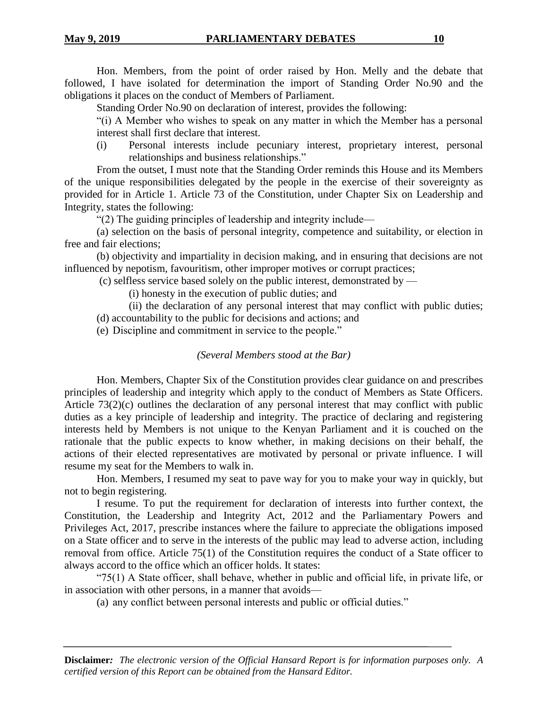Hon. Members, from the point of order raised by Hon. Melly and the debate that followed, I have isolated for determination the import of Standing Order No.90 and the obligations it places on the conduct of Members of Parliament.

Standing Order No.90 on declaration of interest, provides the following:

"(i) A Member who wishes to speak on any matter in which the Member has a personal interest shall first declare that interest.

(i) Personal interests include pecuniary interest, proprietary interest, personal relationships and business relationships."

From the outset, I must note that the Standing Order reminds this House and its Members of the unique responsibilities delegated by the people in the exercise of their sovereignty as provided for in Article 1. Article 73 of the Constitution, under Chapter Six on Leadership and Integrity, states the following:

"(2) The guiding principles of leadership and integrity include—

(a) selection on the basis of personal integrity, competence and suitability, or election in free and fair elections;

(b) objectivity and impartiality in decision making, and in ensuring that decisions are not influenced by nepotism, favouritism, other improper motives or corrupt practices;

(c) selfless service based solely on the public interest, demonstrated by —

(i) honesty in the execution of public duties; and

(ii) the declaration of any personal interest that may conflict with public duties;

(d) accountability to the public for decisions and actions; and

(e) Discipline and commitment in service to the people."

#### *(Several Members stood at the Bar)*

Hon. Members, Chapter Six of the Constitution provides clear guidance on and prescribes principles of leadership and integrity which apply to the conduct of Members as State Officers. Article 73(2)(c) outlines the declaration of any personal interest that may conflict with public duties as a key principle of leadership and integrity. The practice of declaring and registering interests held by Members is not unique to the Kenyan Parliament and it is couched on the rationale that the public expects to know whether, in making decisions on their behalf, the actions of their elected representatives are motivated by personal or private influence. I will resume my seat for the Members to walk in.

Hon. Members, I resumed my seat to pave way for you to make your way in quickly, but not to begin registering.

I resume. To put the requirement for declaration of interests into further context, the Constitution, the Leadership and Integrity Act, 2012 and the Parliamentary Powers and Privileges Act, 2017, prescribe instances where the failure to appreciate the obligations imposed on a State officer and to serve in the interests of the public may lead to adverse action, including removal from office. Article 75(1) of the Constitution requires the conduct of a State officer to always accord to the office which an officer holds. It states:

" $75(1)$  A State officer, shall behave, whether in public and official life, in private life, or in association with other persons, in a manner that avoids—

(a) any conflict between personal interests and public or official duties."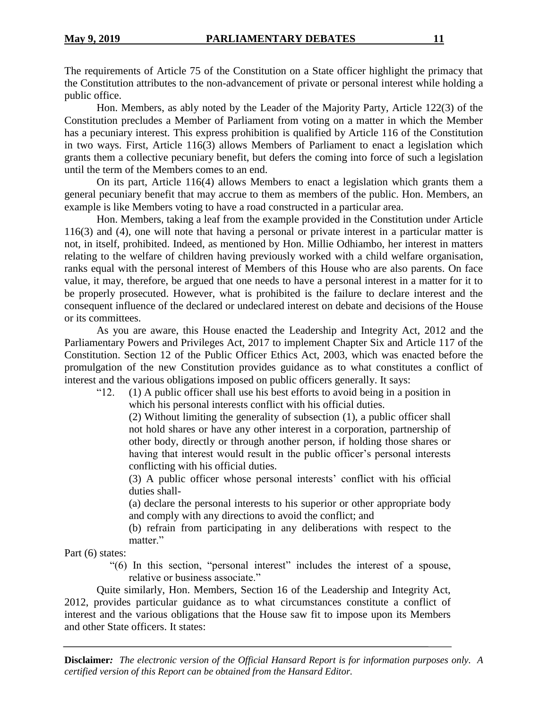The requirements of Article 75 of the Constitution on a State officer highlight the primacy that the Constitution attributes to the non-advancement of private or personal interest while holding a public office.

Hon. Members, as ably noted by the Leader of the Majority Party, Article 122(3) of the Constitution precludes a Member of Parliament from voting on a matter in which the Member has a pecuniary interest. This express prohibition is qualified by Article 116 of the Constitution in two ways. First, Article 116(3) allows Members of Parliament to enact a legislation which grants them a collective pecuniary benefit, but defers the coming into force of such a legislation until the term of the Members comes to an end.

On its part, Article 116(4) allows Members to enact a legislation which grants them a general pecuniary benefit that may accrue to them as members of the public. Hon. Members, an example is like Members voting to have a road constructed in a particular area.

Hon. Members, taking a leaf from the example provided in the Constitution under Article 116(3) and (4), one will note that having a personal or private interest in a particular matter is not, in itself, prohibited. Indeed, as mentioned by Hon. Millie Odhiambo, her interest in matters relating to the welfare of children having previously worked with a child welfare organisation, ranks equal with the personal interest of Members of this House who are also parents. On face value, it may, therefore, be argued that one needs to have a personal interest in a matter for it to be properly prosecuted. However, what is prohibited is the failure to declare interest and the consequent influence of the declared or undeclared interest on debate and decisions of the House or its committees.

As you are aware, this House enacted the Leadership and Integrity Act, 2012 and the Parliamentary Powers and Privileges Act, 2017 to implement Chapter Six and Article 117 of the Constitution. Section 12 of the Public Officer Ethics Act, 2003, which was enacted before the promulgation of the new Constitution provides guidance as to what constitutes a conflict of interest and the various obligations imposed on public officers generally. It says:

"12. (1) A public officer shall use his best efforts to avoid being in a position in which his personal interests conflict with his official duties.

(2) Without limiting the generality of subsection (1), a public officer shall not hold shares or have any other interest in a corporation, partnership of other body, directly or through another person, if holding those shares or having that interest would result in the public officer's personal interests conflicting with his official duties.

(3) A public officer whose personal interests' conflict with his official duties shall-

(a) declare the personal interests to his superior or other appropriate body and comply with any directions to avoid the conflict; and

(b) refrain from participating in any deliberations with respect to the matter."

Part (6) states:

"(6) In this section, "personal interest" includes the interest of a spouse, relative or business associate."

Quite similarly, Hon. Members, Section 16 of the Leadership and Integrity Act, 2012, provides particular guidance as to what circumstances constitute a conflict of interest and the various obligations that the House saw fit to impose upon its Members and other State officers. It states: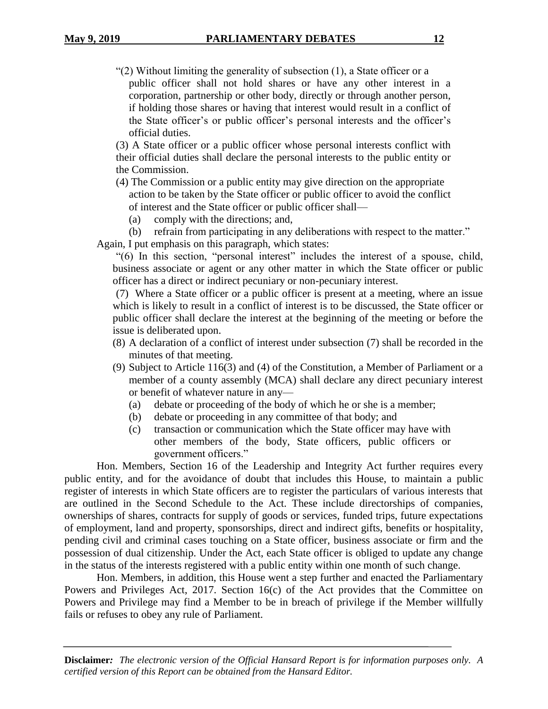"(2) Without limiting the generality of subsection (1), a State officer or a public officer shall not hold shares or have any other interest in a corporation, partnership or other body, directly or through another person, if holding those shares or having that interest would result in a conflict of the State officer's or public officer's personal interests and the officer's official duties.

(3) A State officer or a public officer whose personal interests conflict with their official duties shall declare the personal interests to the public entity or the Commission.

- (4) The Commission or a public entity may give direction on the appropriate action to be taken by the State officer or public officer to avoid the conflict of interest and the State officer or public officer shall—
	- (a) comply with the directions; and,

(b) refrain from participating in any deliberations with respect to the matter."

Again, I put emphasis on this paragraph, which states:

"(6) In this section, "personal interest" includes the interest of a spouse, child, business associate or agent or any other matter in which the State officer or public officer has a direct or indirect pecuniary or non-pecuniary interest.

(7) Where a State officer or a public officer is present at a meeting, where an issue which is likely to result in a conflict of interest is to be discussed, the State officer or public officer shall declare the interest at the beginning of the meeting or before the issue is deliberated upon.

- (8) A declaration of a conflict of interest under subsection (7) shall be recorded in the minutes of that meeting.
- (9) Subject to Article 116(3) and (4) of the Constitution, a Member of Parliament or a member of a county assembly (MCA) shall declare any direct pecuniary interest or benefit of whatever nature in any—
	- (a) debate or proceeding of the body of which he or she is a member;
	- (b) debate or proceeding in any committee of that body; and
	- (c) transaction or communication which the State officer may have with other members of the body, State officers, public officers or government officers."

Hon. Members, Section 16 of the Leadership and Integrity Act further requires every public entity, and for the avoidance of doubt that includes this House, to maintain a public register of interests in which State officers are to register the particulars of various interests that are outlined in the Second Schedule to the Act. These include directorships of companies, ownerships of shares, contracts for supply of goods or services, funded trips, future expectations of employment, land and property, sponsorships, direct and indirect gifts, benefits or hospitality, pending civil and criminal cases touching on a State officer, business associate or firm and the possession of dual citizenship. Under the Act, each State officer is obliged to update any change in the status of the interests registered with a public entity within one month of such change.

Hon. Members, in addition, this House went a step further and enacted the Parliamentary Powers and Privileges Act, 2017. Section 16(c) of the Act provides that the Committee on Powers and Privilege may find a Member to be in breach of privilege if the Member willfully fails or refuses to obey any rule of Parliament.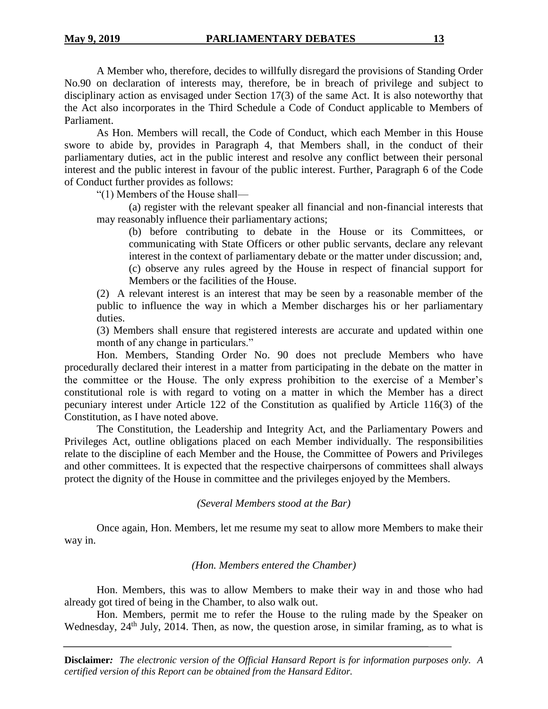A Member who, therefore, decides to willfully disregard the provisions of Standing Order No.90 on declaration of interests may, therefore, be in breach of privilege and subject to disciplinary action as envisaged under Section 17(3) of the same Act. It is also noteworthy that the Act also incorporates in the Third Schedule a Code of Conduct applicable to Members of Parliament.

As Hon. Members will recall, the Code of Conduct, which each Member in this House swore to abide by, provides in Paragraph 4, that Members shall, in the conduct of their parliamentary duties, act in the public interest and resolve any conflict between their personal interest and the public interest in favour of the public interest. Further, Paragraph 6 of the Code of Conduct further provides as follows:

"(1) Members of the House shall—

(a) register with the relevant speaker all financial and non-financial interests that may reasonably influence their parliamentary actions;

(b) before contributing to debate in the House or its Committees, or communicating with State Officers or other public servants, declare any relevant interest in the context of parliamentary debate or the matter under discussion; and, (c) observe any rules agreed by the House in respect of financial support for Members or the facilities of the House.

(2) A relevant interest is an interest that may be seen by a reasonable member of the public to influence the way in which a Member discharges his or her parliamentary duties.

(3) Members shall ensure that registered interests are accurate and updated within one month of any change in particulars."

Hon. Members, Standing Order No. 90 does not preclude Members who have procedurally declared their interest in a matter from participating in the debate on the matter in the committee or the House. The only express prohibition to the exercise of a Member's constitutional role is with regard to voting on a matter in which the Member has a direct pecuniary interest under Article 122 of the Constitution as qualified by Article 116(3) of the Constitution, as I have noted above.

The Constitution, the Leadership and Integrity Act, and the Parliamentary Powers and Privileges Act, outline obligations placed on each Member individually. The responsibilities relate to the discipline of each Member and the House, the Committee of Powers and Privileges and other committees. It is expected that the respective chairpersons of committees shall always protect the dignity of the House in committee and the privileges enjoyed by the Members.

# *(Several Members stood at the Bar)*

Once again, Hon. Members, let me resume my seat to allow more Members to make their way in.

#### *(Hon. Members entered the Chamber)*

Hon. Members, this was to allow Members to make their way in and those who had already got tired of being in the Chamber, to also walk out.

Hon. Members, permit me to refer the House to the ruling made by the Speaker on Wednesday,  $24<sup>th</sup>$  July,  $2014$ . Then, as now, the question arose, in similar framing, as to what is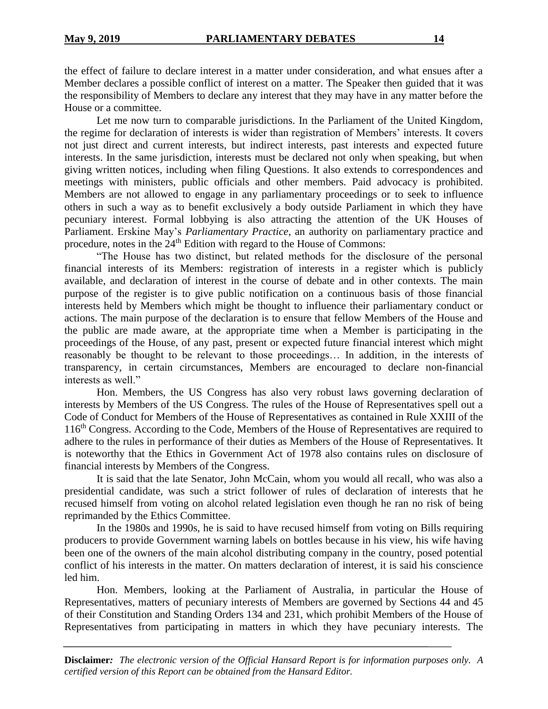the effect of failure to declare interest in a matter under consideration, and what ensues after a Member declares a possible conflict of interest on a matter. The Speaker then guided that it was the responsibility of Members to declare any interest that they may have in any matter before the House or a committee.

Let me now turn to comparable jurisdictions. In the Parliament of the United Kingdom, the regime for declaration of interests is wider than registration of Members' interests. It covers not just direct and current interests, but indirect interests, past interests and expected future interests. In the same jurisdiction, interests must be declared not only when speaking, but when giving written notices, including when filing Questions. It also extends to correspondences and meetings with ministers, public officials and other members. Paid advocacy is prohibited. Members are not allowed to engage in any parliamentary proceedings or to seek to influence others in such a way as to benefit exclusively a body outside Parliament in which they have pecuniary interest. Formal lobbying is also attracting the attention of the UK Houses of Parliament. Erskine May's *Parliamentary Practice*, an authority on parliamentary practice and procedure, notes in the 24<sup>th</sup> Edition with regard to the House of Commons:

"The House has two distinct, but related methods for the disclosure of the personal financial interests of its Members: registration of interests in a register which is publicly available, and declaration of interest in the course of debate and in other contexts. The main purpose of the register is to give public notification on a continuous basis of those financial interests held by Members which might be thought to influence their parliamentary conduct or actions. The main purpose of the declaration is to ensure that fellow Members of the House and the public are made aware, at the appropriate time when a Member is participating in the proceedings of the House, of any past, present or expected future financial interest which might reasonably be thought to be relevant to those proceedings… In addition, in the interests of transparency, in certain circumstances, Members are encouraged to declare non-financial interests as well."

Hon. Members, the US Congress has also very robust laws governing declaration of interests by Members of the US Congress. The rules of the House of Representatives spell out a Code of Conduct for Members of the House of Representatives as contained in Rule XXIII of the 116th Congress. According to the Code, Members of the House of Representatives are required to adhere to the rules in performance of their duties as Members of the House of Representatives. It is noteworthy that the Ethics in Government Act of 1978 also contains rules on disclosure of financial interests by Members of the Congress.

It is said that the late Senator, John McCain, whom you would all recall, who was also a presidential candidate, was such a strict follower of rules of declaration of interests that he recused himself from voting on alcohol related legislation even though he ran no risk of being reprimanded by the Ethics Committee.

In the 1980s and 1990s, he is said to have recused himself from voting on Bills requiring producers to provide Government warning labels on bottles because in his view, his wife having been one of the owners of the main alcohol distributing company in the country, posed potential conflict of his interests in the matter. On matters declaration of interest, it is said his conscience led him.

Hon. Members, looking at the Parliament of Australia, in particular the House of Representatives, matters of pecuniary interests of Members are governed by Sections 44 and 45 of their Constitution and Standing Orders 134 and 231, which prohibit Members of the House of Representatives from participating in matters in which they have pecuniary interests. The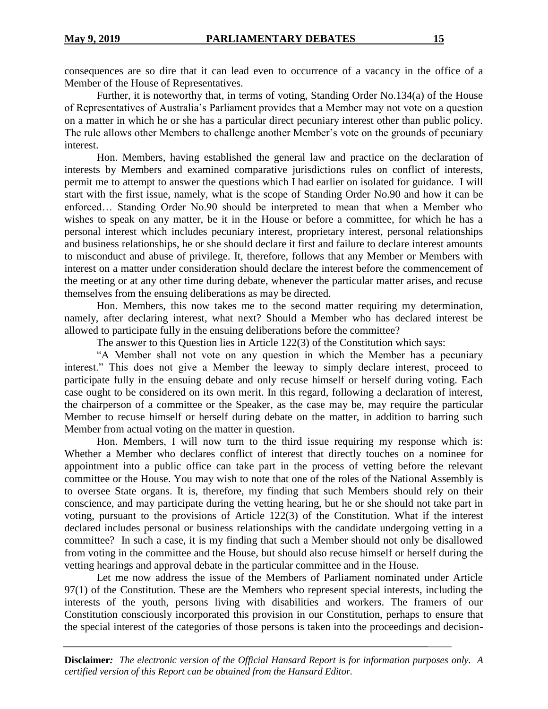consequences are so dire that it can lead even to occurrence of a vacancy in the office of a Member of the House of Representatives.

Further, it is noteworthy that, in terms of voting, Standing Order No.134(a) of the House of Representatives of Australia's Parliament provides that a Member may not vote on a question on a matter in which he or she has a particular direct pecuniary interest other than public policy. The rule allows other Members to challenge another Member's vote on the grounds of pecuniary interest.

Hon. Members, having established the general law and practice on the declaration of interests by Members and examined comparative jurisdictions rules on conflict of interests, permit me to attempt to answer the questions which I had earlier on isolated for guidance. I will start with the first issue, namely, what is the scope of Standing Order No.90 and how it can be enforced… Standing Order No.90 should be interpreted to mean that when a Member who wishes to speak on any matter, be it in the House or before a committee, for which he has a personal interest which includes pecuniary interest, proprietary interest, personal relationships and business relationships, he or she should declare it first and failure to declare interest amounts to misconduct and abuse of privilege. It, therefore, follows that any Member or Members with interest on a matter under consideration should declare the interest before the commencement of the meeting or at any other time during debate, whenever the particular matter arises, and recuse themselves from the ensuing deliberations as may be directed.

Hon. Members, this now takes me to the second matter requiring my determination, namely, after declaring interest, what next? Should a Member who has declared interest be allowed to participate fully in the ensuing deliberations before the committee?

The answer to this Question lies in Article 122(3) of the Constitution which says:

"A Member shall not vote on any question in which the Member has a pecuniary interest." This does not give a Member the leeway to simply declare interest, proceed to participate fully in the ensuing debate and only recuse himself or herself during voting. Each case ought to be considered on its own merit. In this regard, following a declaration of interest, the chairperson of a committee or the Speaker, as the case may be, may require the particular Member to recuse himself or herself during debate on the matter, in addition to barring such Member from actual voting on the matter in question.

Hon. Members, I will now turn to the third issue requiring my response which is: Whether a Member who declares conflict of interest that directly touches on a nominee for appointment into a public office can take part in the process of vetting before the relevant committee or the House. You may wish to note that one of the roles of the National Assembly is to oversee State organs. It is, therefore, my finding that such Members should rely on their conscience, and may participate during the vetting hearing, but he or she should not take part in voting, pursuant to the provisions of Article 122(3) of the Constitution. What if the interest declared includes personal or business relationships with the candidate undergoing vetting in a committee? In such a case, it is my finding that such a Member should not only be disallowed from voting in the committee and the House, but should also recuse himself or herself during the vetting hearings and approval debate in the particular committee and in the House.

Let me now address the issue of the Members of Parliament nominated under Article 97(1) of the Constitution. These are the Members who represent special interests, including the interests of the youth, persons living with disabilities and workers. The framers of our Constitution consciously incorporated this provision in our Constitution, perhaps to ensure that the special interest of the categories of those persons is taken into the proceedings and decision-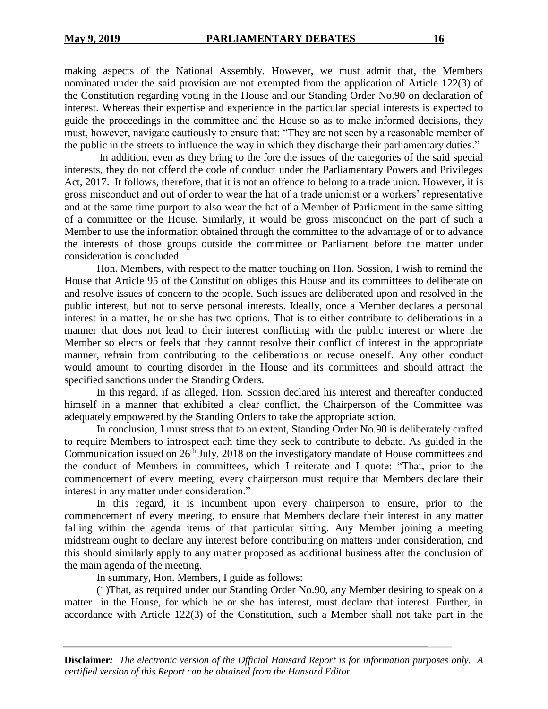making aspects of the National Assembly. However, we must admit that, the Members nominated under the said provision are not exempted from the application of Article 122(3) of the Constitution regarding voting in the House and our Standing Order No.90 on declaration of interest. Whereas their expertise and experience in the particular special interests is expected to guide the proceedings in the committee and the House so as to make informed decisions, they must, however, navigate cautiously to ensure that: "They are not seen by a reasonable member of the public in the streets to influence the way in which they discharge their parliamentary duties."

In addition, even as they bring to the fore the issues of the categories of the said special interests, they do not offend the code of conduct under the Parliamentary Powers and Privileges Act, 2017. It follows, therefore, that it is not an offence to belong to a trade union. However, it is gross misconduct and out of order to wear the hat of a trade unionist or a workers' representative and at the same time purport to also wear the hat of a Member of Parliament in the same sitting of a committee or the House. Similarly, it would be gross misconduct on the part of such a Member to use the information obtained through the committee to the advantage of or to advance the interests of those groups outside the committee or Parliament before the matter under consideration is concluded.

Hon. Members, with respect to the matter touching on Hon. Sossion, I wish to remind the House that Article 95 of the Constitution obliges this House and its committees to deliberate on and resolve issues of concern to the people. Such issues are deliberated upon and resolved in the public interest, but not to serve personal interests. Ideally, once a Member declares a personal interest in a matter, he or she has two options. That is to either contribute to deliberations in a manner that does not lead to their interest conflicting with the public interest or where the Member so elects or feels that they cannot resolve their conflict of interest in the appropriate manner, refrain from contributing to the deliberations or recuse oneself. Any other conduct would amount to courting disorder in the House and its committees and should attract the specified sanctions under the Standing Orders.

In this regard, if as alleged, Hon. Sossion declared his interest and thereafter conducted himself in a manner that exhibited a clear conflict, the Chairperson of the Committee was adequately empowered by the Standing Orders to take the appropriate action.

In conclusion, I must stress that to an extent, Standing Order No.90 is deliberately crafted to require Members to introspect each time they seek to contribute to debate. As guided in the Communication issued on  $26<sup>th</sup>$  July, 2018 on the investigatory mandate of House committees and the conduct of Members in committees, which I reiterate and I quote: "That, prior to the commencement of every meeting, every chairperson must require that Members declare their interest in any matter under consideration."

In this regard, it is incumbent upon every chairperson to ensure, prior to the commencement of every meeting, to ensure that Members declare their interest in any matter falling within the agenda items of that particular sitting. Any Member joining a meeting midstream ought to declare any interest before contributing on matters under consideration, and this should similarly apply to any matter proposed as additional business after the conclusion of the main agenda of the meeting.

In summary, Hon. Members, I guide as follows:

(1)That, as required under our Standing Order No.90, any Member desiring to speak on a matter in the House, for which he or she has interest, must declare that interest. Further, in accordance with Article 122(3) of the Constitution, such a Member shall not take part in the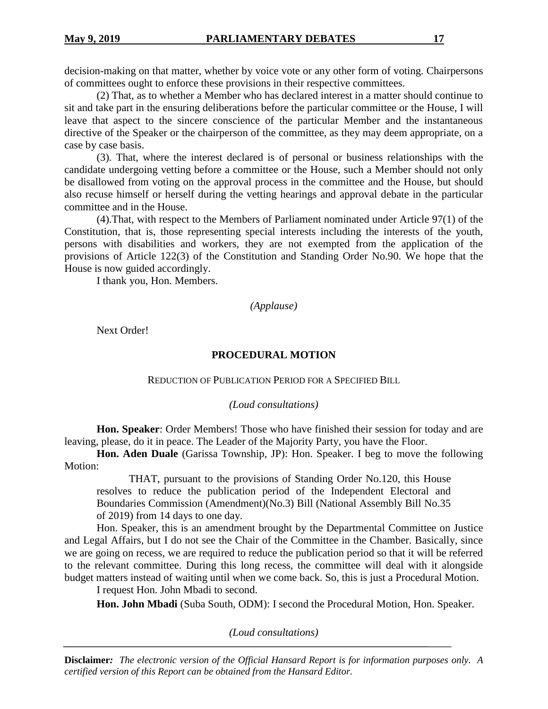decision-making on that matter, whether by voice vote or any other form of voting. Chairpersons of committees ought to enforce these provisions in their respective committees.

(2) That, as to whether a Member who has declared interest in a matter should continue to sit and take part in the ensuring deliberations before the particular committee or the House, I will leave that aspect to the sincere conscience of the particular Member and the instantaneous directive of the Speaker or the chairperson of the committee, as they may deem appropriate, on a case by case basis.

(3). That, where the interest declared is of personal or business relationships with the candidate undergoing vetting before a committee or the House, such a Member should not only be disallowed from voting on the approval process in the committee and the House, but should also recuse himself or herself during the vetting hearings and approval debate in the particular committee and in the House.

(4).That, with respect to the Members of Parliament nominated under Article 97(1) of the Constitution, that is, those representing special interests including the interests of the youth, persons with disabilities and workers, they are not exempted from the application of the provisions of Article 122(3) of the Constitution and Standing Order No.90. We hope that the House is now guided accordingly.

I thank you, Hon. Members.

*(Applause)*

Next Order!

# **PROCEDURAL MOTION**

REDUCTION OF PUBLICATION PERIOD FOR A SPECIFIED BILL

*(Loud consultations)*

**Hon. Speaker**: Order Members! Those who have finished their session for today and are leaving, please, do it in peace. The Leader of the Majority Party, you have the Floor.

**Hon. Aden Duale** (Garissa Township, JP): Hon. Speaker. I beg to move the following Motion:

THAT, pursuant to the provisions of Standing Order No.120, this House resolves to reduce the publication period of the Independent Electoral and Boundaries Commission (Amendment)(No.3) Bill (National Assembly Bill No.35 of 2019) from 14 days to one day.

Hon. Speaker, this is an amendment brought by the Departmental Committee on Justice and Legal Affairs, but I do not see the Chair of the Committee in the Chamber. Basically, since we are going on recess, we are required to reduce the publication period so that it will be referred to the relevant committee. During this long recess, the committee will deal with it alongside budget matters instead of waiting until when we come back. So, this is just a Procedural Motion.

I request Hon. John Mbadi to second.

**Hon. John Mbadi** (Suba South, ODM): I second the Procedural Motion, Hon. Speaker.

*(Loud consultations)*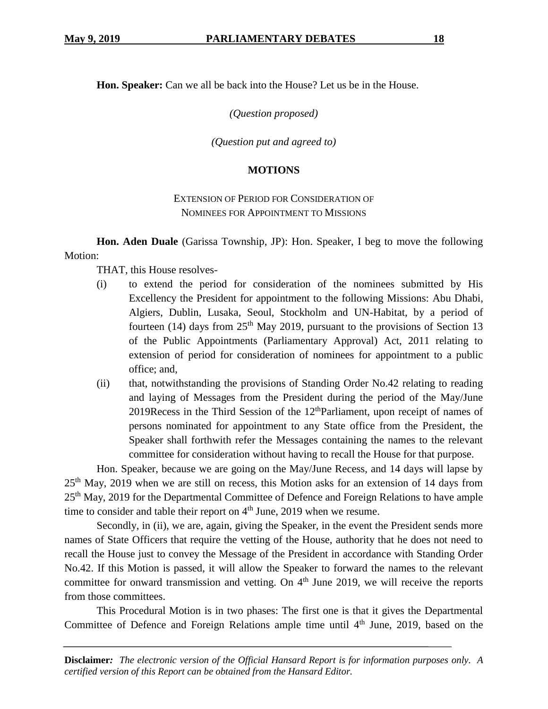**Hon. Speaker:** Can we all be back into the House? Let us be in the House.

*(Question proposed)*

*(Question put and agreed to)*

# **MOTIONS**

# EXTENSION OF PERIOD FOR CONSIDERATION OF NOMINEES FOR APPOINTMENT TO MISSIONS

**Hon. Aden Duale** (Garissa Township, JP): Hon. Speaker, I beg to move the following Motion:

THAT, this House resolves-

- (i) to extend the period for consideration of the nominees submitted by His Excellency the President for appointment to the following Missions: Abu Dhabi, Algiers, Dublin, Lusaka, Seoul, Stockholm and UN-Habitat, by a period of fourteen (14) days from  $25<sup>th</sup>$  May 2019, pursuant to the provisions of Section 13 of the Public Appointments (Parliamentary Approval) Act, 2011 relating to extension of period for consideration of nominees for appointment to a public office; and,
- (ii) that, notwithstanding the provisions of Standing Order No.42 relating to reading and laying of Messages from the President during the period of the May/June 2019Recess in the Third Session of the  $12<sup>th</sup>$ Parliament, upon receipt of names of persons nominated for appointment to any State office from the President, the Speaker shall forthwith refer the Messages containing the names to the relevant committee for consideration without having to recall the House for that purpose.

Hon. Speaker, because we are going on the May/June Recess, and 14 days will lapse by 25th May, 2019 when we are still on recess, this Motion asks for an extension of 14 days from 25<sup>th</sup> May, 2019 for the Departmental Committee of Defence and Foreign Relations to have ample time to consider and table their report on  $4<sup>th</sup>$  June, 2019 when we resume.

Secondly, in (ii), we are, again, giving the Speaker, in the event the President sends more names of State Officers that require the vetting of the House, authority that he does not need to recall the House just to convey the Message of the President in accordance with Standing Order No.42. If this Motion is passed, it will allow the Speaker to forward the names to the relevant committee for onward transmission and vetting. On  $4<sup>th</sup>$  June 2019, we will receive the reports from those committees.

This Procedural Motion is in two phases: The first one is that it gives the Departmental Committee of Defence and Foreign Relations ample time until 4<sup>th</sup> June, 2019, based on the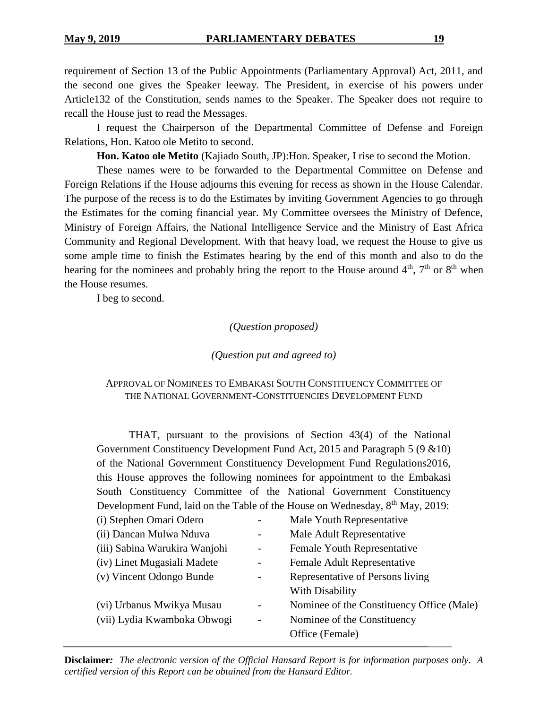requirement of Section 13 of the Public Appointments (Parliamentary Approval) Act, 2011, and the second one gives the Speaker leeway. The President, in exercise of his powers under Article132 of the Constitution, sends names to the Speaker. The Speaker does not require to recall the House just to read the Messages.

I request the Chairperson of the Departmental Committee of Defense and Foreign Relations, Hon. Katoo ole Metito to second.

**Hon. Katoo ole Metito** (Kajiado South, JP):Hon. Speaker, I rise to second the Motion.

These names were to be forwarded to the Departmental Committee on Defense and Foreign Relations if the House adjourns this evening for recess as shown in the House Calendar. The purpose of the recess is to do the Estimates by inviting Government Agencies to go through the Estimates for the coming financial year. My Committee oversees the Ministry of Defence, Ministry of Foreign Affairs, the National Intelligence Service and the Ministry of East Africa Community and Regional Development. With that heavy load, we request the House to give us some ample time to finish the Estimates hearing by the end of this month and also to do the hearing for the nominees and probably bring the report to the House around  $4<sup>th</sup>$ ,  $7<sup>th</sup>$  or  $8<sup>th</sup>$  when the House resumes.

I beg to second.

# *(Question proposed)*

#### *(Question put and agreed to)*

# APPROVAL OF NOMINEES TO EMBAKASI SOUTH CONSTITUENCY COMMITTEE OF THE NATIONAL GOVERNMENT-CONSTITUENCIES DEVELOPMENT FUND

THAT, pursuant to the provisions of Section 43(4) of the National Government Constituency Development Fund Act, 2015 and Paragraph 5 (9 &10) of the National Government Constituency Development Fund Regulations2016, this House approves the following nominees for appointment to the Embakasi South Constituency Committee of the National Government Constituency Development Fund, laid on the Table of the House on Wednesday, 8<sup>th</sup> May, 2019:

| (i) Stephen Omari Odero       |                          | Male Youth Representative                 |
|-------------------------------|--------------------------|-------------------------------------------|
| (ii) Dancan Mulwa Nduva       |                          | Male Adult Representative                 |
| (iii) Sabina Warukira Wanjohi |                          | Female Youth Representative               |
| (iv) Linet Mugasiali Madete   |                          | Female Adult Representative               |
| (v) Vincent Odongo Bunde      |                          | Representative of Persons living          |
|                               |                          | With Disability                           |
| (vi) Urbanus Mwikya Musau     |                          | Nominee of the Constituency Office (Male) |
| (vii) Lydia Kwamboka Obwogi   | $\overline{\phantom{a}}$ | Nominee of the Constituency               |
|                               |                          | Office (Female)                           |
|                               |                          |                                           |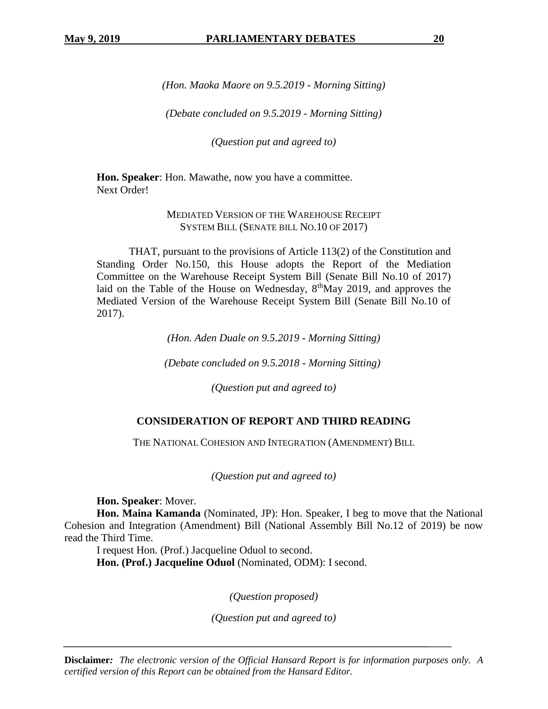*(Hon. Maoka Maore on 9.5.2019 - Morning Sitting)*

*(Debate concluded on 9.5.2019 - Morning Sitting)*

*(Question put and agreed to)*

**Hon. Speaker**: Hon. Mawathe, now you have a committee. Next Order!

### MEDIATED VERSION OF THE WAREHOUSE RECEIPT SYSTEM BILL (SENATE BILL NO.10 OF 2017)

THAT, pursuant to the provisions of Article 113(2) of the Constitution and Standing Order No.150, this House adopts the Report of the Mediation Committee on the Warehouse Receipt System Bill (Senate Bill No.10 of 2017) laid on the Table of the House on Wednesday, 8<sup>th</sup>May 2019, and approves the Mediated Version of the Warehouse Receipt System Bill (Senate Bill No.10 of 2017).

*(Hon. Aden Duale on 9.5.2019 - Morning Sitting)*

*(Debate concluded on 9.5.2018 - Morning Sitting)* 

*(Question put and agreed to)*

#### **CONSIDERATION OF REPORT AND THIRD READING**

THE NATIONAL COHESION AND INTEGRATION (AMENDMENT) BILL

*(Question put and agreed to)*

**Hon. Speaker**: Mover.

**Hon. Maina Kamanda** (Nominated, JP): Hon. Speaker, I beg to move that the National Cohesion and Integration (Amendment) Bill (National Assembly Bill No.12 of 2019) be now read the Third Time.

I request Hon. (Prof.) Jacqueline Oduol to second. **Hon. (Prof.) Jacqueline Oduol** (Nominated, ODM): I second.

*(Question proposed)*

*(Question put and agreed to)*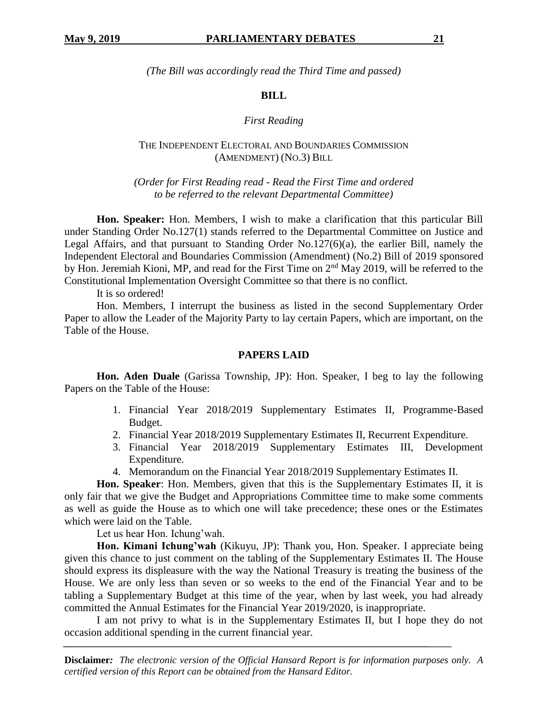*(The Bill was accordingly read the Third Time and passed)*

# **BILL**

# *First Reading*

# THE INDEPENDENT ELECTORAL AND BOUNDARIES COMMISSION (AMENDMENT) (NO.3) BILL

*(Order for First Reading read - Read the First Time and ordered to be referred to the relevant Departmental Committee)*

**Hon. Speaker:** Hon. Members, I wish to make a clarification that this particular Bill under Standing Order No.127(1) stands referred to the Departmental Committee on Justice and Legal Affairs, and that pursuant to Standing Order No.127(6)(a), the earlier Bill, namely the Independent Electoral and Boundaries Commission (Amendment) (No.2) Bill of 2019 sponsored by Hon. Jeremiah Kioni, MP, and read for the First Time on 2<sup>nd</sup> May 2019, will be referred to the Constitutional Implementation Oversight Committee so that there is no conflict.

It is so ordered!

Hon. Members, I interrupt the business as listed in the second Supplementary Order Paper to allow the Leader of the Majority Party to lay certain Papers, which are important, on the Table of the House.

# **PAPERS LAID**

**Hon. Aden Duale** (Garissa Township, JP): Hon. Speaker, I beg to lay the following Papers on the Table of the House:

- 1. Financial Year 2018/2019 Supplementary Estimates II, Programme-Based Budget.
- 2. Financial Year 2018/2019 Supplementary Estimates II, Recurrent Expenditure.
- 3. Financial Year 2018/2019 Supplementary Estimates III, Development Expenditure.
- 4. Memorandum on the Financial Year 2018/2019 Supplementary Estimates II.

**Hon. Speaker**: Hon. Members, given that this is the Supplementary Estimates II, it is only fair that we give the Budget and Appropriations Committee time to make some comments as well as guide the House as to which one will take precedence; these ones or the Estimates which were laid on the Table.

Let us hear Hon. Ichung'wah.

**Hon. Kimani Ichung'wah** (Kikuyu, JP): Thank you, Hon. Speaker. I appreciate being given this chance to just comment on the tabling of the Supplementary Estimates II. The House should express its displeasure with the way the National Treasury is treating the business of the House. We are only less than seven or so weeks to the end of the Financial Year and to be tabling a Supplementary Budget at this time of the year, when by last week, you had already committed the Annual Estimates for the Financial Year 2019/2020, is inappropriate.

I am not privy to what is in the Supplementary Estimates II, but I hope they do not occasion additional spending in the current financial year.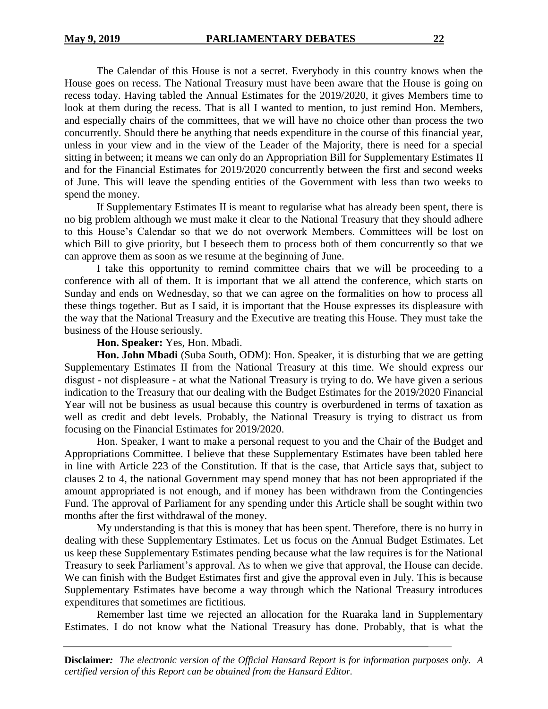The Calendar of this House is not a secret. Everybody in this country knows when the House goes on recess. The National Treasury must have been aware that the House is going on recess today. Having tabled the Annual Estimates for the 2019/2020, it gives Members time to look at them during the recess. That is all I wanted to mention, to just remind Hon. Members, and especially chairs of the committees, that we will have no choice other than process the two concurrently. Should there be anything that needs expenditure in the course of this financial year, unless in your view and in the view of the Leader of the Majority, there is need for a special sitting in between; it means we can only do an Appropriation Bill for Supplementary Estimates II and for the Financial Estimates for 2019/2020 concurrently between the first and second weeks of June. This will leave the spending entities of the Government with less than two weeks to spend the money.

If Supplementary Estimates II is meant to regularise what has already been spent, there is no big problem although we must make it clear to the National Treasury that they should adhere to this House's Calendar so that we do not overwork Members. Committees will be lost on which Bill to give priority, but I beseech them to process both of them concurrently so that we can approve them as soon as we resume at the beginning of June.

I take this opportunity to remind committee chairs that we will be proceeding to a conference with all of them. It is important that we all attend the conference, which starts on Sunday and ends on Wednesday, so that we can agree on the formalities on how to process all these things together. But as I said, it is important that the House expresses its displeasure with the way that the National Treasury and the Executive are treating this House. They must take the business of the House seriously.

#### **Hon. Speaker:** Yes, Hon. Mbadi.

**Hon. John Mbadi** (Suba South, ODM): Hon. Speaker, it is disturbing that we are getting Supplementary Estimates II from the National Treasury at this time. We should express our disgust - not displeasure - at what the National Treasury is trying to do. We have given a serious indication to the Treasury that our dealing with the Budget Estimates for the 2019/2020 Financial Year will not be business as usual because this country is overburdened in terms of taxation as well as credit and debt levels. Probably, the National Treasury is trying to distract us from focusing on the Financial Estimates for 2019/2020.

Hon. Speaker, I want to make a personal request to you and the Chair of the Budget and Appropriations Committee. I believe that these Supplementary Estimates have been tabled here in line with Article 223 of the Constitution. If that is the case, that Article says that, subject to clauses 2 to 4, the national Government may spend money that has not been appropriated if the amount appropriated is not enough, and if money has been withdrawn from the Contingencies Fund. The approval of Parliament for any spending under this Article shall be sought within two months after the first withdrawal of the money.

My understanding is that this is money that has been spent. Therefore, there is no hurry in dealing with these Supplementary Estimates. Let us focus on the Annual Budget Estimates. Let us keep these Supplementary Estimates pending because what the law requires is for the National Treasury to seek Parliament's approval. As to when we give that approval, the House can decide. We can finish with the Budget Estimates first and give the approval even in July. This is because Supplementary Estimates have become a way through which the National Treasury introduces expenditures that sometimes are fictitious.

Remember last time we rejected an allocation for the Ruaraka land in Supplementary Estimates. I do not know what the National Treasury has done. Probably, that is what the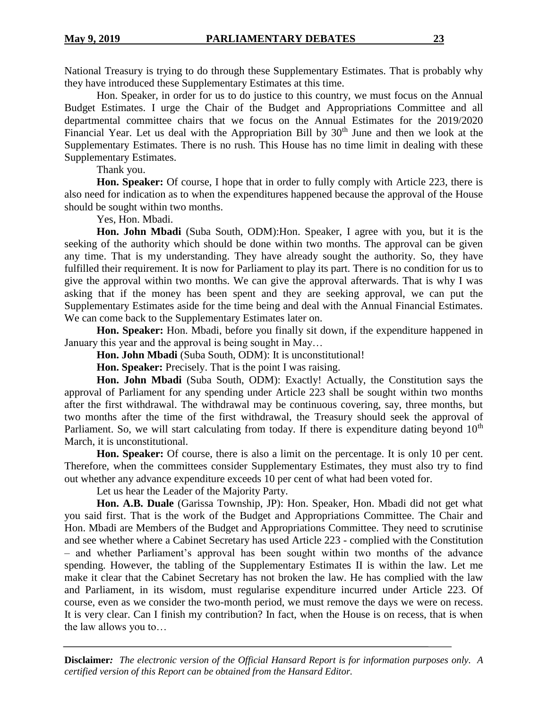National Treasury is trying to do through these Supplementary Estimates. That is probably why they have introduced these Supplementary Estimates at this time.

Hon. Speaker, in order for us to do justice to this country, we must focus on the Annual Budget Estimates. I urge the Chair of the Budget and Appropriations Committee and all departmental committee chairs that we focus on the Annual Estimates for the 2019/2020 Financial Year. Let us deal with the Appropriation Bill by 30<sup>th</sup> June and then we look at the Supplementary Estimates. There is no rush. This House has no time limit in dealing with these Supplementary Estimates.

Thank you.

**Hon. Speaker:** Of course, I hope that in order to fully comply with Article 223, there is also need for indication as to when the expenditures happened because the approval of the House should be sought within two months.

Yes, Hon. Mbadi.

**Hon. John Mbadi** (Suba South, ODM):Hon. Speaker, I agree with you, but it is the seeking of the authority which should be done within two months. The approval can be given any time. That is my understanding. They have already sought the authority. So, they have fulfilled their requirement. It is now for Parliament to play its part. There is no condition for us to give the approval within two months. We can give the approval afterwards. That is why I was asking that if the money has been spent and they are seeking approval, we can put the Supplementary Estimates aside for the time being and deal with the Annual Financial Estimates. We can come back to the Supplementary Estimates later on.

**Hon. Speaker:** Hon. Mbadi, before you finally sit down, if the expenditure happened in January this year and the approval is being sought in May…

**Hon. John Mbadi** (Suba South, ODM): It is unconstitutional!

**Hon. Speaker:** Precisely. That is the point I was raising.

**Hon. John Mbadi** (Suba South, ODM): Exactly! Actually, the Constitution says the approval of Parliament for any spending under Article 223 shall be sought within two months after the first withdrawal. The withdrawal may be continuous covering, say, three months, but two months after the time of the first withdrawal, the Treasury should seek the approval of Parliament. So, we will start calculating from today. If there is expenditure dating beyond  $10<sup>th</sup>$ March, it is unconstitutional.

**Hon. Speaker:** Of course, there is also a limit on the percentage. It is only 10 per cent. Therefore, when the committees consider Supplementary Estimates, they must also try to find out whether any advance expenditure exceeds 10 per cent of what had been voted for.

Let us hear the Leader of the Majority Party.

**Hon. A.B. Duale** (Garissa Township, JP): Hon. Speaker, Hon. Mbadi did not get what you said first. That is the work of the Budget and Appropriations Committee. The Chair and Hon. Mbadi are Members of the Budget and Appropriations Committee. They need to scrutinise and see whether where a Cabinet Secretary has used Article 223 - complied with the Constitution – and whether Parliament's approval has been sought within two months of the advance spending. However, the tabling of the Supplementary Estimates II is within the law. Let me make it clear that the Cabinet Secretary has not broken the law. He has complied with the law and Parliament, in its wisdom, must regularise expenditure incurred under Article 223. Of course, even as we consider the two-month period, we must remove the days we were on recess. It is very clear. Can I finish my contribution? In fact, when the House is on recess, that is when the law allows you to…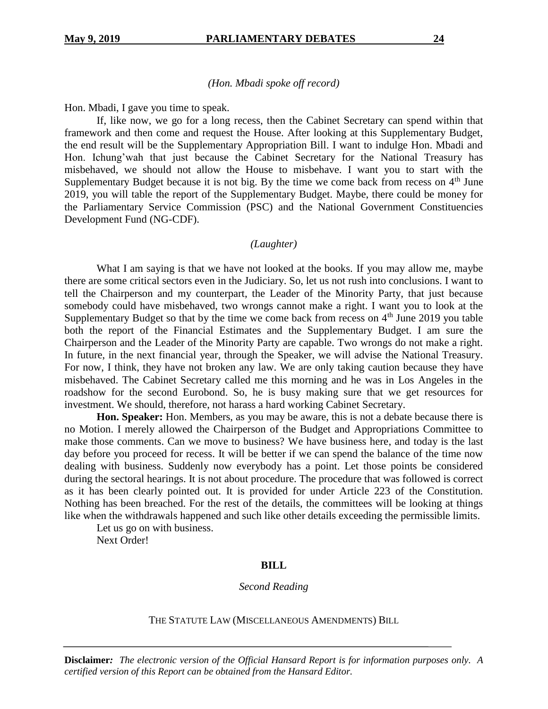#### *(Hon. Mbadi spoke off record)*

Hon. Mbadi, I gave you time to speak.

If, like now, we go for a long recess, then the Cabinet Secretary can spend within that framework and then come and request the House. After looking at this Supplementary Budget, the end result will be the Supplementary Appropriation Bill. I want to indulge Hon. Mbadi and Hon. Ichung'wah that just because the Cabinet Secretary for the National Treasury has misbehaved, we should not allow the House to misbehave. I want you to start with the Supplementary Budget because it is not big. By the time we come back from recess on  $4<sup>th</sup>$  June 2019, you will table the report of the Supplementary Budget. Maybe, there could be money for the Parliamentary Service Commission (PSC) and the National Government Constituencies Development Fund (NG-CDF).

#### *(Laughter)*

What I am saying is that we have not looked at the books. If you may allow me, maybe there are some critical sectors even in the Judiciary. So, let us not rush into conclusions. I want to tell the Chairperson and my counterpart, the Leader of the Minority Party, that just because somebody could have misbehaved, two wrongs cannot make a right. I want you to look at the Supplementary Budget so that by the time we come back from recess on  $4<sup>th</sup>$  June 2019 you table both the report of the Financial Estimates and the Supplementary Budget. I am sure the Chairperson and the Leader of the Minority Party are capable. Two wrongs do not make a right. In future, in the next financial year, through the Speaker, we will advise the National Treasury. For now, I think, they have not broken any law. We are only taking caution because they have misbehaved. The Cabinet Secretary called me this morning and he was in Los Angeles in the roadshow for the second Eurobond. So, he is busy making sure that we get resources for investment. We should, therefore, not harass a hard working Cabinet Secretary.

**Hon. Speaker:** Hon. Members, as you may be aware, this is not a debate because there is no Motion. I merely allowed the Chairperson of the Budget and Appropriations Committee to make those comments. Can we move to business? We have business here, and today is the last day before you proceed for recess. It will be better if we can spend the balance of the time now dealing with business. Suddenly now everybody has a point. Let those points be considered during the sectoral hearings. It is not about procedure. The procedure that was followed is correct as it has been clearly pointed out. It is provided for under Article 223 of the Constitution. Nothing has been breached. For the rest of the details, the committees will be looking at things like when the withdrawals happened and such like other details exceeding the permissible limits.

Let us go on with business. Next Order!

#### **BILL**

#### *Second Reading*

#### THE STATUTE LAW (MISCELLANEOUS AMENDMENTS) BILL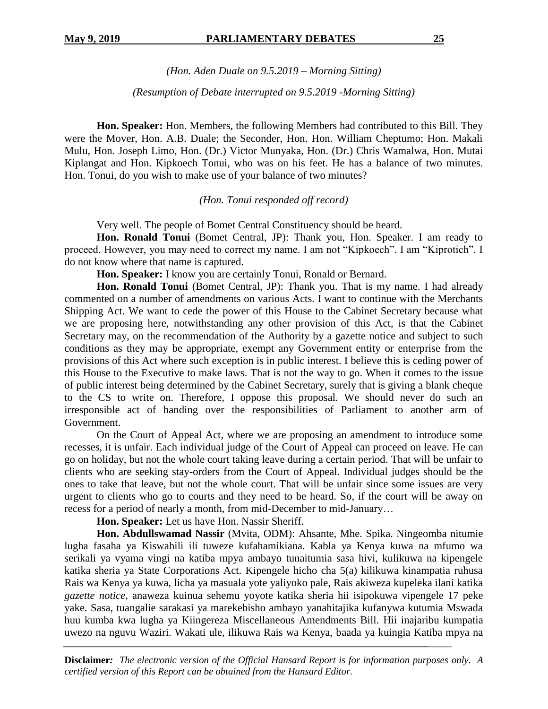*(Hon. Aden Duale on 9.5.2019 – Morning Sitting)*

*(Resumption of Debate interrupted on 9.5.2019 -Morning Sitting)*

**Hon. Speaker:** Hon. Members, the following Members had contributed to this Bill. They were the Mover, Hon. A.B. Duale; the Seconder, Hon. Hon. William Cheptumo; Hon. Makali Mulu, Hon. Joseph Limo, Hon. (Dr.) Victor Munyaka, Hon. (Dr.) Chris Wamalwa, Hon. Mutai Kiplangat and Hon. Kipkoech Tonui, who was on his feet. He has a balance of two minutes. Hon. Tonui, do you wish to make use of your balance of two minutes?

*(Hon. Tonui responded off record)*

Very well. The people of Bomet Central Constituency should be heard.

**Hon. Ronald Tonui** (Bomet Central, JP): Thank you, Hon. Speaker. I am ready to proceed. However, you may need to correct my name. I am not "Kipkoech". I am "Kiprotich". I do not know where that name is captured.

**Hon. Speaker:** I know you are certainly Tonui, Ronald or Bernard.

**Hon. Ronald Tonui** (Bomet Central, JP): Thank you. That is my name. I had already commented on a number of amendments on various Acts. I want to continue with the Merchants Shipping Act. We want to cede the power of this House to the Cabinet Secretary because what we are proposing here, notwithstanding any other provision of this Act, is that the Cabinet Secretary may, on the recommendation of the Authority by a gazette notice and subject to such conditions as they may be appropriate, exempt any Government entity or enterprise from the provisions of this Act where such exception is in public interest. I believe this is ceding power of this House to the Executive to make laws. That is not the way to go. When it comes to the issue of public interest being determined by the Cabinet Secretary, surely that is giving a blank cheque to the CS to write on. Therefore, I oppose this proposal. We should never do such an irresponsible act of handing over the responsibilities of Parliament to another arm of Government.

On the Court of Appeal Act, where we are proposing an amendment to introduce some recesses, it is unfair. Each individual judge of the Court of Appeal can proceed on leave. He can go on holiday, but not the whole court taking leave during a certain period. That will be unfair to clients who are seeking stay-orders from the Court of Appeal. Individual judges should be the ones to take that leave, but not the whole court. That will be unfair since some issues are very urgent to clients who go to courts and they need to be heard. So, if the court will be away on recess for a period of nearly a month, from mid-December to mid-January…

**Hon. Speaker:** Let us have Hon. Nassir Sheriff.

**Hon. Abdullswamad Nassir** (Mvita, ODM): Ahsante, Mhe. Spika. Ningeomba nitumie lugha fasaha ya Kiswahili ili tuweze kufahamikiana. Kabla ya Kenya kuwa na mfumo wa serikali ya vyama vingi na katiba mpya ambayo tunaitumia sasa hivi, kulikuwa na kipengele katika sheria ya State Corporations Act. Kipengele hicho cha 5(a) kilikuwa kinampatia ruhusa Rais wa Kenya ya kuwa, licha ya masuala yote yaliyoko pale, Rais akiweza kupeleka ilani katika *gazette notice*, anaweza kuinua sehemu yoyote katika sheria hii isipokuwa vipengele 17 peke yake. Sasa, tuangalie sarakasi ya marekebisho ambayo yanahitajika kufanywa kutumia Mswada huu kumba kwa lugha ya Kiingereza Miscellaneous Amendments Bill*.* Hii inajaribu kumpatia uwezo na nguvu Waziri. Wakati ule, ilikuwa Rais wa Kenya, baada ya kuingia Katiba mpya na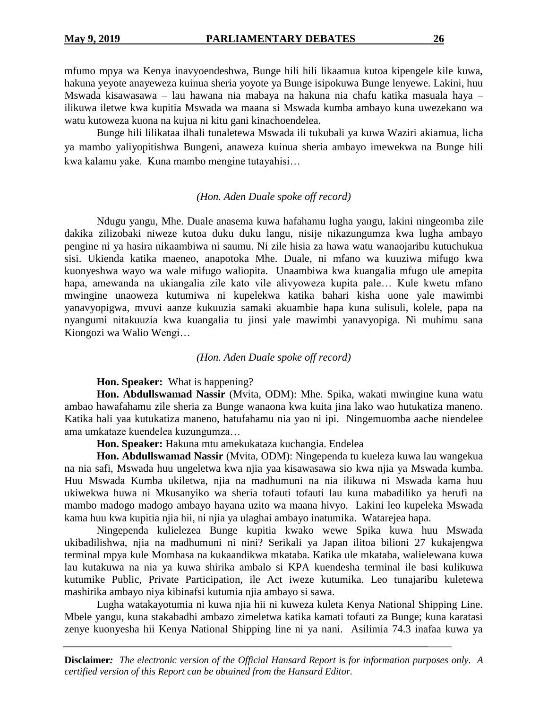mfumo mpya wa Kenya inavyoendeshwa, Bunge hili hili likaamua kutoa kipengele kile kuwa, hakuna yeyote anayeweza kuinua sheria yoyote ya Bunge isipokuwa Bunge lenyewe. Lakini, huu Mswada kisawasawa – lau hawana nia mabaya na hakuna nia chafu katika masuala haya – ilikuwa iletwe kwa kupitia Mswada wa maana si Mswada kumba ambayo kuna uwezekano wa watu kutoweza kuona na kujua ni kitu gani kinachoendelea.

Bunge hili lilikataa ilhali tunaletewa Mswada ili tukubali ya kuwa Waziri akiamua, licha ya mambo yaliyopitishwa Bungeni, anaweza kuinua sheria ambayo imewekwa na Bunge hili kwa kalamu yake. Kuna mambo mengine tutayahisi…

#### *(Hon. Aden Duale spoke off record)*

Ndugu yangu, Mhe. Duale anasema kuwa hafahamu lugha yangu, lakini ningeomba zile dakika zilizobaki niweze kutoa duku duku langu, nisije nikazungumza kwa lugha ambayo pengine ni ya hasira nikaambiwa ni saumu. Ni zile hisia za hawa watu wanaojaribu kutuchukua sisi. Ukienda katika maeneo, anapotoka Mhe. Duale, ni mfano wa kuuziwa mifugo kwa kuonyeshwa wayo wa wale mifugo waliopita. Unaambiwa kwa kuangalia mfugo ule amepita hapa, amewanda na ukiangalia zile kato vile alivyoweza kupita pale… Kule kwetu mfano mwingine unaoweza kutumiwa ni kupelekwa katika bahari kisha uone yale mawimbi yanavyopigwa, mvuvi aanze kukuuzia samaki akuambie hapa kuna sulisuli, kolele, papa na nyangumi nitakuuzia kwa kuangalia tu jinsi yale mawimbi yanavyopiga. Ni muhimu sana Kiongozi wa Walio Wengi…

#### *(Hon. Aden Duale spoke off record)*

**Hon. Speaker:** What is happening?

**Hon. Abdullswamad Nassir** (Mvita, ODM): Mhe. Spika, wakati mwingine kuna watu ambao hawafahamu zile sheria za Bunge wanaona kwa kuita jina lako wao hutukatiza maneno. Katika hali yaa kutukatiza maneno, hatufahamu nia yao ni ipi. Ningemuomba aache niendelee ama umkataze kuendelea kuzungumza…

**Hon. Speaker:** Hakuna mtu amekukataza kuchangia. Endelea

**Hon. Abdullswamad Nassir** (Mvita, ODM): Ningependa tu kueleza kuwa lau wangekua na nia safi, Mswada huu ungeletwa kwa njia yaa kisawasawa sio kwa njia ya Mswada kumba. Huu Mswada Kumba ukiletwa, njia na madhumuni na nia ilikuwa ni Mswada kama huu ukiwekwa huwa ni Mkusanyiko wa sheria tofauti tofauti lau kuna mabadiliko ya herufi na mambo madogo madogo ambayo hayana uzito wa maana hivyo. Lakini leo kupeleka Mswada kama huu kwa kupitia njia hii, ni njia ya ulaghai ambayo inatumika. Watarejea hapa.

Ningependa kulielezea Bunge kupitia kwako wewe Spika kuwa huu Mswada ukibadilishwa, njia na madhumuni ni nini? Serikali ya Japan ilitoa bilioni 27 kukajengwa terminal mpya kule Mombasa na kukaandikwa mkataba. Katika ule mkataba, walielewana kuwa lau kutakuwa na nia ya kuwa shirika ambalo si KPA kuendesha terminal ile basi kulikuwa kutumike Public, Private Participation, ile Act iweze kutumika. Leo tunajaribu kuletewa mashirika ambayo niya kibinafsi kutumia njia ambayo si sawa.

Lugha watakayotumia ni kuwa njia hii ni kuweza kuleta Kenya National Shipping Line. Mbele yangu, kuna stakabadhi ambazo zimeletwa katika kamati tofauti za Bunge; kuna karatasi zenye kuonyesha hii Kenya National Shipping line ni ya nani. Asilimia 74.3 inafaa kuwa ya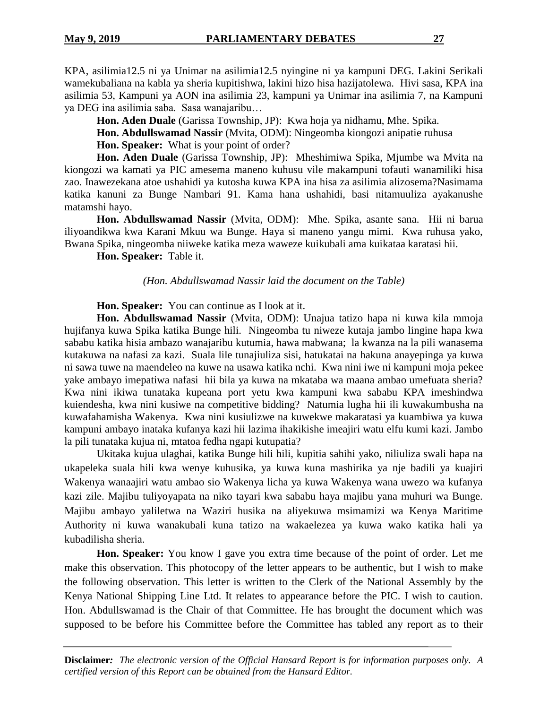KPA, asilimia12.5 ni ya Unimar na asilimia12.5 nyingine ni ya kampuni DEG. Lakini Serikali wamekubaliana na kabla ya sheria kupitishwa, lakini hizo hisa hazijatolewa. Hivi sasa, KPA ina asilimia 53, Kampuni ya AON ina asilimia 23, kampuni ya Unimar ina asilimia 7, na Kampuni ya DEG ina asilimia saba. Sasa wanajaribu…

**Hon. Aden Duale** (Garissa Township, JP): Kwa hoja ya nidhamu, Mhe. Spika.

**Hon. Abdullswamad Nassir** (Mvita, ODM): Ningeomba kiongozi anipatie ruhusa

**Hon. Speaker:** What is your point of order?

**Hon. Aden Duale** (Garissa Township, JP): Mheshimiwa Spika, Mjumbe wa Mvita na kiongozi wa kamati ya PIC amesema maneno kuhusu vile makampuni tofauti wanamiliki hisa zao. Inawezekana atoe ushahidi ya kutosha kuwa KPA ina hisa za asilimia alizosema?Nasimama katika kanuni za Bunge Nambari 91. Kama hana ushahidi, basi nitamuuliza ayakanushe matamshi hayo.

**Hon. Abdullswamad Nassir** (Mvita, ODM): Mhe. Spika, asante sana. Hii ni barua iliyoandikwa kwa Karani Mkuu wa Bunge. Haya si maneno yangu mimi. Kwa ruhusa yako, Bwana Spika, ningeomba niiweke katika meza waweze kuikubali ama kuikataa karatasi hii.

**Hon. Speaker:** Table it.

### *(Hon. Abdullswamad Nassir laid the document on the Table)*

**Hon. Speaker:** You can continue as I look at it.

**Hon. Abdullswamad Nassir** (Mvita, ODM): Unajua tatizo hapa ni kuwa kila mmoja hujifanya kuwa Spika katika Bunge hili. Ningeomba tu niweze kutaja jambo lingine hapa kwa sababu katika hisia ambazo wanajaribu kutumia, hawa mabwana; la kwanza na la pili wanasema kutakuwa na nafasi za kazi. Suala lile tunajiuliza sisi, hatukatai na hakuna anayepinga ya kuwa ni sawa tuwe na maendeleo na kuwe na usawa katika nchi. Kwa nini iwe ni kampuni moja pekee yake ambayo imepatiwa nafasi hii bila ya kuwa na mkataba wa maana ambao umefuata sheria? Kwa nini ikiwa tunataka kupeana port yetu kwa kampuni kwa sababu KPA imeshindwa kuiendesha, kwa nini kusiwe na competitive bidding? Natumia lugha hii ili kuwakumbusha na kuwafahamisha Wakenya. Kwa nini kusiulizwe na kuwekwe makaratasi ya kuambiwa ya kuwa kampuni ambayo inataka kufanya kazi hii lazima ihakikishe imeajiri watu elfu kumi kazi. Jambo la pili tunataka kujua ni, mtatoa fedha ngapi kutupatia?

Ukitaka kujua ulaghai, katika Bunge hili hili, kupitia sahihi yako, niliuliza swali hapa na ukapeleka suala hili kwa wenye kuhusika, ya kuwa kuna mashirika ya nje badili ya kuajiri Wakenya wanaajiri watu ambao sio Wakenya licha ya kuwa Wakenya wana uwezo wa kufanya kazi zile. Majibu tuliyoyapata na niko tayari kwa sababu haya majibu yana muhuri wa Bunge. Majibu ambayo yaliletwa na Waziri husika na aliyekuwa msimamizi wa Kenya Maritime Authority ni kuwa wanakubali kuna tatizo na wakaelezea ya kuwa wako katika hali ya kubadilisha sheria.

**Hon. Speaker:** You know I gave you extra time because of the point of order. Let me make this observation. This photocopy of the letter appears to be authentic, but I wish to make the following observation. This letter is written to the Clerk of the National Assembly by the Kenya National Shipping Line Ltd. It relates to appearance before the PIC. I wish to caution. Hon. Abdullswamad is the Chair of that Committee. He has brought the document which was supposed to be before his Committee before the Committee has tabled any report as to their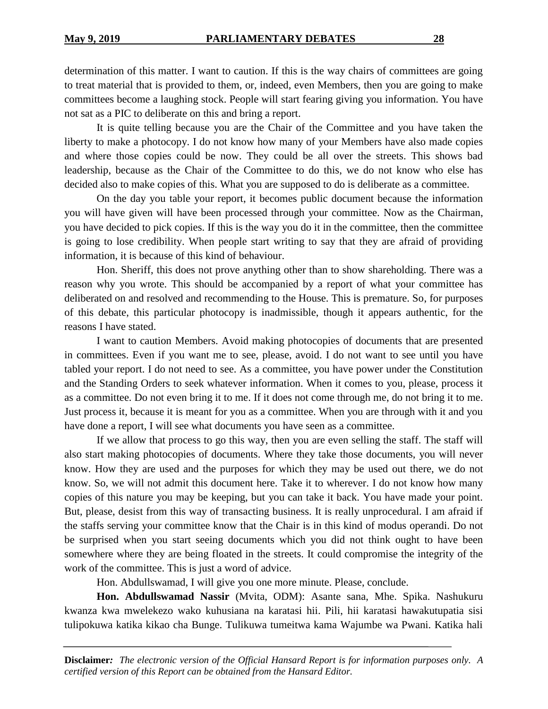determination of this matter. I want to caution. If this is the way chairs of committees are going to treat material that is provided to them, or, indeed, even Members, then you are going to make committees become a laughing stock. People will start fearing giving you information. You have not sat as a PIC to deliberate on this and bring a report.

It is quite telling because you are the Chair of the Committee and you have taken the liberty to make a photocopy. I do not know how many of your Members have also made copies and where those copies could be now. They could be all over the streets. This shows bad leadership, because as the Chair of the Committee to do this, we do not know who else has decided also to make copies of this. What you are supposed to do is deliberate as a committee.

On the day you table your report, it becomes public document because the information you will have given will have been processed through your committee. Now as the Chairman, you have decided to pick copies. If this is the way you do it in the committee, then the committee is going to lose credibility. When people start writing to say that they are afraid of providing information, it is because of this kind of behaviour.

Hon. Sheriff, this does not prove anything other than to show shareholding. There was a reason why you wrote. This should be accompanied by a report of what your committee has deliberated on and resolved and recommending to the House. This is premature. So, for purposes of this debate, this particular photocopy is inadmissible, though it appears authentic, for the reasons I have stated.

I want to caution Members. Avoid making photocopies of documents that are presented in committees. Even if you want me to see, please, avoid. I do not want to see until you have tabled your report. I do not need to see. As a committee, you have power under the Constitution and the Standing Orders to seek whatever information. When it comes to you, please, process it as a committee. Do not even bring it to me. If it does not come through me, do not bring it to me. Just process it, because it is meant for you as a committee. When you are through with it and you have done a report, I will see what documents you have seen as a committee.

If we allow that process to go this way, then you are even selling the staff. The staff will also start making photocopies of documents. Where they take those documents, you will never know. How they are used and the purposes for which they may be used out there, we do not know. So, we will not admit this document here. Take it to wherever. I do not know how many copies of this nature you may be keeping, but you can take it back. You have made your point. But, please, desist from this way of transacting business. It is really unprocedural. I am afraid if the staffs serving your committee know that the Chair is in this kind of modus operandi. Do not be surprised when you start seeing documents which you did not think ought to have been somewhere where they are being floated in the streets. It could compromise the integrity of the work of the committee. This is just a word of advice.

Hon. Abdullswamad, I will give you one more minute. Please, conclude.

**Hon. Abdullswamad Nassir** (Mvita, ODM): Asante sana, Mhe. Spika. Nashukuru kwanza kwa mwelekezo wako kuhusiana na karatasi hii. Pili, hii karatasi hawakutupatia sisi tulipokuwa katika kikao cha Bunge. Tulikuwa tumeitwa kama Wajumbe wa Pwani. Katika hali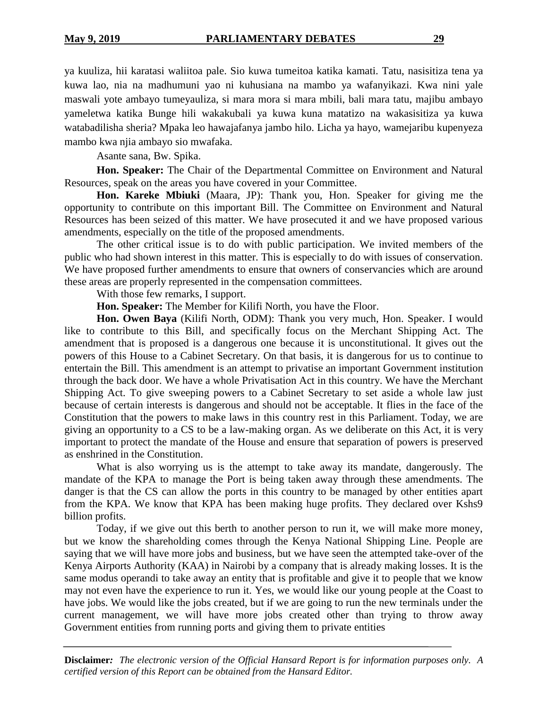ya kuuliza, hii karatasi waliitoa pale. Sio kuwa tumeitoa katika kamati. Tatu, nasisitiza tena ya kuwa lao, nia na madhumuni yao ni kuhusiana na mambo ya wafanyikazi. Kwa nini yale maswali yote ambayo tumeyauliza, si mara mora si mara mbili, bali mara tatu, majibu ambayo yameletwa katika Bunge hili wakakubali ya kuwa kuna matatizo na wakasisitiza ya kuwa watabadilisha sheria? Mpaka leo hawajafanya jambo hilo. Licha ya hayo, wamejaribu kupenyeza mambo kwa njia ambayo sio mwafaka.

Asante sana, Bw. Spika.

**Hon. Speaker:** The Chair of the Departmental Committee on Environment and Natural Resources, speak on the areas you have covered in your Committee.

**Hon. Kareke Mbiuki** (Maara, JP): Thank you, Hon. Speaker for giving me the opportunity to contribute on this important Bill. The Committee on Environment and Natural Resources has been seized of this matter. We have prosecuted it and we have proposed various amendments, especially on the title of the proposed amendments.

The other critical issue is to do with public participation. We invited members of the public who had shown interest in this matter. This is especially to do with issues of conservation. We have proposed further amendments to ensure that owners of conservancies which are around these areas are properly represented in the compensation committees.

With those few remarks, I support.

**Hon. Speaker:** The Member for Kilifi North, you have the Floor.

**Hon. Owen Baya** (Kilifi North, ODM): Thank you very much, Hon. Speaker. I would like to contribute to this Bill, and specifically focus on the Merchant Shipping Act. The amendment that is proposed is a dangerous one because it is unconstitutional. It gives out the powers of this House to a Cabinet Secretary. On that basis, it is dangerous for us to continue to entertain the Bill. This amendment is an attempt to privatise an important Government institution through the back door. We have a whole Privatisation Act in this country. We have the Merchant Shipping Act. To give sweeping powers to a Cabinet Secretary to set aside a whole law just because of certain interests is dangerous and should not be acceptable. It flies in the face of the Constitution that the powers to make laws in this country rest in this Parliament. Today, we are giving an opportunity to a CS to be a law-making organ. As we deliberate on this Act, it is very important to protect the mandate of the House and ensure that separation of powers is preserved as enshrined in the Constitution.

What is also worrying us is the attempt to take away its mandate, dangerously. The mandate of the KPA to manage the Port is being taken away through these amendments. The danger is that the CS can allow the ports in this country to be managed by other entities apart from the KPA. We know that KPA has been making huge profits. They declared over Kshs9 billion profits.

Today, if we give out this berth to another person to run it, we will make more money, but we know the shareholding comes through the Kenya National Shipping Line. People are saying that we will have more jobs and business, but we have seen the attempted take-over of the Kenya Airports Authority (KAA) in Nairobi by a company that is already making losses. It is the same modus operandi to take away an entity that is profitable and give it to people that we know may not even have the experience to run it. Yes, we would like our young people at the Coast to have jobs. We would like the jobs created, but if we are going to run the new terminals under the current management, we will have more jobs created other than trying to throw away Government entities from running ports and giving them to private entities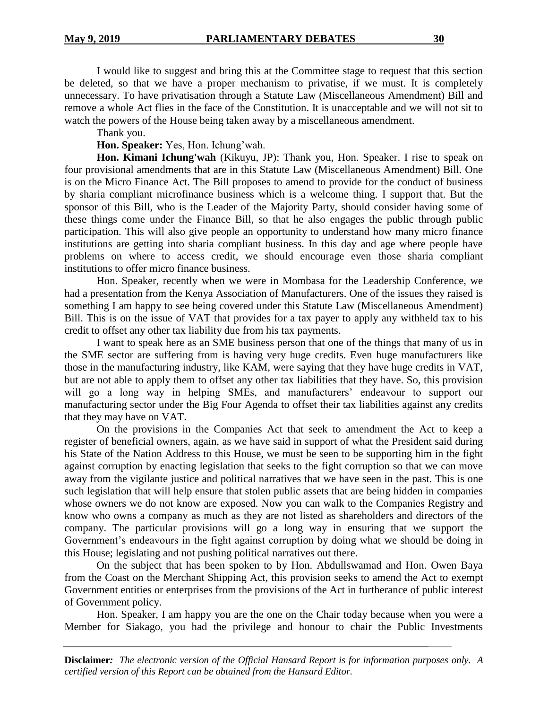I would like to suggest and bring this at the Committee stage to request that this section be deleted, so that we have a proper mechanism to privatise, if we must. It is completely unnecessary. To have privatisation through a Statute Law (Miscellaneous Amendment) Bill and remove a whole Act flies in the face of the Constitution. It is unacceptable and we will not sit to watch the powers of the House being taken away by a miscellaneous amendment.

Thank you.

**Hon. Speaker:** Yes, Hon. Ichung'wah.

**Hon. Kimani Ichung'wah** (Kikuyu, JP): Thank you, Hon. Speaker. I rise to speak on four provisional amendments that are in this Statute Law (Miscellaneous Amendment) Bill. One is on the Micro Finance Act. The Bill proposes to amend to provide for the conduct of business by sharia compliant microfinance business which is a welcome thing. I support that. But the sponsor of this Bill, who is the Leader of the Majority Party, should consider having some of these things come under the Finance Bill, so that he also engages the public through public participation. This will also give people an opportunity to understand how many micro finance institutions are getting into sharia compliant business. In this day and age where people have problems on where to access credit, we should encourage even those sharia compliant institutions to offer micro finance business.

Hon. Speaker, recently when we were in Mombasa for the Leadership Conference, we had a presentation from the Kenya Association of Manufacturers. One of the issues they raised is something I am happy to see being covered under this Statute Law (Miscellaneous Amendment) Bill. This is on the issue of VAT that provides for a tax payer to apply any withheld tax to his credit to offset any other tax liability due from his tax payments.

I want to speak here as an SME business person that one of the things that many of us in the SME sector are suffering from is having very huge credits. Even huge manufacturers like those in the manufacturing industry, like KAM, were saying that they have huge credits in VAT, but are not able to apply them to offset any other tax liabilities that they have. So, this provision will go a long way in helping SMEs, and manufacturers' endeavour to support our manufacturing sector under the Big Four Agenda to offset their tax liabilities against any credits that they may have on VAT.

On the provisions in the Companies Act that seek to amendment the Act to keep a register of beneficial owners, again, as we have said in support of what the President said during his State of the Nation Address to this House, we must be seen to be supporting him in the fight against corruption by enacting legislation that seeks to the fight corruption so that we can move away from the vigilante justice and political narratives that we have seen in the past. This is one such legislation that will help ensure that stolen public assets that are being hidden in companies whose owners we do not know are exposed. Now you can walk to the Companies Registry and know who owns a company as much as they are not listed as shareholders and directors of the company. The particular provisions will go a long way in ensuring that we support the Government's endeavours in the fight against corruption by doing what we should be doing in this House; legislating and not pushing political narratives out there.

On the subject that has been spoken to by Hon. Abdullswamad and Hon. Owen Baya from the Coast on the Merchant Shipping Act, this provision seeks to amend the Act to exempt Government entities or enterprises from the provisions of the Act in furtherance of public interest of Government policy.

Hon. Speaker, I am happy you are the one on the Chair today because when you were a Member for Siakago, you had the privilege and honour to chair the Public Investments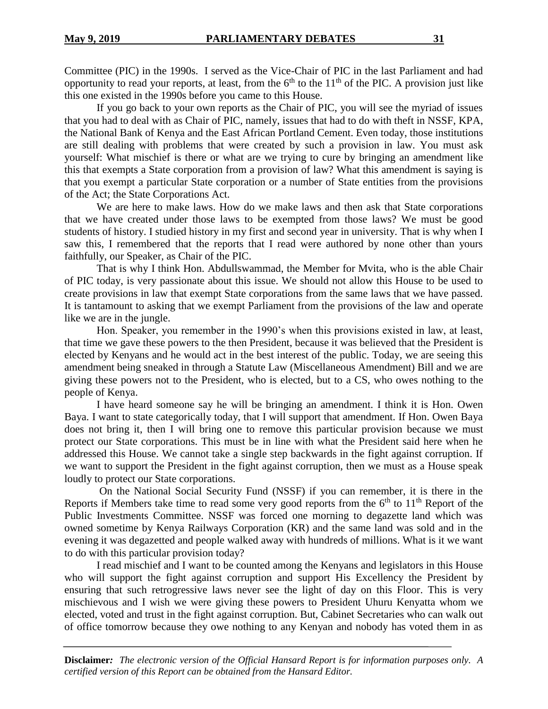Committee (PIC) in the 1990s. I served as the Vice-Chair of PIC in the last Parliament and had opportunity to read your reports, at least, from the  $6<sup>th</sup>$  to the 11<sup>th</sup> of the PIC. A provision just like this one existed in the 1990s before you came to this House.

If you go back to your own reports as the Chair of PIC, you will see the myriad of issues that you had to deal with as Chair of PIC, namely, issues that had to do with theft in NSSF, KPA, the National Bank of Kenya and the East African Portland Cement. Even today, those institutions are still dealing with problems that were created by such a provision in law. You must ask yourself: What mischief is there or what are we trying to cure by bringing an amendment like this that exempts a State corporation from a provision of law? What this amendment is saying is that you exempt a particular State corporation or a number of State entities from the provisions of the Act; the State Corporations Act.

We are here to make laws. How do we make laws and then ask that State corporations that we have created under those laws to be exempted from those laws? We must be good students of history. I studied history in my first and second year in university. That is why when I saw this, I remembered that the reports that I read were authored by none other than yours faithfully, our Speaker, as Chair of the PIC.

That is why I think Hon. Abdullswammad, the Member for Mvita, who is the able Chair of PIC today, is very passionate about this issue. We should not allow this House to be used to create provisions in law that exempt State corporations from the same laws that we have passed. It is tantamount to asking that we exempt Parliament from the provisions of the law and operate like we are in the jungle.

Hon. Speaker, you remember in the 1990's when this provisions existed in law, at least, that time we gave these powers to the then President, because it was believed that the President is elected by Kenyans and he would act in the best interest of the public. Today, we are seeing this amendment being sneaked in through a Statute Law (Miscellaneous Amendment) Bill and we are giving these powers not to the President, who is elected, but to a CS, who owes nothing to the people of Kenya.

I have heard someone say he will be bringing an amendment. I think it is Hon. Owen Baya. I want to state categorically today, that I will support that amendment. If Hon. Owen Baya does not bring it, then I will bring one to remove this particular provision because we must protect our State corporations. This must be in line with what the President said here when he addressed this House. We cannot take a single step backwards in the fight against corruption. If we want to support the President in the fight against corruption, then we must as a House speak loudly to protect our State corporations.

On the National Social Security Fund (NSSF) if you can remember, it is there in the Reports if Members take time to read some very good reports from the  $6<sup>th</sup>$  to  $11<sup>th</sup>$  Report of the Public Investments Committee. NSSF was forced one morning to degazette land which was owned sometime by Kenya Railways Corporation (KR) and the same land was sold and in the evening it was degazetted and people walked away with hundreds of millions. What is it we want to do with this particular provision today?

I read mischief and I want to be counted among the Kenyans and legislators in this House who will support the fight against corruption and support His Excellency the President by ensuring that such retrogressive laws never see the light of day on this Floor. This is very mischievous and I wish we were giving these powers to President Uhuru Kenyatta whom we elected, voted and trust in the fight against corruption. But, Cabinet Secretaries who can walk out of office tomorrow because they owe nothing to any Kenyan and nobody has voted them in as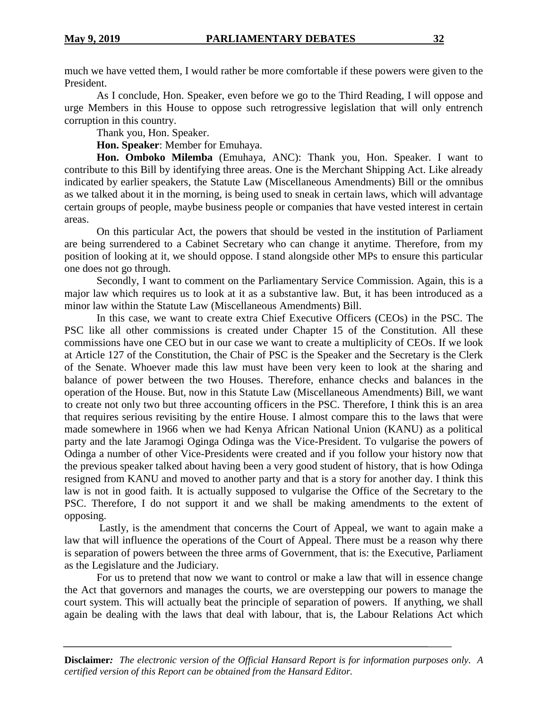much we have vetted them, I would rather be more comfortable if these powers were given to the President.

As I conclude, Hon. Speaker, even before we go to the Third Reading, I will oppose and urge Members in this House to oppose such retrogressive legislation that will only entrench corruption in this country.

Thank you, Hon. Speaker.

**Hon. Speaker**: Member for Emuhaya.

**Hon. Omboko Milemba** (Emuhaya, ANC): Thank you, Hon. Speaker. I want to contribute to this Bill by identifying three areas. One is the Merchant Shipping Act. Like already indicated by earlier speakers, the Statute Law (Miscellaneous Amendments) Bill or the omnibus as we talked about it in the morning, is being used to sneak in certain laws, which will advantage certain groups of people, maybe business people or companies that have vested interest in certain areas.

On this particular Act, the powers that should be vested in the institution of Parliament are being surrendered to a Cabinet Secretary who can change it anytime. Therefore, from my position of looking at it, we should oppose. I stand alongside other MPs to ensure this particular one does not go through.

Secondly, I want to comment on the Parliamentary Service Commission. Again, this is a major law which requires us to look at it as a substantive law. But, it has been introduced as a minor law within the Statute Law (Miscellaneous Amendments) Bill.

In this case, we want to create extra Chief Executive Officers (CEOs) in the PSC. The PSC like all other commissions is created under Chapter 15 of the Constitution. All these commissions have one CEO but in our case we want to create a multiplicity of CEOs. If we look at Article 127 of the Constitution, the Chair of PSC is the Speaker and the Secretary is the Clerk of the Senate. Whoever made this law must have been very keen to look at the sharing and balance of power between the two Houses. Therefore, enhance checks and balances in the operation of the House. But, now in this Statute Law (Miscellaneous Amendments) Bill, we want to create not only two but three accounting officers in the PSC. Therefore, I think this is an area that requires serious revisiting by the entire House. I almost compare this to the laws that were made somewhere in 1966 when we had Kenya African National Union (KANU) as a political party and the late Jaramogi Oginga Odinga was the Vice-President. To vulgarise the powers of Odinga a number of other Vice-Presidents were created and if you follow your history now that the previous speaker talked about having been a very good student of history, that is how Odinga resigned from KANU and moved to another party and that is a story for another day. I think this law is not in good faith. It is actually supposed to vulgarise the Office of the Secretary to the PSC. Therefore, I do not support it and we shall be making amendments to the extent of opposing.

Lastly, is the amendment that concerns the Court of Appeal, we want to again make a law that will influence the operations of the Court of Appeal. There must be a reason why there is separation of powers between the three arms of Government, that is: the Executive, Parliament as the Legislature and the Judiciary.

For us to pretend that now we want to control or make a law that will in essence change the Act that governors and manages the courts, we are overstepping our powers to manage the court system. This will actually beat the principle of separation of powers. If anything, we shall again be dealing with the laws that deal with labour, that is, the Labour Relations Act which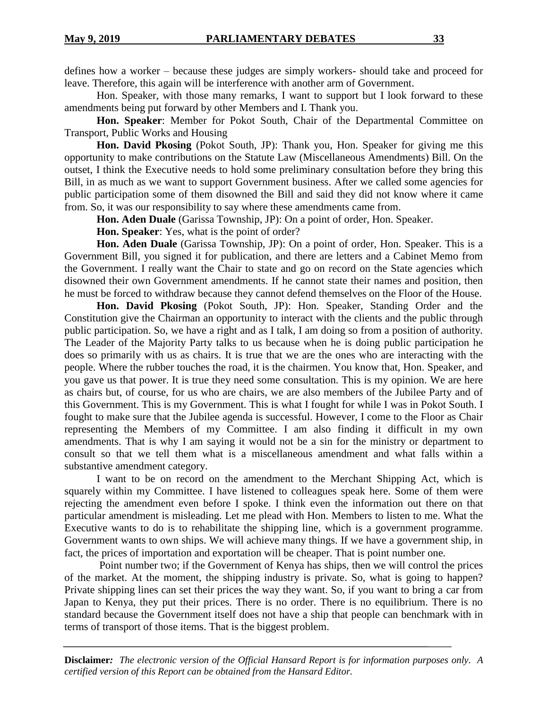defines how a worker – because these judges are simply workers- should take and proceed for leave. Therefore, this again will be interference with another arm of Government.

Hon. Speaker, with those many remarks, I want to support but I look forward to these amendments being put forward by other Members and I. Thank you.

**Hon. Speaker**: Member for Pokot South, Chair of the Departmental Committee on Transport, Public Works and Housing

**Hon. David Pkosing** (Pokot South, JP): Thank you, Hon. Speaker for giving me this opportunity to make contributions on the Statute Law (Miscellaneous Amendments) Bill. On the outset, I think the Executive needs to hold some preliminary consultation before they bring this Bill, in as much as we want to support Government business. After we called some agencies for public participation some of them disowned the Bill and said they did not know where it came from. So, it was our responsibility to say where these amendments came from.

**Hon. Aden Duale** (Garissa Township, JP): On a point of order, Hon. Speaker.

**Hon. Speaker**: Yes, what is the point of order?

**Hon. Aden Duale** (Garissa Township, JP): On a point of order, Hon. Speaker. This is a Government Bill, you signed it for publication, and there are letters and a Cabinet Memo from the Government. I really want the Chair to state and go on record on the State agencies which disowned their own Government amendments. If he cannot state their names and position, then he must be forced to withdraw because they cannot defend themselves on the Floor of the House.

**Hon. David Pkosing** (Pokot South, JP): Hon. Speaker, Standing Order and the Constitution give the Chairman an opportunity to interact with the clients and the public through public participation. So, we have a right and as I talk, I am doing so from a position of authority. The Leader of the Majority Party talks to us because when he is doing public participation he does so primarily with us as chairs. It is true that we are the ones who are interacting with the people. Where the rubber touches the road, it is the chairmen. You know that, Hon. Speaker, and you gave us that power. It is true they need some consultation. This is my opinion. We are here as chairs but, of course, for us who are chairs, we are also members of the Jubilee Party and of this Government. This is my Government. This is what I fought for while I was in Pokot South. I fought to make sure that the Jubilee agenda is successful. However, I come to the Floor as Chair representing the Members of my Committee. I am also finding it difficult in my own amendments. That is why I am saying it would not be a sin for the ministry or department to consult so that we tell them what is a miscellaneous amendment and what falls within a substantive amendment category.

I want to be on record on the amendment to the Merchant Shipping Act, which is squarely within my Committee. I have listened to colleagues speak here. Some of them were rejecting the amendment even before I spoke. I think even the information out there on that particular amendment is misleading. Let me plead with Hon. Members to listen to me. What the Executive wants to do is to rehabilitate the shipping line, which is a government programme. Government wants to own ships. We will achieve many things. If we have a government ship, in fact, the prices of importation and exportation will be cheaper. That is point number one.

Point number two; if the Government of Kenya has ships, then we will control the prices of the market. At the moment, the shipping industry is private. So, what is going to happen? Private shipping lines can set their prices the way they want. So, if you want to bring a car from Japan to Kenya, they put their prices. There is no order. There is no equilibrium. There is no standard because the Government itself does not have a ship that people can benchmark with in terms of transport of those items. That is the biggest problem.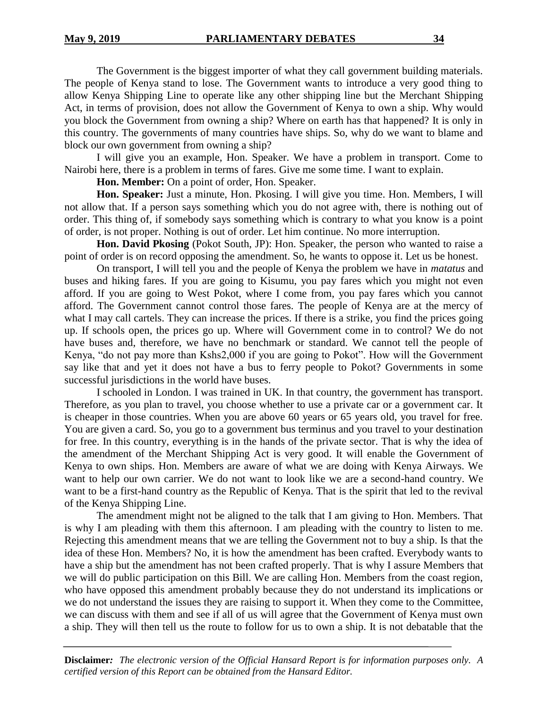The Government is the biggest importer of what they call government building materials. The people of Kenya stand to lose. The Government wants to introduce a very good thing to allow Kenya Shipping Line to operate like any other shipping line but the Merchant Shipping Act, in terms of provision, does not allow the Government of Kenya to own a ship. Why would you block the Government from owning a ship? Where on earth has that happened? It is only in this country. The governments of many countries have ships. So, why do we want to blame and block our own government from owning a ship?

I will give you an example, Hon. Speaker. We have a problem in transport. Come to Nairobi here, there is a problem in terms of fares. Give me some time. I want to explain.

**Hon. Member:** On a point of order, Hon. Speaker.

**Hon. Speaker:** Just a minute, Hon. Pkosing. I will give you time. Hon. Members, I will not allow that. If a person says something which you do not agree with, there is nothing out of order. This thing of, if somebody says something which is contrary to what you know is a point of order, is not proper. Nothing is out of order. Let him continue. No more interruption.

**Hon. David Pkosing** (Pokot South, JP): Hon. Speaker, the person who wanted to raise a point of order is on record opposing the amendment. So, he wants to oppose it. Let us be honest.

On transport, I will tell you and the people of Kenya the problem we have in *matatus* and buses and hiking fares. If you are going to Kisumu, you pay fares which you might not even afford. If you are going to West Pokot, where I come from, you pay fares which you cannot afford. The Government cannot control those fares. The people of Kenya are at the mercy of what I may call cartels. They can increase the prices. If there is a strike, you find the prices going up. If schools open, the prices go up. Where will Government come in to control? We do not have buses and, therefore, we have no benchmark or standard. We cannot tell the people of Kenya, "do not pay more than Kshs2,000 if you are going to Pokot". How will the Government say like that and yet it does not have a bus to ferry people to Pokot? Governments in some successful jurisdictions in the world have buses.

I schooled in London. I was trained in UK. In that country, the government has transport. Therefore, as you plan to travel, you choose whether to use a private car or a government car. It is cheaper in those countries. When you are above 60 years or 65 years old, you travel for free. You are given a card. So, you go to a government bus terminus and you travel to your destination for free. In this country, everything is in the hands of the private sector. That is why the idea of the amendment of the Merchant Shipping Act is very good. It will enable the Government of Kenya to own ships. Hon. Members are aware of what we are doing with Kenya Airways. We want to help our own carrier. We do not want to look like we are a second-hand country. We want to be a first-hand country as the Republic of Kenya. That is the spirit that led to the revival of the Kenya Shipping Line.

The amendment might not be aligned to the talk that I am giving to Hon. Members. That is why I am pleading with them this afternoon. I am pleading with the country to listen to me. Rejecting this amendment means that we are telling the Government not to buy a ship. Is that the idea of these Hon. Members? No, it is how the amendment has been crafted. Everybody wants to have a ship but the amendment has not been crafted properly. That is why I assure Members that we will do public participation on this Bill. We are calling Hon. Members from the coast region, who have opposed this amendment probably because they do not understand its implications or we do not understand the issues they are raising to support it. When they come to the Committee, we can discuss with them and see if all of us will agree that the Government of Kenya must own a ship. They will then tell us the route to follow for us to own a ship. It is not debatable that the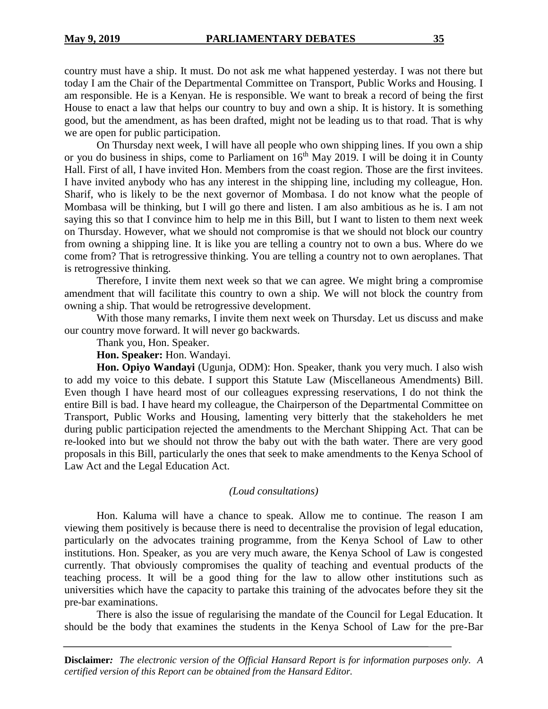country must have a ship. It must. Do not ask me what happened yesterday. I was not there but today I am the Chair of the Departmental Committee on Transport, Public Works and Housing. I am responsible. He is a Kenyan. He is responsible. We want to break a record of being the first House to enact a law that helps our country to buy and own a ship. It is history. It is something good, but the amendment, as has been drafted, might not be leading us to that road. That is why

we are open for public participation. On Thursday next week, I will have all people who own shipping lines. If you own a ship or you do business in ships, come to Parliament on  $16<sup>th</sup>$  May 2019. I will be doing it in County Hall. First of all, I have invited Hon. Members from the coast region. Those are the first invitees. I have invited anybody who has any interest in the shipping line, including my colleague, Hon. Sharif, who is likely to be the next governor of Mombasa. I do not know what the people of Mombasa will be thinking, but I will go there and listen. I am also ambitious as he is. I am not saying this so that I convince him to help me in this Bill, but I want to listen to them next week on Thursday. However, what we should not compromise is that we should not block our country from owning a shipping line. It is like you are telling a country not to own a bus. Where do we come from? That is retrogressive thinking. You are telling a country not to own aeroplanes. That is retrogressive thinking.

Therefore, I invite them next week so that we can agree. We might bring a compromise amendment that will facilitate this country to own a ship. We will not block the country from owning a ship. That would be retrogressive development.

With those many remarks, I invite them next week on Thursday. Let us discuss and make our country move forward. It will never go backwards.

Thank you, Hon. Speaker.

**Hon. Speaker:** Hon. Wandayi.

**Hon. Opiyo Wandayi** (Ugunja, ODM): Hon. Speaker, thank you very much. I also wish to add my voice to this debate. I support this Statute Law (Miscellaneous Amendments) Bill. Even though I have heard most of our colleagues expressing reservations, I do not think the entire Bill is bad. I have heard my colleague, the Chairperson of the Departmental Committee on Transport, Public Works and Housing, lamenting very bitterly that the stakeholders he met during public participation rejected the amendments to the Merchant Shipping Act. That can be re-looked into but we should not throw the baby out with the bath water. There are very good proposals in this Bill, particularly the ones that seek to make amendments to the Kenya School of Law Act and the Legal Education Act.

#### *(Loud consultations)*

Hon. Kaluma will have a chance to speak. Allow me to continue. The reason I am viewing them positively is because there is need to decentralise the provision of legal education, particularly on the advocates training programme, from the Kenya School of Law to other institutions. Hon. Speaker, as you are very much aware, the Kenya School of Law is congested currently. That obviously compromises the quality of teaching and eventual products of the teaching process. It will be a good thing for the law to allow other institutions such as universities which have the capacity to partake this training of the advocates before they sit the pre-bar examinations.

There is also the issue of regularising the mandate of the Council for Legal Education. It should be the body that examines the students in the Kenya School of Law for the pre-Bar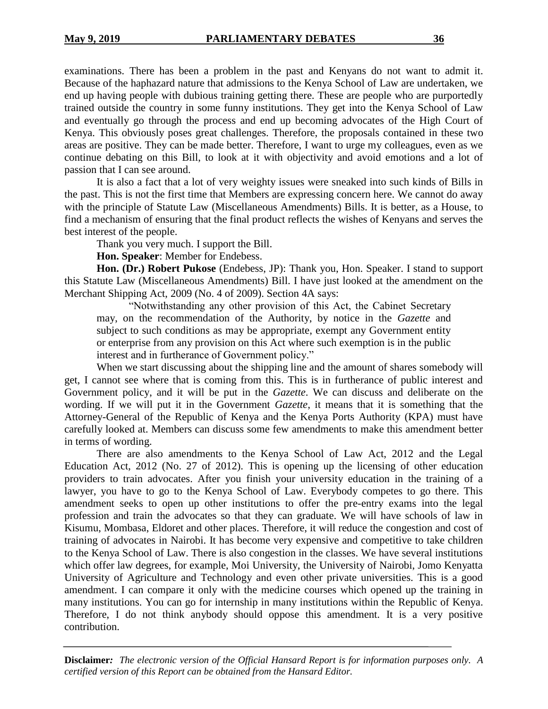examinations. There has been a problem in the past and Kenyans do not want to admit it. Because of the haphazard nature that admissions to the Kenya School of Law are undertaken, we end up having people with dubious training getting there. These are people who are purportedly trained outside the country in some funny institutions. They get into the Kenya School of Law and eventually go through the process and end up becoming advocates of the High Court of Kenya. This obviously poses great challenges. Therefore, the proposals contained in these two areas are positive. They can be made better. Therefore, I want to urge my colleagues, even as we continue debating on this Bill, to look at it with objectivity and avoid emotions and a lot of passion that I can see around.

It is also a fact that a lot of very weighty issues were sneaked into such kinds of Bills in the past. This is not the first time that Members are expressing concern here. We cannot do away with the principle of Statute Law (Miscellaneous Amendments) Bills. It is better, as a House, to find a mechanism of ensuring that the final product reflects the wishes of Kenyans and serves the best interest of the people.

Thank you very much. I support the Bill.

**Hon. Speaker**: Member for Endebess.

**Hon. (Dr.) Robert Pukose** (Endebess, JP): Thank you, Hon. Speaker. I stand to support this Statute Law (Miscellaneous Amendments) Bill. I have just looked at the amendment on the Merchant Shipping Act, 2009 (No. 4 of 2009). Section 4A says:

"Notwithstanding any other provision of this Act, the Cabinet Secretary may, on the recommendation of the Authority, by notice in the *Gazette* and subject to such conditions as may be appropriate, exempt any Government entity or enterprise from any provision on this Act where such exemption is in the public interest and in furtherance of Government policy."

When we start discussing about the shipping line and the amount of shares somebody will get, I cannot see where that is coming from this. This is in furtherance of public interest and Government policy, and it will be put in the *Gazette*. We can discuss and deliberate on the wording. If we will put it in the Government *Gazette*, it means that it is something that the Attorney-General of the Republic of Kenya and the Kenya Ports Authority (KPA) must have carefully looked at. Members can discuss some few amendments to make this amendment better in terms of wording.

There are also amendments to the Kenya School of Law Act, 2012 and the Legal Education Act, 2012 (No. 27 of 2012). This is opening up the licensing of other education providers to train advocates. After you finish your university education in the training of a lawyer, you have to go to the Kenya School of Law. Everybody competes to go there. This amendment seeks to open up other institutions to offer the pre-entry exams into the legal profession and train the advocates so that they can graduate. We will have schools of law in Kisumu, Mombasa, Eldoret and other places. Therefore, it will reduce the congestion and cost of training of advocates in Nairobi. It has become very expensive and competitive to take children to the Kenya School of Law. There is also congestion in the classes. We have several institutions which offer law degrees, for example, Moi University, the University of Nairobi, Jomo Kenyatta University of Agriculture and Technology and even other private universities. This is a good amendment. I can compare it only with the medicine courses which opened up the training in many institutions. You can go for internship in many institutions within the Republic of Kenya. Therefore, I do not think anybody should oppose this amendment. It is a very positive contribution.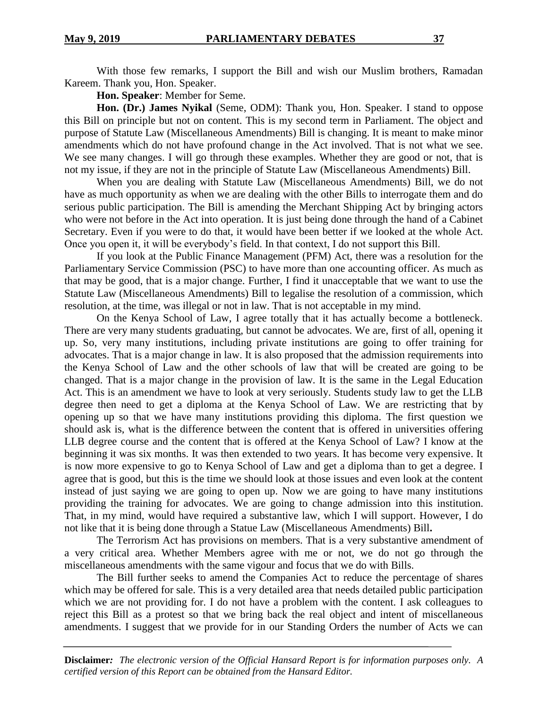With those few remarks, I support the Bill and wish our Muslim brothers, Ramadan Kareem. Thank you, Hon. Speaker.

**Hon. Speaker**: Member for Seme.

**Hon. (Dr.) James Nyikal** (Seme, ODM): Thank you, Hon. Speaker. I stand to oppose this Bill on principle but not on content. This is my second term in Parliament. The object and purpose of Statute Law (Miscellaneous Amendments) Bill is changing. It is meant to make minor amendments which do not have profound change in the Act involved. That is not what we see. We see many changes. I will go through these examples. Whether they are good or not, that is not my issue, if they are not in the principle of Statute Law (Miscellaneous Amendments) Bill.

When you are dealing with Statute Law (Miscellaneous Amendments) Bill, we do not have as much opportunity as when we are dealing with the other Bills to interrogate them and do serious public participation. The Bill is amending the Merchant Shipping Act by bringing actors who were not before in the Act into operation. It is just being done through the hand of a Cabinet Secretary. Even if you were to do that, it would have been better if we looked at the whole Act. Once you open it, it will be everybody's field. In that context, I do not support this Bill.

If you look at the Public Finance Management (PFM) Act, there was a resolution for the Parliamentary Service Commission (PSC) to have more than one accounting officer. As much as that may be good, that is a major change. Further, I find it unacceptable that we want to use the Statute Law (Miscellaneous Amendments) Bill to legalise the resolution of a commission, which resolution, at the time, was illegal or not in law. That is not acceptable in my mind.

On the Kenya School of Law, I agree totally that it has actually become a bottleneck. There are very many students graduating, but cannot be advocates. We are, first of all, opening it up. So, very many institutions, including private institutions are going to offer training for advocates. That is a major change in law. It is also proposed that the admission requirements into the Kenya School of Law and the other schools of law that will be created are going to be changed. That is a major change in the provision of law. It is the same in the Legal Education Act. This is an amendment we have to look at very seriously. Students study law to get the LLB degree then need to get a diploma at the Kenya School of Law. We are restricting that by opening up so that we have many institutions providing this diploma. The first question we should ask is, what is the difference between the content that is offered in universities offering LLB degree course and the content that is offered at the Kenya School of Law? I know at the beginning it was six months. It was then extended to two years. It has become very expensive. It is now more expensive to go to Kenya School of Law and get a diploma than to get a degree. I agree that is good, but this is the time we should look at those issues and even look at the content instead of just saying we are going to open up. Now we are going to have many institutions providing the training for advocates. We are going to change admission into this institution. That, in my mind, would have required a substantive law, which I will support. However, I do not like that it is being done through a Statue Law (Miscellaneous Amendments) Bill**.** 

The Terrorism Act has provisions on members. That is a very substantive amendment of a very critical area. Whether Members agree with me or not, we do not go through the miscellaneous amendments with the same vigour and focus that we do with Bills.

The Bill further seeks to amend the Companies Act to reduce the percentage of shares which may be offered for sale. This is a very detailed area that needs detailed public participation which we are not providing for. I do not have a problem with the content. I ask colleagues to reject this Bill as a protest so that we bring back the real object and intent of miscellaneous amendments. I suggest that we provide for in our Standing Orders the number of Acts we can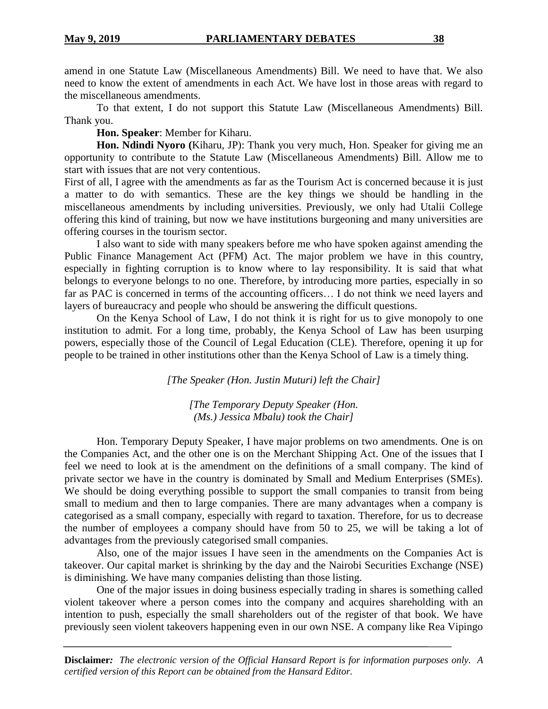amend in one Statute Law (Miscellaneous Amendments) Bill. We need to have that. We also need to know the extent of amendments in each Act. We have lost in those areas with regard to the miscellaneous amendments.

To that extent, I do not support this Statute Law (Miscellaneous Amendments) Bill. Thank you.

**Hon. Speaker**: Member for Kiharu.

**Hon. Ndindi Nyoro (**Kiharu, JP): Thank you very much, Hon. Speaker for giving me an opportunity to contribute to the Statute Law (Miscellaneous Amendments) Bill. Allow me to start with issues that are not very contentious.

First of all, I agree with the amendments as far as the Tourism Act is concerned because it is just a matter to do with semantics. These are the key things we should be handling in the miscellaneous amendments by including universities. Previously, we only had Utalii College offering this kind of training, but now we have institutions burgeoning and many universities are offering courses in the tourism sector.

I also want to side with many speakers before me who have spoken against amending the Public Finance Management Act (PFM) Act. The major problem we have in this country, especially in fighting corruption is to know where to lay responsibility. It is said that what belongs to everyone belongs to no one. Therefore, by introducing more parties, especially in so far as PAC is concerned in terms of the accounting officers… I do not think we need layers and layers of bureaucracy and people who should be answering the difficult questions.

On the Kenya School of Law, I do not think it is right for us to give monopoly to one institution to admit. For a long time, probably, the Kenya School of Law has been usurping powers, especially those of the Council of Legal Education (CLE). Therefore, opening it up for people to be trained in other institutions other than the Kenya School of Law is a timely thing.

*[The Speaker (Hon. Justin Muturi) left the Chair]*

*[The Temporary Deputy Speaker (Hon. (Ms.) Jessica Mbalu) took the Chair]*

Hon. Temporary Deputy Speaker, I have major problems on two amendments. One is on the Companies Act, and the other one is on the Merchant Shipping Act. One of the issues that I feel we need to look at is the amendment on the definitions of a small company. The kind of private sector we have in the country is dominated by Small and Medium Enterprises (SMEs). We should be doing everything possible to support the small companies to transit from being small to medium and then to large companies. There are many advantages when a company is categorised as a small company, especially with regard to taxation. Therefore, for us to decrease the number of employees a company should have from 50 to 25, we will be taking a lot of advantages from the previously categorised small companies.

Also, one of the major issues I have seen in the amendments on the Companies Act is takeover. Our capital market is shrinking by the day and the Nairobi Securities Exchange (NSE) is diminishing. We have many companies delisting than those listing.

One of the major issues in doing business especially trading in shares is something called violent takeover where a person comes into the company and acquires shareholding with an intention to push, especially the small shareholders out of the register of that book. We have previously seen violent takeovers happening even in our own NSE. A company like Rea Vipingo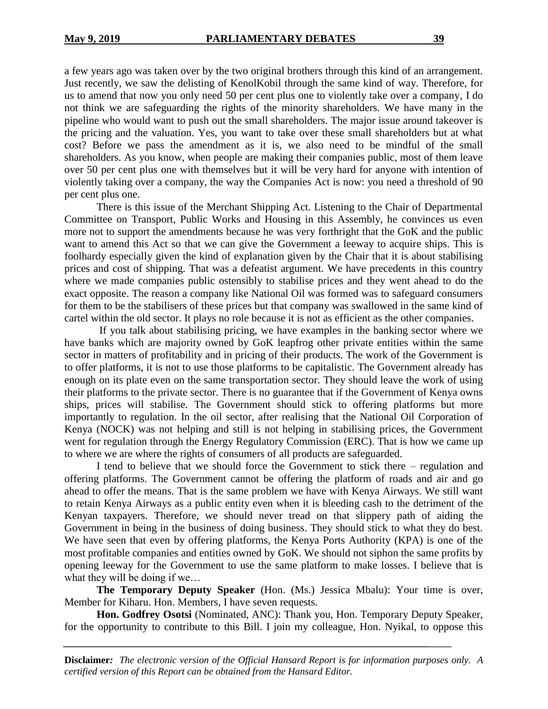a few years ago was taken over by the two original brothers through this kind of an arrangement. Just recently, we saw the delisting of KenolKobil through the same kind of way. Therefore, for us to amend that now you only need 50 per cent plus one to violently take over a company, I do not think we are safeguarding the rights of the minority shareholders. We have many in the pipeline who would want to push out the small shareholders. The major issue around takeover is the pricing and the valuation. Yes, you want to take over these small shareholders but at what cost? Before we pass the amendment as it is, we also need to be mindful of the small shareholders. As you know, when people are making their companies public, most of them leave over 50 per cent plus one with themselves but it will be very hard for anyone with intention of violently taking over a company, the way the Companies Act is now: you need a threshold of 90 per cent plus one.

There is this issue of the Merchant Shipping Act. Listening to the Chair of Departmental Committee on Transport, Public Works and Housing in this Assembly, he convinces us even more not to support the amendments because he was very forthright that the GoK and the public want to amend this Act so that we can give the Government a leeway to acquire ships. This is foolhardy especially given the kind of explanation given by the Chair that it is about stabilising prices and cost of shipping. That was a defeatist argument. We have precedents in this country where we made companies public ostensibly to stabilise prices and they went ahead to do the exact opposite. The reason a company like National Oil was formed was to safeguard consumers for them to be the stabilisers of these prices but that company was swallowed in the same kind of cartel within the old sector. It plays no role because it is not as efficient as the other companies.

If you talk about stabilising pricing, we have examples in the banking sector where we have banks which are majority owned by GoK leapfrog other private entities within the same sector in matters of profitability and in pricing of their products. The work of the Government is to offer platforms, it is not to use those platforms to be capitalistic. The Government already has enough on its plate even on the same transportation sector. They should leave the work of using their platforms to the private sector. There is no guarantee that if the Government of Kenya owns ships, prices will stabilise. The Government should stick to offering platforms but more importantly to regulation. In the oil sector, after realising that the National Oil Corporation of Kenya (NOCK) was not helping and still is not helping in stabilising prices, the Government went for regulation through the Energy Regulatory Commission (ERC). That is how we came up to where we are where the rights of consumers of all products are safeguarded.

I tend to believe that we should force the Government to stick there – regulation and offering platforms. The Government cannot be offering the platform of roads and air and go ahead to offer the means. That is the same problem we have with Kenya Airways. We still want to retain Kenya Airways as a public entity even when it is bleeding cash to the detriment of the Kenyan taxpayers. Therefore, we should never tread on that slippery path of aiding the Government in being in the business of doing business. They should stick to what they do best. We have seen that even by offering platforms, the Kenya Ports Authority (KPA) is one of the most profitable companies and entities owned by GoK. We should not siphon the same profits by opening leeway for the Government to use the same platform to make losses. I believe that is what they will be doing if we...

**The Temporary Deputy Speaker** (Hon. (Ms.) Jessica Mbalu): Your time is over, Member for Kiharu. Hon. Members, I have seven requests.

**Hon. Godfrey Osotsi** (Nominated, ANC): Thank you, Hon. Temporary Deputy Speaker, for the opportunity to contribute to this Bill. I join my colleague, Hon. Nyikal, to oppose this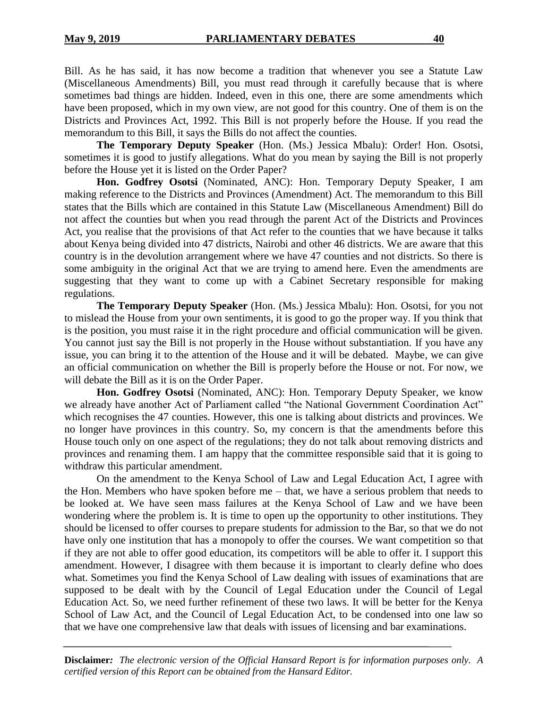Bill. As he has said, it has now become a tradition that whenever you see a Statute Law (Miscellaneous Amendments) Bill, you must read through it carefully because that is where sometimes bad things are hidden. Indeed, even in this one, there are some amendments which have been proposed, which in my own view, are not good for this country. One of them is on the Districts and Provinces Act, 1992. This Bill is not properly before the House. If you read the memorandum to this Bill, it says the Bills do not affect the counties.

**The Temporary Deputy Speaker** (Hon. (Ms.) Jessica Mbalu): Order! Hon. Osotsi, sometimes it is good to justify allegations. What do you mean by saying the Bill is not properly before the House yet it is listed on the Order Paper?

**Hon. Godfrey Osotsi** (Nominated, ANC): Hon. Temporary Deputy Speaker, I am making reference to the Districts and Provinces (Amendment) Act. The memorandum to this Bill states that the Bills which are contained in this Statute Law (Miscellaneous Amendment) Bill do not affect the counties but when you read through the parent Act of the Districts and Provinces Act, you realise that the provisions of that Act refer to the counties that we have because it talks about Kenya being divided into 47 districts, Nairobi and other 46 districts. We are aware that this country is in the devolution arrangement where we have 47 counties and not districts. So there is some ambiguity in the original Act that we are trying to amend here. Even the amendments are suggesting that they want to come up with a Cabinet Secretary responsible for making regulations.

**The Temporary Deputy Speaker** (Hon. (Ms.) Jessica Mbalu): Hon. Osotsi, for you not to mislead the House from your own sentiments, it is good to go the proper way. If you think that is the position, you must raise it in the right procedure and official communication will be given. You cannot just say the Bill is not properly in the House without substantiation. If you have any issue, you can bring it to the attention of the House and it will be debated. Maybe, we can give an official communication on whether the Bill is properly before the House or not. For now, we will debate the Bill as it is on the Order Paper.

**Hon. Godfrey Osotsi** (Nominated, ANC): Hon. Temporary Deputy Speaker, we know we already have another Act of Parliament called "the National Government Coordination Act" which recognises the 47 counties. However, this one is talking about districts and provinces. We no longer have provinces in this country. So, my concern is that the amendments before this House touch only on one aspect of the regulations; they do not talk about removing districts and provinces and renaming them. I am happy that the committee responsible said that it is going to withdraw this particular amendment.

On the amendment to the Kenya School of Law and Legal Education Act, I agree with the Hon. Members who have spoken before me – that, we have a serious problem that needs to be looked at. We have seen mass failures at the Kenya School of Law and we have been wondering where the problem is. It is time to open up the opportunity to other institutions. They should be licensed to offer courses to prepare students for admission to the Bar, so that we do not have only one institution that has a monopoly to offer the courses. We want competition so that if they are not able to offer good education, its competitors will be able to offer it. I support this amendment. However, I disagree with them because it is important to clearly define who does what. Sometimes you find the Kenya School of Law dealing with issues of examinations that are supposed to be dealt with by the Council of Legal Education under the Council of Legal Education Act. So, we need further refinement of these two laws. It will be better for the Kenya School of Law Act, and the Council of Legal Education Act, to be condensed into one law so that we have one comprehensive law that deals with issues of licensing and bar examinations.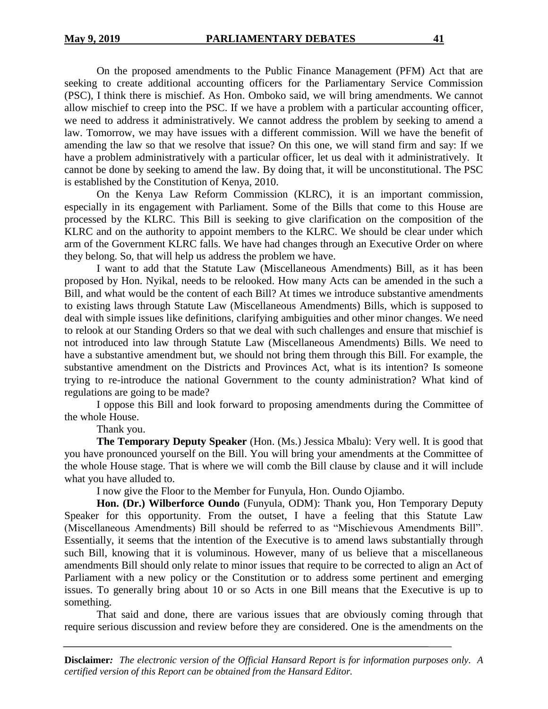On the proposed amendments to the Public Finance Management (PFM) Act that are seeking to create additional accounting officers for the Parliamentary Service Commission (PSC), I think there is mischief. As Hon. Omboko said, we will bring amendments. We cannot allow mischief to creep into the PSC. If we have a problem with a particular accounting officer, we need to address it administratively. We cannot address the problem by seeking to amend a law. Tomorrow, we may have issues with a different commission. Will we have the benefit of amending the law so that we resolve that issue? On this one, we will stand firm and say: If we have a problem administratively with a particular officer, let us deal with it administratively. It cannot be done by seeking to amend the law. By doing that, it will be unconstitutional. The PSC is established by the Constitution of Kenya, 2010.

On the Kenya Law Reform Commission (KLRC), it is an important commission, especially in its engagement with Parliament. Some of the Bills that come to this House are processed by the KLRC. This Bill is seeking to give clarification on the composition of the KLRC and on the authority to appoint members to the KLRC. We should be clear under which arm of the Government KLRC falls. We have had changes through an Executive Order on where they belong. So, that will help us address the problem we have.

I want to add that the Statute Law (Miscellaneous Amendments) Bill, as it has been proposed by Hon. Nyikal, needs to be relooked. How many Acts can be amended in the such a Bill, and what would be the content of each Bill? At times we introduce substantive amendments to existing laws through Statute Law (Miscellaneous Amendments) Bills, which is supposed to deal with simple issues like definitions, clarifying ambiguities and other minor changes. We need to relook at our Standing Orders so that we deal with such challenges and ensure that mischief is not introduced into law through Statute Law (Miscellaneous Amendments) Bills. We need to have a substantive amendment but, we should not bring them through this Bill. For example, the substantive amendment on the Districts and Provinces Act, what is its intention? Is someone trying to re-introduce the national Government to the county administration? What kind of regulations are going to be made?

I oppose this Bill and look forward to proposing amendments during the Committee of the whole House.

Thank you.

**The Temporary Deputy Speaker** (Hon. (Ms.) Jessica Mbalu): Very well. It is good that you have pronounced yourself on the Bill. You will bring your amendments at the Committee of the whole House stage. That is where we will comb the Bill clause by clause and it will include what you have alluded to.

I now give the Floor to the Member for Funyula, Hon. Oundo Ojiambo.

**Hon. (Dr.) Wilberforce Oundo** (Funyula, ODM): Thank you, Hon Temporary Deputy Speaker for this opportunity. From the outset, I have a feeling that this Statute Law (Miscellaneous Amendments) Bill should be referred to as "Mischievous Amendments Bill". Essentially, it seems that the intention of the Executive is to amend laws substantially through such Bill, knowing that it is voluminous. However, many of us believe that a miscellaneous amendments Bill should only relate to minor issues that require to be corrected to align an Act of Parliament with a new policy or the Constitution or to address some pertinent and emerging issues. To generally bring about 10 or so Acts in one Bill means that the Executive is up to something.

That said and done, there are various issues that are obviously coming through that require serious discussion and review before they are considered. One is the amendments on the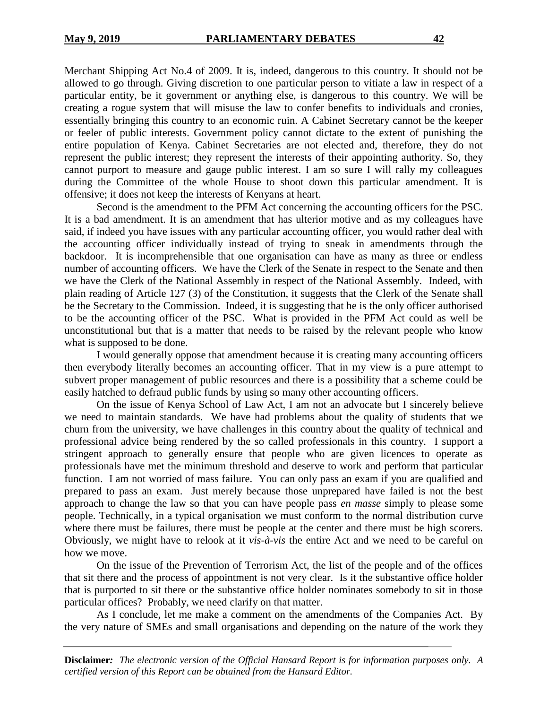Merchant Shipping Act No.4 of 2009. It is, indeed, dangerous to this country. It should not be allowed to go through. Giving discretion to one particular person to vitiate a law in respect of a particular entity, be it government or anything else, is dangerous to this country. We will be creating a rogue system that will misuse the law to confer benefits to individuals and cronies, essentially bringing this country to an economic ruin. A Cabinet Secretary cannot be the keeper or feeler of public interests. Government policy cannot dictate to the extent of punishing the entire population of Kenya. Cabinet Secretaries are not elected and, therefore, they do not represent the public interest; they represent the interests of their appointing authority. So, they cannot purport to measure and gauge public interest. I am so sure I will rally my colleagues during the Committee of the whole House to shoot down this particular amendment. It is offensive; it does not keep the interests of Kenyans at heart.

Second is the amendment to the PFM Act concerning the accounting officers for the PSC. It is a bad amendment. It is an amendment that has ulterior motive and as my colleagues have said, if indeed you have issues with any particular accounting officer, you would rather deal with the accounting officer individually instead of trying to sneak in amendments through the backdoor. It is incomprehensible that one organisation can have as many as three or endless number of accounting officers. We have the Clerk of the Senate in respect to the Senate and then we have the Clerk of the National Assembly in respect of the National Assembly. Indeed, with plain reading of Article 127 (3) of the Constitution, it suggests that the Clerk of the Senate shall be the Secretary to the Commission. Indeed, it is suggesting that he is the only officer authorised to be the accounting officer of the PSC. What is provided in the PFM Act could as well be unconstitutional but that is a matter that needs to be raised by the relevant people who know what is supposed to be done.

I would generally oppose that amendment because it is creating many accounting officers then everybody literally becomes an accounting officer. That in my view is a pure attempt to subvert proper management of public resources and there is a possibility that a scheme could be easily hatched to defraud public funds by using so many other accounting officers.

On the issue of Kenya School of Law Act, I am not an advocate but I sincerely believe we need to maintain standards. We have had problems about the quality of students that we churn from the university, we have challenges in this country about the quality of technical and professional advice being rendered by the so called professionals in this country. I support a stringent approach to generally ensure that people who are given licences to operate as professionals have met the minimum threshold and deserve to work and perform that particular function. I am not worried of mass failure. You can only pass an exam if you are qualified and prepared to pass an exam. Just merely because those unprepared have failed is not the best approach to change the law so that you can have people pass *en masse* simply to please some people. Technically, in a typical organisation we must conform to the normal distribution curve where there must be failures, there must be people at the center and there must be high scorers. Obviously, we might have to relook at it *vis-à-vis* the entire Act and we need to be careful on how we move.

On the issue of the Prevention of Terrorism Act, the list of the people and of the offices that sit there and the process of appointment is not very clear. Is it the substantive office holder that is purported to sit there or the substantive office holder nominates somebody to sit in those particular offices? Probably, we need clarify on that matter.

As I conclude, let me make a comment on the amendments of the Companies Act. By the very nature of SMEs and small organisations and depending on the nature of the work they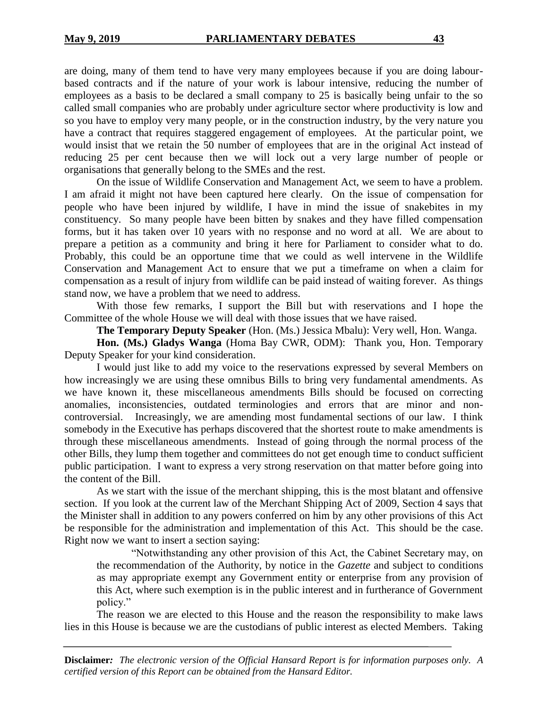are doing, many of them tend to have very many employees because if you are doing labourbased contracts and if the nature of your work is labour intensive, reducing the number of employees as a basis to be declared a small company to 25 is basically being unfair to the so called small companies who are probably under agriculture sector where productivity is low and so you have to employ very many people, or in the construction industry, by the very nature you have a contract that requires staggered engagement of employees. At the particular point, we would insist that we retain the 50 number of employees that are in the original Act instead of reducing 25 per cent because then we will lock out a very large number of people or organisations that generally belong to the SMEs and the rest.

On the issue of Wildlife Conservation and Management Act, we seem to have a problem. I am afraid it might not have been captured here clearly. On the issue of compensation for people who have been injured by wildlife, I have in mind the issue of snakebites in my constituency. So many people have been bitten by snakes and they have filled compensation forms, but it has taken over 10 years with no response and no word at all. We are about to prepare a petition as a community and bring it here for Parliament to consider what to do. Probably, this could be an opportune time that we could as well intervene in the Wildlife Conservation and Management Act to ensure that we put a timeframe on when a claim for compensation as a result of injury from wildlife can be paid instead of waiting forever. As things stand now, we have a problem that we need to address.

With those few remarks, I support the Bill but with reservations and I hope the Committee of the whole House we will deal with those issues that we have raised.

**The Temporary Deputy Speaker** (Hon. (Ms.) Jessica Mbalu): Very well, Hon. Wanga.

**Hon. (Ms.) Gladys Wanga** (Homa Bay CWR, ODM): Thank you, Hon. Temporary Deputy Speaker for your kind consideration.

I would just like to add my voice to the reservations expressed by several Members on how increasingly we are using these omnibus Bills to bring very fundamental amendments. As we have known it, these miscellaneous amendments Bills should be focused on correcting anomalies, inconsistencies, outdated terminologies and errors that are minor and noncontroversial. Increasingly, we are amending most fundamental sections of our law. I think somebody in the Executive has perhaps discovered that the shortest route to make amendments is through these miscellaneous amendments. Instead of going through the normal process of the other Bills, they lump them together and committees do not get enough time to conduct sufficient public participation. I want to express a very strong reservation on that matter before going into the content of the Bill.

As we start with the issue of the merchant shipping, this is the most blatant and offensive section. If you look at the current law of the Merchant Shipping Act of 2009, Section 4 says that the Minister shall in addition to any powers conferred on him by any other provisions of this Act be responsible for the administration and implementation of this Act. This should be the case. Right now we want to insert a section saying:

"Notwithstanding any other provision of this Act, the Cabinet Secretary may, on the recommendation of the Authority, by notice in the *Gazette* and subject to conditions as may appropriate exempt any Government entity or enterprise from any provision of this Act, where such exemption is in the public interest and in furtherance of Government policy."

The reason we are elected to this House and the reason the responsibility to make laws lies in this House is because we are the custodians of public interest as elected Members. Taking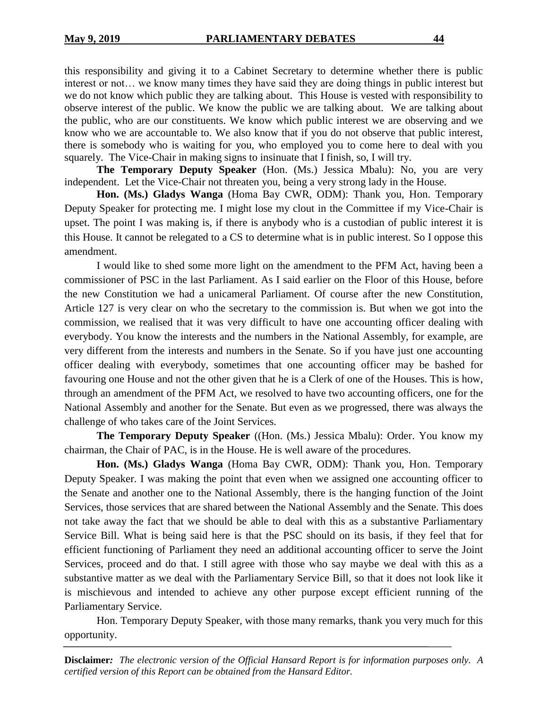this responsibility and giving it to a Cabinet Secretary to determine whether there is public interest or not… we know many times they have said they are doing things in public interest but we do not know which public they are talking about. This House is vested with responsibility to observe interest of the public. We know the public we are talking about. We are talking about the public, who are our constituents. We know which public interest we are observing and we know who we are accountable to. We also know that if you do not observe that public interest, there is somebody who is waiting for you, who employed you to come here to deal with you squarely. The Vice-Chair in making signs to insinuate that I finish, so, I will try.

**The Temporary Deputy Speaker** (Hon. (Ms.) Jessica Mbalu): No, you are very independent. Let the Vice-Chair not threaten you, being a very strong lady in the House.

**Hon. (Ms.) Gladys Wanga** (Homa Bay CWR, ODM): Thank you, Hon. Temporary Deputy Speaker for protecting me. I might lose my clout in the Committee if my Vice-Chair is upset. The point I was making is, if there is anybody who is a custodian of public interest it is this House. It cannot be relegated to a CS to determine what is in public interest. So I oppose this amendment.

I would like to shed some more light on the amendment to the PFM Act, having been a commissioner of PSC in the last Parliament. As I said earlier on the Floor of this House, before the new Constitution we had a unicameral Parliament. Of course after the new Constitution, Article 127 is very clear on who the secretary to the commission is. But when we got into the commission, we realised that it was very difficult to have one accounting officer dealing with everybody. You know the interests and the numbers in the National Assembly, for example, are very different from the interests and numbers in the Senate. So if you have just one accounting officer dealing with everybody, sometimes that one accounting officer may be bashed for favouring one House and not the other given that he is a Clerk of one of the Houses. This is how, through an amendment of the PFM Act, we resolved to have two accounting officers, one for the National Assembly and another for the Senate. But even as we progressed, there was always the challenge of who takes care of the Joint Services.

**The Temporary Deputy Speaker** ((Hon. (Ms.) Jessica Mbalu): Order. You know my chairman, the Chair of PAC, is in the House. He is well aware of the procedures.

**Hon. (Ms.) Gladys Wanga** (Homa Bay CWR, ODM): Thank you, Hon. Temporary Deputy Speaker. I was making the point that even when we assigned one accounting officer to the Senate and another one to the National Assembly, there is the hanging function of the Joint Services, those services that are shared between the National Assembly and the Senate. This does not take away the fact that we should be able to deal with this as a substantive Parliamentary Service Bill. What is being said here is that the PSC should on its basis, if they feel that for efficient functioning of Parliament they need an additional accounting officer to serve the Joint Services, proceed and do that. I still agree with those who say maybe we deal with this as a substantive matter as we deal with the Parliamentary Service Bill, so that it does not look like it is mischievous and intended to achieve any other purpose except efficient running of the Parliamentary Service.

Hon. Temporary Deputy Speaker, with those many remarks, thank you very much for this opportunity.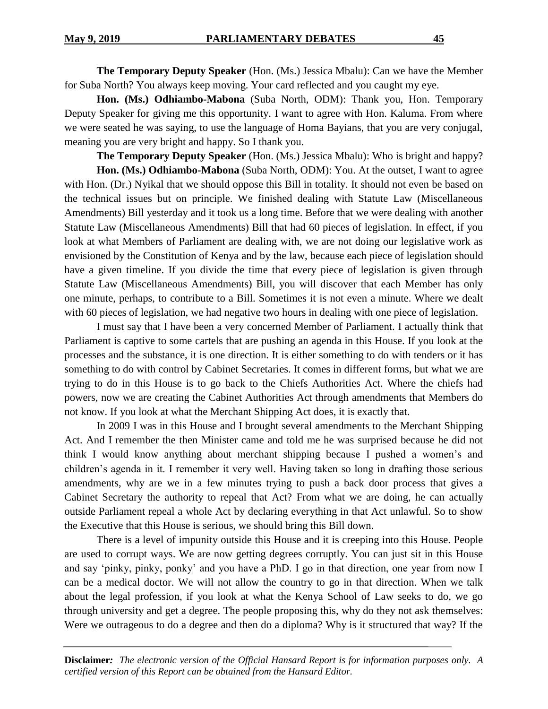**The Temporary Deputy Speaker** (Hon. (Ms.) Jessica Mbalu): Can we have the Member for Suba North? You always keep moving. Your card reflected and you caught my eye.

**Hon. (Ms.) Odhiambo-Mabona** (Suba North, ODM): Thank you, Hon. Temporary Deputy Speaker for giving me this opportunity. I want to agree with Hon. Kaluma. From where we were seated he was saying, to use the language of Homa Bayians, that you are very conjugal, meaning you are very bright and happy. So I thank you.

**The Temporary Deputy Speaker** (Hon. (Ms.) Jessica Mbalu): Who is bright and happy?

**Hon. (Ms.) Odhiambo-Mabona** (Suba North, ODM): You. At the outset, I want to agree with Hon. (Dr.) Nyikal that we should oppose this Bill in totality. It should not even be based on the technical issues but on principle. We finished dealing with Statute Law (Miscellaneous Amendments) Bill yesterday and it took us a long time. Before that we were dealing with another Statute Law (Miscellaneous Amendments) Bill that had 60 pieces of legislation. In effect, if you look at what Members of Parliament are dealing with, we are not doing our legislative work as envisioned by the Constitution of Kenya and by the law, because each piece of legislation should have a given timeline. If you divide the time that every piece of legislation is given through Statute Law (Miscellaneous Amendments) Bill, you will discover that each Member has only one minute, perhaps, to contribute to a Bill. Sometimes it is not even a minute. Where we dealt with 60 pieces of legislation, we had negative two hours in dealing with one piece of legislation.

I must say that I have been a very concerned Member of Parliament. I actually think that Parliament is captive to some cartels that are pushing an agenda in this House. If you look at the processes and the substance, it is one direction. It is either something to do with tenders or it has something to do with control by Cabinet Secretaries. It comes in different forms, but what we are trying to do in this House is to go back to the Chiefs Authorities Act. Where the chiefs had powers, now we are creating the Cabinet Authorities Act through amendments that Members do not know. If you look at what the Merchant Shipping Act does, it is exactly that.

In 2009 I was in this House and I brought several amendments to the Merchant Shipping Act. And I remember the then Minister came and told me he was surprised because he did not think I would know anything about merchant shipping because I pushed a women's and children's agenda in it. I remember it very well. Having taken so long in drafting those serious amendments, why are we in a few minutes trying to push a back door process that gives a Cabinet Secretary the authority to repeal that Act? From what we are doing, he can actually outside Parliament repeal a whole Act by declaring everything in that Act unlawful. So to show the Executive that this House is serious, we should bring this Bill down.

There is a level of impunity outside this House and it is creeping into this House. People are used to corrupt ways. We are now getting degrees corruptly. You can just sit in this House and say 'pinky, pinky, ponky' and you have a PhD. I go in that direction, one year from now I can be a medical doctor. We will not allow the country to go in that direction. When we talk about the legal profession, if you look at what the Kenya School of Law seeks to do, we go through university and get a degree. The people proposing this, why do they not ask themselves: Were we outrageous to do a degree and then do a diploma? Why is it structured that way? If the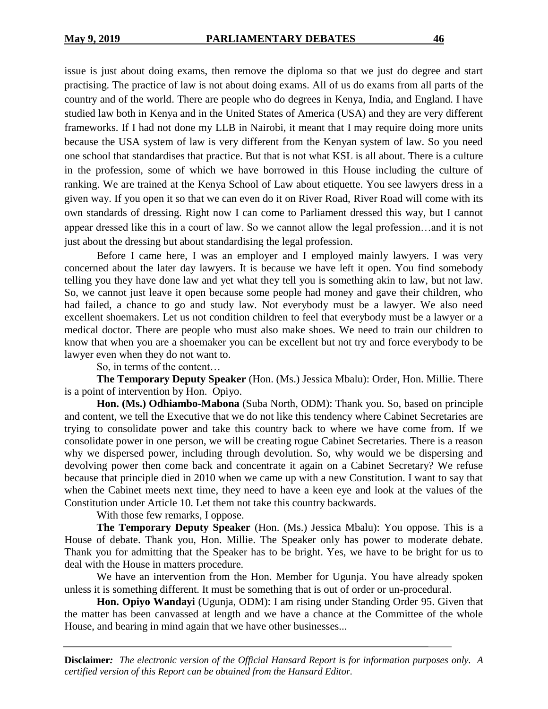issue is just about doing exams, then remove the diploma so that we just do degree and start practising. The practice of law is not about doing exams. All of us do exams from all parts of the country and of the world. There are people who do degrees in Kenya, India, and England. I have studied law both in Kenya and in the United States of America (USA) and they are very different frameworks. If I had not done my LLB in Nairobi, it meant that I may require doing more units because the USA system of law is very different from the Kenyan system of law. So you need one school that standardises that practice. But that is not what KSL is all about. There is a culture in the profession, some of which we have borrowed in this House including the culture of ranking. We are trained at the Kenya School of Law about etiquette. You see lawyers dress in a given way. If you open it so that we can even do it on River Road, River Road will come with its own standards of dressing. Right now I can come to Parliament dressed this way, but I cannot appear dressed like this in a court of law. So we cannot allow the legal profession…and it is not just about the dressing but about standardising the legal profession.

Before I came here, I was an employer and I employed mainly lawyers. I was very concerned about the later day lawyers. It is because we have left it open. You find somebody telling you they have done law and yet what they tell you is something akin to law, but not law. So, we cannot just leave it open because some people had money and gave their children, who had failed, a chance to go and study law. Not everybody must be a lawyer. We also need excellent shoemakers. Let us not condition children to feel that everybody must be a lawyer or a medical doctor. There are people who must also make shoes. We need to train our children to know that when you are a shoemaker you can be excellent but not try and force everybody to be lawyer even when they do not want to.

So, in terms of the content…

**The Temporary Deputy Speaker** (Hon. (Ms.) Jessica Mbalu): Order, Hon. Millie. There is a point of intervention by Hon. Opiyo.

**Hon. (Ms.) Odhiambo-Mabona** (Suba North, ODM): Thank you. So, based on principle and content, we tell the Executive that we do not like this tendency where Cabinet Secretaries are trying to consolidate power and take this country back to where we have come from. If we consolidate power in one person, we will be creating rogue Cabinet Secretaries. There is a reason why we dispersed power, including through devolution. So, why would we be dispersing and devolving power then come back and concentrate it again on a Cabinet Secretary? We refuse because that principle died in 2010 when we came up with a new Constitution. I want to say that when the Cabinet meets next time, they need to have a keen eye and look at the values of the Constitution under Article 10. Let them not take this country backwards.

With those few remarks, I oppose.

**The Temporary Deputy Speaker** (Hon. (Ms.) Jessica Mbalu): You oppose. This is a House of debate. Thank you, Hon. Millie. The Speaker only has power to moderate debate. Thank you for admitting that the Speaker has to be bright. Yes, we have to be bright for us to deal with the House in matters procedure.

We have an intervention from the Hon. Member for Ugunja. You have already spoken unless it is something different. It must be something that is out of order or un-procedural.

**Hon. Opiyo Wandayi** (Ugunja, ODM): I am rising under Standing Order 95. Given that the matter has been canvassed at length and we have a chance at the Committee of the whole House, and bearing in mind again that we have other businesses...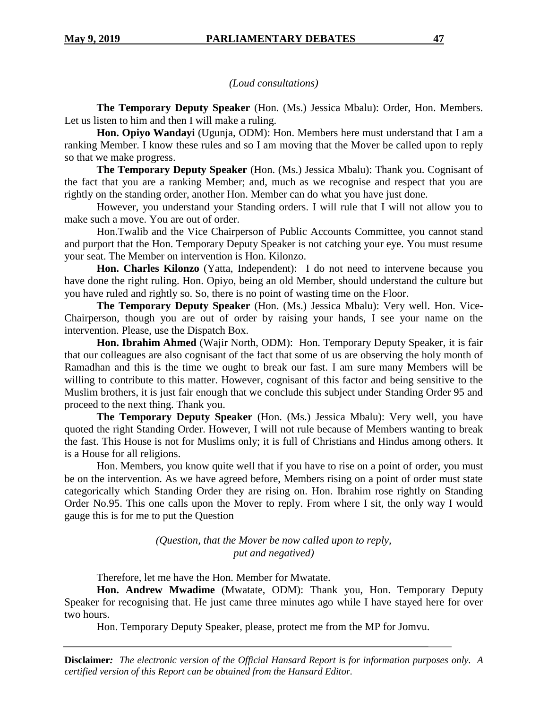# *(Loud consultations)*

**The Temporary Deputy Speaker** (Hon. (Ms.) Jessica Mbalu): Order, Hon. Members. Let us listen to him and then I will make a ruling.

**Hon. Opiyo Wandayi** (Ugunja, ODM): Hon. Members here must understand that I am a ranking Member. I know these rules and so I am moving that the Mover be called upon to reply so that we make progress.

**The Temporary Deputy Speaker** (Hon. (Ms.) Jessica Mbalu): Thank you. Cognisant of the fact that you are a ranking Member; and, much as we recognise and respect that you are rightly on the standing order, another Hon. Member can do what you have just done.

However, you understand your Standing orders. I will rule that I will not allow you to make such a move. You are out of order.

Hon.Twalib and the Vice Chairperson of Public Accounts Committee, you cannot stand and purport that the Hon. Temporary Deputy Speaker is not catching your eye. You must resume your seat. The Member on intervention is Hon. Kilonzo.

**Hon. Charles Kilonzo** (Yatta, Independent): I do not need to intervene because you have done the right ruling. Hon. Opiyo, being an old Member, should understand the culture but you have ruled and rightly so. So, there is no point of wasting time on the Floor.

**The Temporary Deputy Speaker** (Hon. (Ms.) Jessica Mbalu): Very well. Hon. Vice-Chairperson, though you are out of order by raising your hands, I see your name on the intervention. Please, use the Dispatch Box.

**Hon. Ibrahim Ahmed** (Wajir North, ODM): Hon. Temporary Deputy Speaker, it is fair that our colleagues are also cognisant of the fact that some of us are observing the holy month of Ramadhan and this is the time we ought to break our fast. I am sure many Members will be willing to contribute to this matter. However, cognisant of this factor and being sensitive to the Muslim brothers, it is just fair enough that we conclude this subject under Standing Order 95 and proceed to the next thing. Thank you.

**The Temporary Deputy Speaker** (Hon. (Ms.) Jessica Mbalu): Very well, you have quoted the right Standing Order. However, I will not rule because of Members wanting to break the fast. This House is not for Muslims only; it is full of Christians and Hindus among others. It is a House for all religions.

Hon. Members, you know quite well that if you have to rise on a point of order, you must be on the intervention. As we have agreed before, Members rising on a point of order must state categorically which Standing Order they are rising on. Hon. Ibrahim rose rightly on Standing Order No.95. This one calls upon the Mover to reply. From where I sit, the only way I would gauge this is for me to put the Question

> *(Question, that the Mover be now called upon to reply, put and negatived)*

Therefore, let me have the Hon. Member for Mwatate.

**Hon. Andrew Mwadime** (Mwatate, ODM): Thank you, Hon. Temporary Deputy Speaker for recognising that. He just came three minutes ago while I have stayed here for over two hours.

Hon. Temporary Deputy Speaker, please, protect me from the MP for Jomvu.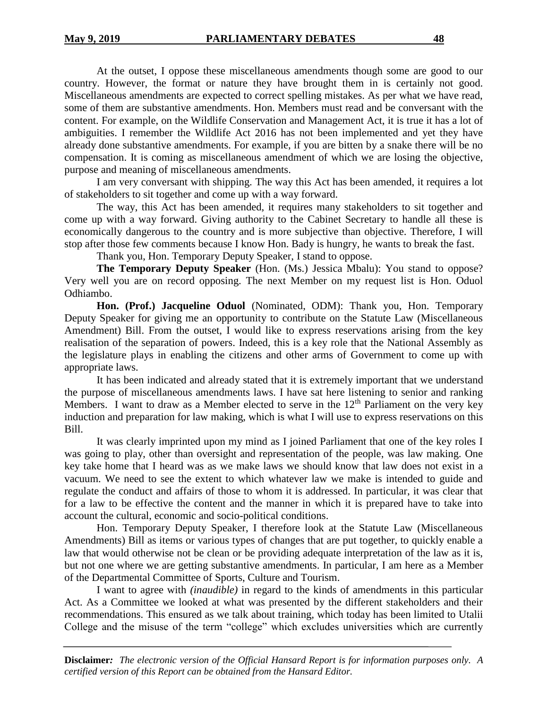At the outset, I oppose these miscellaneous amendments though some are good to our country. However, the format or nature they have brought them in is certainly not good. Miscellaneous amendments are expected to correct spelling mistakes. As per what we have read, some of them are substantive amendments. Hon. Members must read and be conversant with the content. For example, on the Wildlife Conservation and Management Act, it is true it has a lot of ambiguities. I remember the Wildlife Act 2016 has not been implemented and yet they have already done substantive amendments. For example, if you are bitten by a snake there will be no compensation. It is coming as miscellaneous amendment of which we are losing the objective, purpose and meaning of miscellaneous amendments.

I am very conversant with shipping. The way this Act has been amended, it requires a lot of stakeholders to sit together and come up with a way forward.

The way, this Act has been amended, it requires many stakeholders to sit together and come up with a way forward. Giving authority to the Cabinet Secretary to handle all these is economically dangerous to the country and is more subjective than objective. Therefore, I will stop after those few comments because I know Hon. Bady is hungry, he wants to break the fast.

Thank you, Hon. Temporary Deputy Speaker, I stand to oppose.

**The Temporary Deputy Speaker** (Hon. (Ms.) Jessica Mbalu): You stand to oppose? Very well you are on record opposing. The next Member on my request list is Hon. Oduol Odhiambo.

**Hon. (Prof.) Jacqueline Oduol** (Nominated, ODM): Thank you, Hon. Temporary Deputy Speaker for giving me an opportunity to contribute on the Statute Law (Miscellaneous Amendment) Bill. From the outset, I would like to express reservations arising from the key realisation of the separation of powers. Indeed, this is a key role that the National Assembly as the legislature plays in enabling the citizens and other arms of Government to come up with appropriate laws.

It has been indicated and already stated that it is extremely important that we understand the purpose of miscellaneous amendments laws. I have sat here listening to senior and ranking Members. I want to draw as a Member elected to serve in the  $12<sup>th</sup>$  Parliament on the very key induction and preparation for law making, which is what I will use to express reservations on this Bill.

It was clearly imprinted upon my mind as I joined Parliament that one of the key roles I was going to play, other than oversight and representation of the people, was law making. One key take home that I heard was as we make laws we should know that law does not exist in a vacuum. We need to see the extent to which whatever law we make is intended to guide and regulate the conduct and affairs of those to whom it is addressed. In particular, it was clear that for a law to be effective the content and the manner in which it is prepared have to take into account the cultural, economic and socio-political conditions.

Hon. Temporary Deputy Speaker, I therefore look at the Statute Law (Miscellaneous Amendments) Bill as items or various types of changes that are put together, to quickly enable a law that would otherwise not be clean or be providing adequate interpretation of the law as it is, but not one where we are getting substantive amendments. In particular, I am here as a Member of the Departmental Committee of Sports, Culture and Tourism.

I want to agree with *(inaudible)* in regard to the kinds of amendments in this particular Act. As a Committee we looked at what was presented by the different stakeholders and their recommendations. This ensured as we talk about training, which today has been limited to Utalii College and the misuse of the term "college" which excludes universities which are currently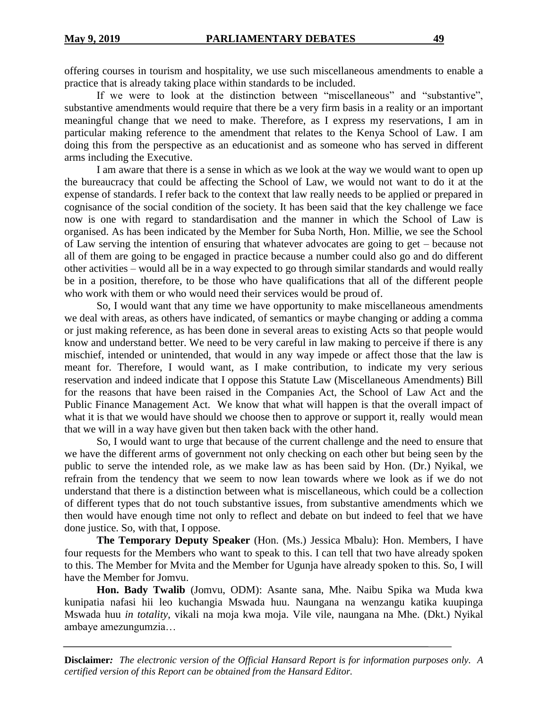offering courses in tourism and hospitality, we use such miscellaneous amendments to enable a practice that is already taking place within standards to be included.

If we were to look at the distinction between "miscellaneous" and "substantive", substantive amendments would require that there be a very firm basis in a reality or an important meaningful change that we need to make. Therefore, as I express my reservations, I am in particular making reference to the amendment that relates to the Kenya School of Law. I am doing this from the perspective as an educationist and as someone who has served in different arms including the Executive.

I am aware that there is a sense in which as we look at the way we would want to open up the bureaucracy that could be affecting the School of Law, we would not want to do it at the expense of standards. I refer back to the context that law really needs to be applied or prepared in cognisance of the social condition of the society. It has been said that the key challenge we face now is one with regard to standardisation and the manner in which the School of Law is organised. As has been indicated by the Member for Suba North, Hon. Millie, we see the School of Law serving the intention of ensuring that whatever advocates are going to get – because not all of them are going to be engaged in practice because a number could also go and do different other activities – would all be in a way expected to go through similar standards and would really be in a position, therefore, to be those who have qualifications that all of the different people who work with them or who would need their services would be proud of.

So, I would want that any time we have opportunity to make miscellaneous amendments we deal with areas, as others have indicated, of semantics or maybe changing or adding a comma or just making reference, as has been done in several areas to existing Acts so that people would know and understand better. We need to be very careful in law making to perceive if there is any mischief, intended or unintended, that would in any way impede or affect those that the law is meant for. Therefore, I would want, as I make contribution, to indicate my very serious reservation and indeed indicate that I oppose this Statute Law (Miscellaneous Amendments) Bill for the reasons that have been raised in the Companies Act, the School of Law Act and the Public Finance Management Act. We know that what will happen is that the overall impact of what it is that we would have should we choose then to approve or support it, really would mean that we will in a way have given but then taken back with the other hand.

So, I would want to urge that because of the current challenge and the need to ensure that we have the different arms of government not only checking on each other but being seen by the public to serve the intended role, as we make law as has been said by Hon. (Dr.) Nyikal, we refrain from the tendency that we seem to now lean towards where we look as if we do not understand that there is a distinction between what is miscellaneous, which could be a collection of different types that do not touch substantive issues, from substantive amendments which we then would have enough time not only to reflect and debate on but indeed to feel that we have done justice. So, with that, I oppose.

**The Temporary Deputy Speaker** (Hon. (Ms.) Jessica Mbalu): Hon. Members, I have four requests for the Members who want to speak to this. I can tell that two have already spoken to this. The Member for Mvita and the Member for Ugunja have already spoken to this. So, I will have the Member for Jomvu.

**Hon. Bady Twalib** (Jomvu, ODM): Asante sana, Mhe. Naibu Spika wa Muda kwa kunipatia nafasi hii leo kuchangia Mswada huu. Naungana na wenzangu katika kuupinga Mswada huu *in totality*, vikali na moja kwa moja. Vile vile, naungana na Mhe. (Dkt.) Nyikal ambaye amezungumzia…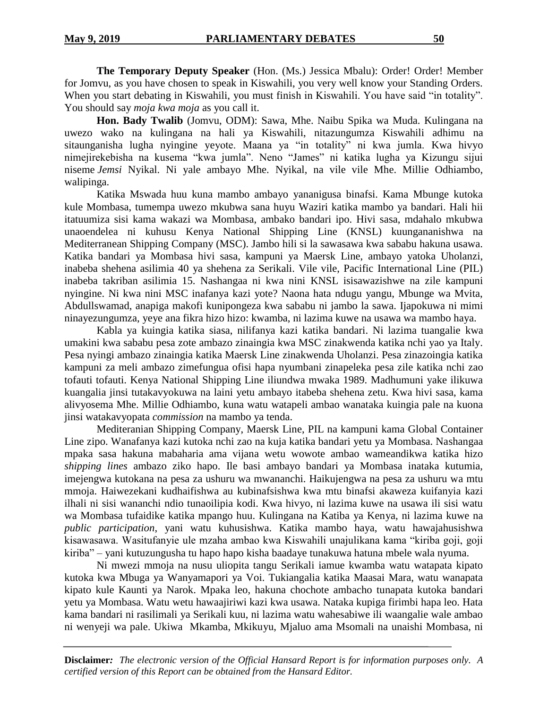**The Temporary Deputy Speaker** (Hon. (Ms.) Jessica Mbalu): Order! Order! Member for Jomvu, as you have chosen to speak in Kiswahili, you very well know your Standing Orders. When you start debating in Kiswahili, you must finish in Kiswahili. You have said "in totality". You should say *moja kwa moja* as you call it.

**Hon. Bady Twalib** (Jomvu, ODM): Sawa, Mhe. Naibu Spika wa Muda. Kulingana na uwezo wako na kulingana na hali ya Kiswahili, nitazungumza Kiswahili adhimu na sitaunganisha lugha nyingine yeyote. Maana ya "in totality" ni kwa jumla. Kwa hivyo nimejirekebisha na kusema "kwa jumla". Neno "James" ni katika lugha ya Kizungu sijui niseme *Jemsi* Nyikal. Ni yale ambayo Mhe. Nyikal, na vile vile Mhe. Millie Odhiambo, walipinga.

Katika Mswada huu kuna mambo ambayo yananigusa binafsi. Kama Mbunge kutoka kule Mombasa, tumempa uwezo mkubwa sana huyu Waziri katika mambo ya bandari. Hali hii itatuumiza sisi kama wakazi wa Mombasa, ambako bandari ipo. Hivi sasa, mdahalo mkubwa unaoendelea ni kuhusu Kenya National Shipping Line (KNSL) kuungananishwa na Mediterranean Shipping Company (MSC). Jambo hili si la sawasawa kwa sababu hakuna usawa. Katika bandari ya Mombasa hivi sasa, kampuni ya Maersk Line, ambayo yatoka Uholanzi, inabeba shehena asilimia 40 ya shehena za Serikali. Vile vile, Pacific International Line (PIL) inabeba takriban asilimia 15. Nashangaa ni kwa nini KNSL isisawazishwe na zile kampuni nyingine. Ni kwa nini MSC inafanya kazi yote? Naona hata ndugu yangu, Mbunge wa Mvita, Abdullswamad, anapiga makofi kunipongeza kwa sababu ni jambo la sawa. Ijapokuwa ni mimi ninayezungumza, yeye ana fikra hizo hizo: kwamba, ni lazima kuwe na usawa wa mambo haya.

Kabla ya kuingia katika siasa, nilifanya kazi katika bandari. Ni lazima tuangalie kwa umakini kwa sababu pesa zote ambazo zinaingia kwa MSC zinakwenda katika nchi yao ya Italy. Pesa nyingi ambazo zinaingia katika Maersk Line zinakwenda Uholanzi. Pesa zinazoingia katika kampuni za meli ambazo zimefungua ofisi hapa nyumbani zinapeleka pesa zile katika nchi zao tofauti tofauti. Kenya National Shipping Line iliundwa mwaka 1989. Madhumuni yake ilikuwa kuangalia jinsi tutakavyokuwa na laini yetu ambayo itabeba shehena zetu. Kwa hivi sasa, kama alivyosema Mhe. Millie Odhiambo, kuna watu watapeli ambao wanataka kuingia pale na kuona jinsi watakavyopata *commission* na mambo ya tenda.

Mediteranian Shipping Company, Maersk Line, PIL na kampuni kama Global Container Line zipo. Wanafanya kazi kutoka nchi zao na kuja katika bandari yetu ya Mombasa. Nashangaa mpaka sasa hakuna mabaharia ama vijana wetu wowote ambao wameandikwa katika hizo *shipping lines* ambazo ziko hapo. Ile basi ambayo bandari ya Mombasa inataka kutumia, imejengwa kutokana na pesa za ushuru wa mwananchi. Haikujengwa na pesa za ushuru wa mtu mmoja. Haiwezekani kudhaifishwa au kubinafsishwa kwa mtu binafsi akaweza kuifanyia kazi ilhali ni sisi wananchi ndio tunaoilipia kodi. Kwa hivyo, ni lazima kuwe na usawa ili sisi watu wa Mombasa tufaidike katika mpango huu. Kulingana na Katiba ya Kenya, ni lazima kuwe na *public participation*, yani watu kuhusishwa. Katika mambo haya, watu hawajahusishwa kisawasawa. Wasitufanyie ule mzaha ambao kwa Kiswahili unajulikana kama "kiriba goji, goji kiriba" – yani kutuzungusha tu hapo hapo kisha baadaye tunakuwa hatuna mbele wala nyuma.

Ni mwezi mmoja na nusu uliopita tangu Serikali iamue kwamba watu watapata kipato kutoka kwa Mbuga ya Wanyamapori ya Voi. Tukiangalia katika Maasai Mara, watu wanapata kipato kule Kaunti ya Narok. Mpaka leo, hakuna chochote ambacho tunapata kutoka bandari yetu ya Mombasa. Watu wetu hawaajiriwi kazi kwa usawa. Nataka kupiga firimbi hapa leo. Hata kama bandari ni rasilimali ya Serikali kuu, ni lazima watu wahesabiwe ili waangalie wale ambao ni wenyeji wa pale. Ukiwa Mkamba, Mkikuyu, Mjaluo ama Msomali na unaishi Mombasa, ni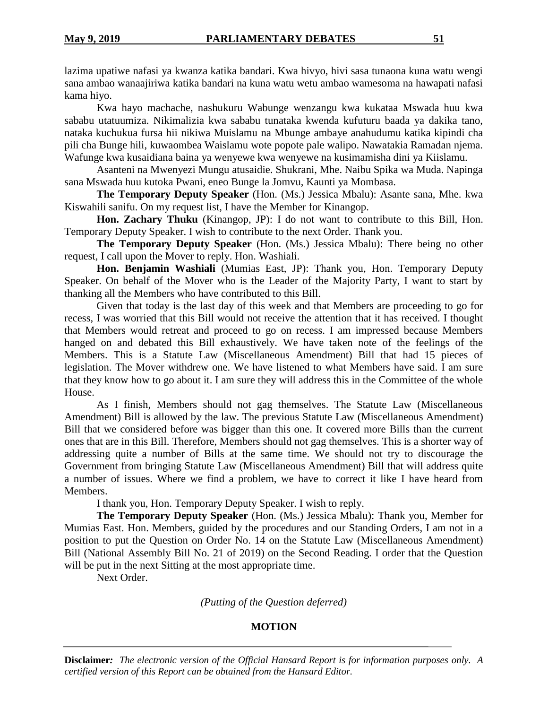lazima upatiwe nafasi ya kwanza katika bandari. Kwa hivyo, hivi sasa tunaona kuna watu wengi sana ambao wanaajiriwa katika bandari na kuna watu wetu ambao wamesoma na hawapati nafasi kama hiyo.

Kwa hayo machache, nashukuru Wabunge wenzangu kwa kukataa Mswada huu kwa sababu utatuumiza. Nikimalizia kwa sababu tunataka kwenda kufuturu baada ya dakika tano, nataka kuchukua fursa hii nikiwa Muislamu na Mbunge ambaye anahudumu katika kipindi cha pili cha Bunge hili, kuwaombea Waislamu wote popote pale walipo. Nawatakia Ramadan njema. Wafunge kwa kusaidiana baina ya wenyewe kwa wenyewe na kusimamisha dini ya Kiislamu.

Asanteni na Mwenyezi Mungu atusaidie. Shukrani, Mhe. Naibu Spika wa Muda. Napinga sana Mswada huu kutoka Pwani, eneo Bunge la Jomvu, Kaunti ya Mombasa.

**The Temporary Deputy Speaker** (Hon. (Ms.) Jessica Mbalu): Asante sana, Mhe. kwa Kiswahili sanifu. On my request list, I have the Member for Kinangop.

**Hon. Zachary Thuku** (Kinangop, JP): I do not want to contribute to this Bill, Hon. Temporary Deputy Speaker. I wish to contribute to the next Order. Thank you.

**The Temporary Deputy Speaker** (Hon. (Ms.) Jessica Mbalu): There being no other request, I call upon the Mover to reply. Hon. Washiali.

**Hon. Benjamin Washiali** (Mumias East, JP): Thank you, Hon. Temporary Deputy Speaker. On behalf of the Mover who is the Leader of the Majority Party, I want to start by thanking all the Members who have contributed to this Bill.

Given that today is the last day of this week and that Members are proceeding to go for recess, I was worried that this Bill would not receive the attention that it has received. I thought that Members would retreat and proceed to go on recess. I am impressed because Members hanged on and debated this Bill exhaustively. We have taken note of the feelings of the Members. This is a Statute Law (Miscellaneous Amendment) Bill that had 15 pieces of legislation. The Mover withdrew one. We have listened to what Members have said. I am sure that they know how to go about it. I am sure they will address this in the Committee of the whole House.

As I finish, Members should not gag themselves. The Statute Law (Miscellaneous Amendment) Bill is allowed by the law. The previous Statute Law (Miscellaneous Amendment) Bill that we considered before was bigger than this one. It covered more Bills than the current ones that are in this Bill. Therefore, Members should not gag themselves. This is a shorter way of addressing quite a number of Bills at the same time. We should not try to discourage the Government from bringing Statute Law (Miscellaneous Amendment) Bill that will address quite a number of issues. Where we find a problem, we have to correct it like I have heard from Members.

I thank you, Hon. Temporary Deputy Speaker. I wish to reply.

**The Temporary Deputy Speaker** (Hon. (Ms.) Jessica Mbalu): Thank you, Member for Mumias East. Hon. Members, guided by the procedures and our Standing Orders, I am not in a position to put the Question on Order No. 14 on the Statute Law (Miscellaneous Amendment) Bill (National Assembly Bill No. 21 of 2019) on the Second Reading. I order that the Question will be put in the next Sitting at the most appropriate time.

Next Order.

*(Putting of the Question deferred)*

# **MOTION**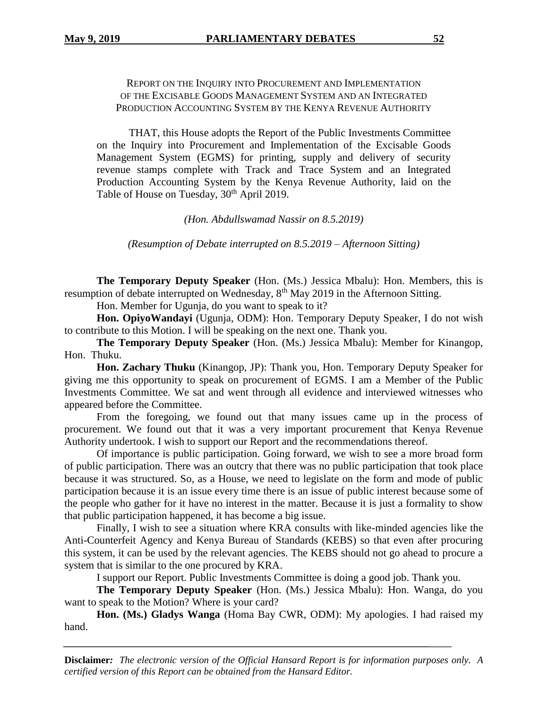# REPORT ON THE INQUIRY INTO PROCUREMENT AND IMPLEMENTATION OF THE EXCISABLE GOODS MANAGEMENT SYSTEM AND AN INTEGRATED PRODUCTION ACCOUNTING SYSTEM BY THE KENYA REVENUE AUTHORITY

THAT, this House adopts the Report of the Public Investments Committee on the Inquiry into Procurement and Implementation of the Excisable Goods Management System (EGMS) for printing, supply and delivery of security revenue stamps complete with Track and Trace System and an Integrated Production Accounting System by the Kenya Revenue Authority, laid on the Table of House on Tuesday, 30<sup>th</sup> April 2019.

*(Hon. Abdullswamad Nassir on 8.5.2019)*

*(Resumption of Debate interrupted on 8.5.2019 – Afternoon Sitting)*

**The Temporary Deputy Speaker** (Hon. (Ms.) Jessica Mbalu): Hon. Members, this is resumption of debate interrupted on Wednesday, 8<sup>th</sup> May 2019 in the Afternoon Sitting.

Hon. Member for Ugunja, do you want to speak to it?

**Hon. OpiyoWandayi** (Ugunja, ODM): Hon. Temporary Deputy Speaker, I do not wish to contribute to this Motion. I will be speaking on the next one. Thank you.

**The Temporary Deputy Speaker** (Hon. (Ms.) Jessica Mbalu): Member for Kinangop, Hon. Thuku.

**Hon. Zachary Thuku** (Kinangop, JP): Thank you, Hon. Temporary Deputy Speaker for giving me this opportunity to speak on procurement of EGMS. I am a Member of the Public Investments Committee. We sat and went through all evidence and interviewed witnesses who appeared before the Committee.

From the foregoing, we found out that many issues came up in the process of procurement. We found out that it was a very important procurement that Kenya Revenue Authority undertook. I wish to support our Report and the recommendations thereof.

Of importance is public participation. Going forward, we wish to see a more broad form of public participation. There was an outcry that there was no public participation that took place because it was structured. So, as a House, we need to legislate on the form and mode of public participation because it is an issue every time there is an issue of public interest because some of the people who gather for it have no interest in the matter. Because it is just a formality to show that public participation happened, it has become a big issue.

Finally, I wish to see a situation where KRA consults with like-minded agencies like the Anti-Counterfeit Agency and Kenya Bureau of Standards (KEBS) so that even after procuring this system, it can be used by the relevant agencies. The KEBS should not go ahead to procure a system that is similar to the one procured by KRA.

I support our Report. Public Investments Committee is doing a good job. Thank you.

**The Temporary Deputy Speaker** (Hon. (Ms.) Jessica Mbalu): Hon. Wanga, do you want to speak to the Motion? Where is your card?

**Hon. (Ms.) Gladys Wanga** (Homa Bay CWR, ODM): My apologies. I had raised my hand.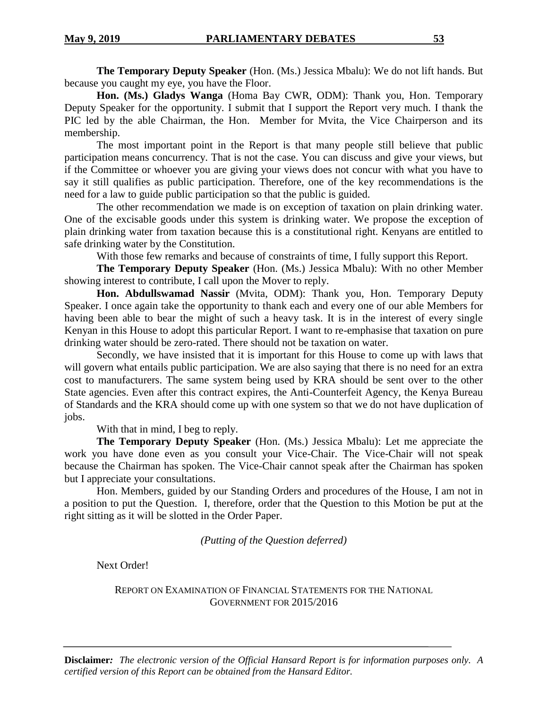**The Temporary Deputy Speaker** (Hon. (Ms.) Jessica Mbalu): We do not lift hands. But because you caught my eye, you have the Floor.

**Hon. (Ms.) Gladys Wanga** (Homa Bay CWR, ODM): Thank you, Hon. Temporary Deputy Speaker for the opportunity. I submit that I support the Report very much. I thank the PIC led by the able Chairman, the Hon. Member for Mvita, the Vice Chairperson and its membership.

The most important point in the Report is that many people still believe that public participation means concurrency. That is not the case. You can discuss and give your views, but if the Committee or whoever you are giving your views does not concur with what you have to say it still qualifies as public participation. Therefore, one of the key recommendations is the need for a law to guide public participation so that the public is guided.

The other recommendation we made is on exception of taxation on plain drinking water. One of the excisable goods under this system is drinking water. We propose the exception of plain drinking water from taxation because this is a constitutional right. Kenyans are entitled to safe drinking water by the Constitution.

With those few remarks and because of constraints of time, I fully support this Report.

**The Temporary Deputy Speaker** (Hon. (Ms.) Jessica Mbalu): With no other Member showing interest to contribute, I call upon the Mover to reply.

**Hon. Abdullswamad Nassir** (Mvita, ODM): Thank you, Hon. Temporary Deputy Speaker. I once again take the opportunity to thank each and every one of our able Members for having been able to bear the might of such a heavy task. It is in the interest of every single Kenyan in this House to adopt this particular Report. I want to re-emphasise that taxation on pure drinking water should be zero-rated. There should not be taxation on water.

Secondly, we have insisted that it is important for this House to come up with laws that will govern what entails public participation. We are also saying that there is no need for an extra cost to manufacturers. The same system being used by KRA should be sent over to the other State agencies. Even after this contract expires, the Anti-Counterfeit Agency, the Kenya Bureau of Standards and the KRA should come up with one system so that we do not have duplication of jobs.

With that in mind, I beg to reply.

**The Temporary Deputy Speaker** (Hon. (Ms.) Jessica Mbalu): Let me appreciate the work you have done even as you consult your Vice-Chair. The Vice-Chair will not speak because the Chairman has spoken. The Vice-Chair cannot speak after the Chairman has spoken but I appreciate your consultations.

Hon. Members, guided by our Standing Orders and procedures of the House, I am not in a position to put the Question. I, therefore, order that the Question to this Motion be put at the right sitting as it will be slotted in the Order Paper.

*(Putting of the Question deferred)*

Next Order!

REPORT ON EXAMINATION OF FINANCIAL STATEMENTS FOR THE NATIONAL GOVERNMENT FOR 2015/2016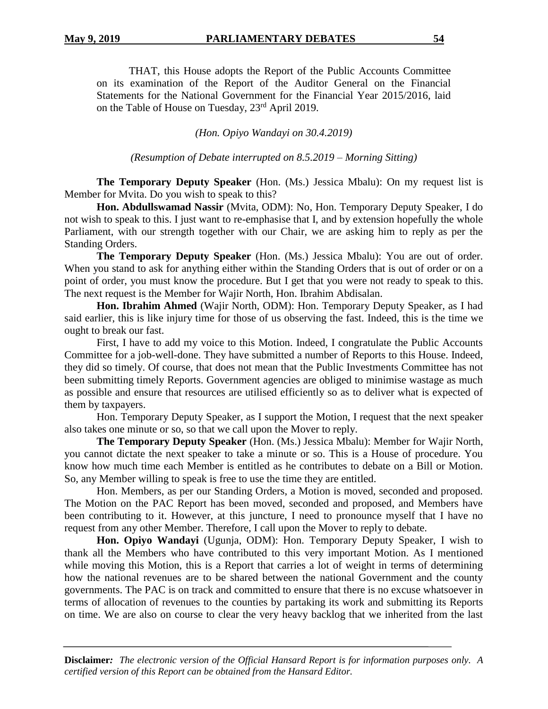THAT, this House adopts the Report of the Public Accounts Committee on its examination of the Report of the Auditor General on the Financial Statements for the National Government for the Financial Year 2015/2016, laid on the Table of House on Tuesday, 23rd April 2019.

*(Hon. Opiyo Wandayi on 30.4.2019)*

*(Resumption of Debate interrupted on 8.5.2019 – Morning Sitting)*

**The Temporary Deputy Speaker** (Hon. (Ms.) Jessica Mbalu): On my request list is Member for Mvita. Do you wish to speak to this?

**Hon. Abdullswamad Nassir** (Mvita, ODM): No, Hon. Temporary Deputy Speaker, I do not wish to speak to this. I just want to re-emphasise that I, and by extension hopefully the whole Parliament, with our strength together with our Chair, we are asking him to reply as per the Standing Orders.

**The Temporary Deputy Speaker** (Hon. (Ms.) Jessica Mbalu): You are out of order. When you stand to ask for anything either within the Standing Orders that is out of order or on a point of order, you must know the procedure. But I get that you were not ready to speak to this. The next request is the Member for Wajir North, Hon. Ibrahim Abdisalan.

**Hon. Ibrahim Ahmed** (Wajir North, ODM): Hon. Temporary Deputy Speaker, as I had said earlier, this is like injury time for those of us observing the fast. Indeed, this is the time we ought to break our fast.

First, I have to add my voice to this Motion. Indeed, I congratulate the Public Accounts Committee for a job-well-done. They have submitted a number of Reports to this House. Indeed, they did so timely. Of course, that does not mean that the Public Investments Committee has not been submitting timely Reports. Government agencies are obliged to minimise wastage as much as possible and ensure that resources are utilised efficiently so as to deliver what is expected of them by taxpayers.

Hon. Temporary Deputy Speaker, as I support the Motion, I request that the next speaker also takes one minute or so, so that we call upon the Mover to reply.

**The Temporary Deputy Speaker** (Hon. (Ms.) Jessica Mbalu): Member for Wajir North, you cannot dictate the next speaker to take a minute or so. This is a House of procedure. You know how much time each Member is entitled as he contributes to debate on a Bill or Motion. So, any Member willing to speak is free to use the time they are entitled.

Hon. Members, as per our Standing Orders, a Motion is moved, seconded and proposed. The Motion on the PAC Report has been moved, seconded and proposed, and Members have been contributing to it. However, at this juncture, I need to pronounce myself that I have no request from any other Member. Therefore, I call upon the Mover to reply to debate.

**Hon. Opiyo Wandayi** (Ugunja, ODM): Hon. Temporary Deputy Speaker, I wish to thank all the Members who have contributed to this very important Motion. As I mentioned while moving this Motion, this is a Report that carries a lot of weight in terms of determining how the national revenues are to be shared between the national Government and the county governments. The PAC is on track and committed to ensure that there is no excuse whatsoever in terms of allocation of revenues to the counties by partaking its work and submitting its Reports on time. We are also on course to clear the very heavy backlog that we inherited from the last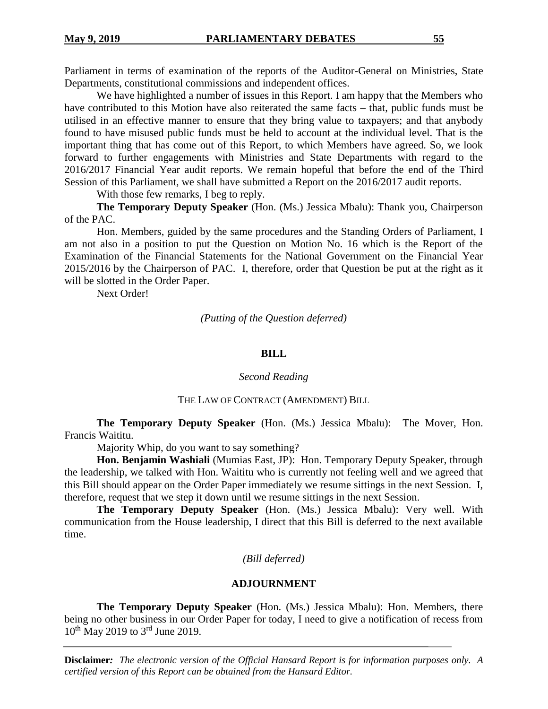Parliament in terms of examination of the reports of the Auditor-General on Ministries, State Departments, constitutional commissions and independent offices.

We have highlighted a number of issues in this Report. I am happy that the Members who have contributed to this Motion have also reiterated the same facts – that, public funds must be utilised in an effective manner to ensure that they bring value to taxpayers; and that anybody found to have misused public funds must be held to account at the individual level. That is the important thing that has come out of this Report, to which Members have agreed. So, we look forward to further engagements with Ministries and State Departments with regard to the 2016/2017 Financial Year audit reports. We remain hopeful that before the end of the Third Session of this Parliament, we shall have submitted a Report on the 2016/2017 audit reports.

With those few remarks, I beg to reply.

**The Temporary Deputy Speaker** (Hon. (Ms.) Jessica Mbalu): Thank you, Chairperson of the PAC.

Hon. Members, guided by the same procedures and the Standing Orders of Parliament, I am not also in a position to put the Question on Motion No. 16 which is the Report of the Examination of the Financial Statements for the National Government on the Financial Year 2015/2016 by the Chairperson of PAC. I, therefore, order that Question be put at the right as it will be slotted in the Order Paper.

Next Order!

*(Putting of the Question deferred)*

#### **BILL**

#### *Second Reading*

#### THE LAW OF CONTRACT (AMENDMENT) BILL

**The Temporary Deputy Speaker** (Hon. (Ms.) Jessica Mbalu): The Mover, Hon. Francis Waititu.

Majority Whip, do you want to say something?

**Hon. Benjamin Washiali** (Mumias East, JP): Hon. Temporary Deputy Speaker, through the leadership, we talked with Hon. Waititu who is currently not feeling well and we agreed that this Bill should appear on the Order Paper immediately we resume sittings in the next Session. I, therefore, request that we step it down until we resume sittings in the next Session.

**The Temporary Deputy Speaker** (Hon. (Ms.) Jessica Mbalu): Very well. With communication from the House leadership, I direct that this Bill is deferred to the next available time.

# *(Bill deferred)*

# **ADJOURNMENT**

**The Temporary Deputy Speaker** (Hon. (Ms.) Jessica Mbalu): Hon. Members, there being no other business in our Order Paper for today, I need to give a notification of recess from 10<sup>th</sup> May 2019 to 3<sup>rd</sup> June 2019.